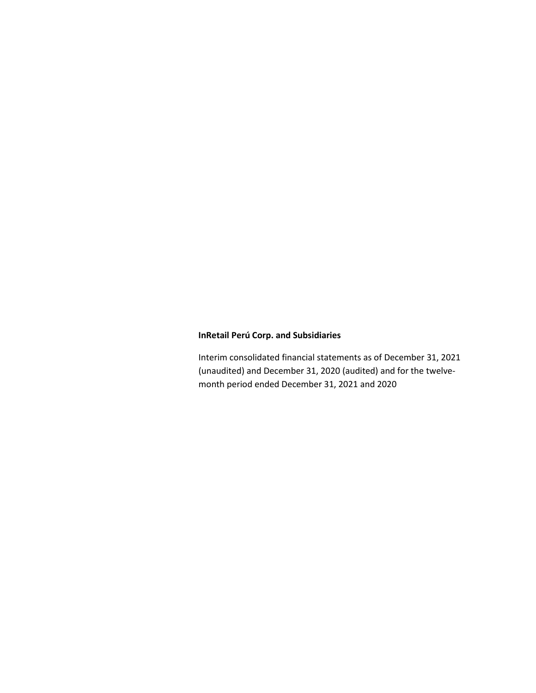Interim consolidated financial statements as of December 31, 2021 (unaudited) and December 31, 2020 (audited) and for the twelvemonth period ended December 31, 2021 and 2020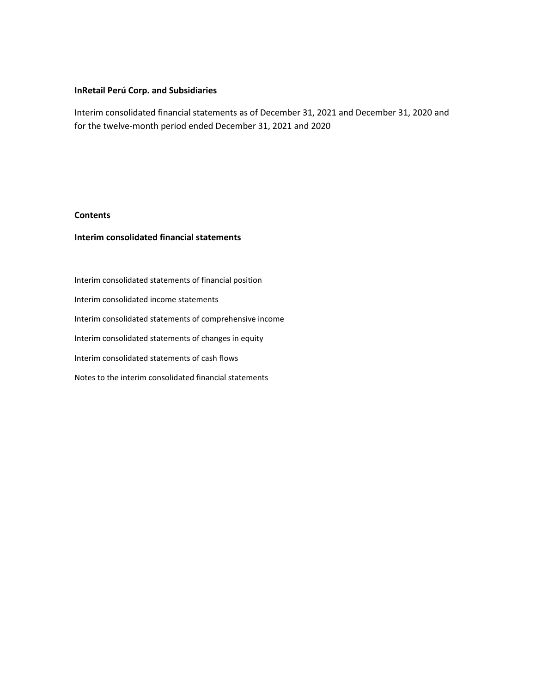Interim consolidated financial statements as of December 31, 2021 and December 31, 2020 and for the twelve-month period ended December 31, 2021 and 2020

### **Contents**

## **Interim consolidated financial statements**

Interim consolidated statements of financial position Interim consolidated income statements Interim consolidated statements of comprehensive income Interim consolidated statements of changes in equity Interim consolidated statements of cash flows Notes to the interim consolidated financial statements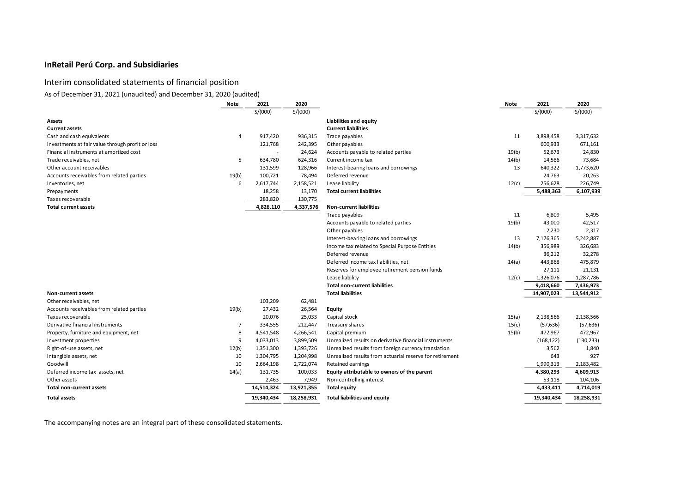# Interim consolidated statements of financial position

As of December 31, 2021 (unaudited) and December 31, 2020 (audited)

| <b>Note</b>                                        |    | 2021                     | 2020       |                                                          | Note  | 2021       | 2020       |
|----------------------------------------------------|----|--------------------------|------------|----------------------------------------------------------|-------|------------|------------|
|                                                    |    | S/(000)                  | S/(000)    |                                                          |       | S/(000)    | S/(000)    |
| <b>Assets</b>                                      |    |                          |            | <b>Liabilities and equity</b>                            |       |            |            |
| <b>Current assets</b>                              |    |                          |            | <b>Current liabilities</b>                               |       |            |            |
| Cash and cash equivalents                          | 4  | 917,420                  | 936,315    | Trade payables                                           | 11    | 3,898,458  | 3,317,632  |
| Investments at fair value through profit or loss   |    | 121,768                  | 242,395    | Other payables                                           |       | 600,933    | 671,161    |
| Financial instruments at amortized cost            |    | $\overline{\phantom{a}}$ | 24,624     | Accounts payable to related parties                      | 19(b) | 52,673     | 24,830     |
| Trade receivables, net                             | 5  | 634,780                  | 624,316    | Current income tax                                       | 14(b) | 14,586     | 73,684     |
| Other account receivables                          |    | 131,599                  | 128,966    | Interest-bearing loans and borrowings                    | 13    | 640,322    | 1,773,620  |
| Accounts receivables from related parties<br>19(b) |    | 100,721                  | 78,494     | Deferred revenue                                         |       | 24,763     | 20,263     |
| Inventories, net                                   | 6  | 2,617,744                | 2,158,521  | Lease liability                                          | 12(c) | 256,628    | 226,749    |
| Prepayments                                        |    | 18,258                   | 13,170     | <b>Total current liabilities</b>                         |       | 5,488,363  | 6,107,939  |
| Taxes recoverable                                  |    | 283,820                  | 130,775    |                                                          |       |            |            |
| <b>Total current assets</b>                        |    | 4,826,110                | 4,337,576  | <b>Non-current liabilities</b>                           |       |            |            |
|                                                    |    |                          |            | Trade payables                                           | 11    | 6,809      | 5,495      |
|                                                    |    |                          |            | Accounts payable to related parties                      | 19(b) | 43,000     | 42,517     |
|                                                    |    |                          |            | Other payables                                           |       | 2,230      | 2,317      |
|                                                    |    |                          |            | Interest-bearing loans and borrowings                    | 13    | 7,176,365  | 5,242,887  |
|                                                    |    |                          |            | Income tax related to Special Purpose Entities           | 14(b) | 356,989    | 326,683    |
|                                                    |    |                          |            | Deferred revenue                                         |       | 36,212     | 32,278     |
|                                                    |    |                          |            | Deferred income tax liabilities, net                     | 14(a) | 443,868    | 475,879    |
|                                                    |    |                          |            | Reserves for employee retirement pension funds           |       | 27,111     | 21,131     |
|                                                    |    |                          |            | Lease liability                                          | 12(c) | 1,326,076  | 1,287,786  |
|                                                    |    |                          |            | <b>Total non-current liabilities</b>                     |       | 9,418,660  | 7,436,973  |
| <b>Non-current assets</b>                          |    |                          |            | <b>Total liabilities</b>                                 |       | 14,907,023 | 13,544,912 |
| Other receivables, net                             |    | 103,209                  | 62,481     |                                                          |       |            |            |
| 19(b)<br>Accounts receivables from related parties |    | 27,432                   | 26,564     | <b>Equity</b>                                            |       |            |            |
| Taxes recoverable                                  |    | 20,076                   | 25,033     | Capital stock                                            | 15(a) | 2,138,566  | 2,138,566  |
| Derivative financial instruments                   | 7  | 334,555                  | 212,447    | Treasury shares                                          | 15(c) | (57, 636)  | (57, 636)  |
| Property, furniture and equipment, net             | 8  | 4,541,548                | 4,266,541  | Capital premium                                          | 15(b) | 472,967    | 472,967    |
| Investment properties                              | 9  | 4,033,013                | 3,899,509  | Unrealized results on derivative financial instruments   |       | (168, 122) | (130, 233) |
| 12(b)<br>Right-of-use assets, net                  |    | 1,351,300                | 1,393,726  | Unrealized results from foreign currency translation     |       | 3,562      | 1,840      |
| Intangible assets, net                             | 10 | 1,304,795                | 1,204,998  | Unrealized results from actuarial reserve for retirement |       | 643        | 927        |
| Goodwill                                           | 10 | 2,664,198                | 2,722,074  | <b>Retained earnings</b>                                 |       | 1,990,313  | 2,183,482  |
| Deferred income tax assets, net<br>14(a)           |    | 131,735                  | 100,033    | Equity attributable to owners of the parent              |       | 4,380,293  | 4,609,913  |
| Other assets                                       |    | 2,463                    | 7,949      | Non-controlling interest                                 |       | 53,118     | 104,106    |
| <b>Total non-current assets</b>                    |    | 14,514,324               | 13,921,355 | <b>Total equity</b>                                      |       | 4,433,411  | 4,714,019  |
| <b>Total assets</b>                                |    | 19,340,434               | 18,258,931 | <b>Total liabilities and equity</b>                      |       | 19,340,434 | 18,258,931 |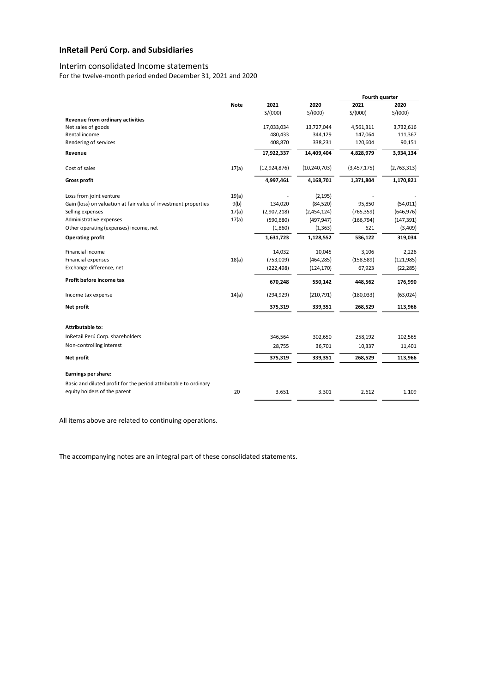### Interim consolidated Income statements

For the twelve-month period ended December 31, 2021 and 2020

|                                                                                                  |             |                |                | Fourth quarter |             |
|--------------------------------------------------------------------------------------------------|-------------|----------------|----------------|----------------|-------------|
|                                                                                                  | <b>Note</b> | 2021           | 2020           | 2021           | 2020        |
|                                                                                                  |             | S/(000)        | S/(000)        | S/(000)        | S/(000)     |
| <b>Revenue from ordinary activities</b>                                                          |             |                |                |                |             |
| Net sales of goods                                                                               |             | 17,033,034     | 13,727,044     | 4,561,311      | 3,732,616   |
| Rental income                                                                                    |             | 480,433        | 344,129        | 147,064        | 111,367     |
| Rendering of services                                                                            |             | 408,870        | 338,231        | 120,604        | 90,151      |
| Revenue                                                                                          |             | 17,922,337     | 14,409,404     | 4,828,979      | 3,934,134   |
| Cost of sales                                                                                    | 17(a)       | (12, 924, 876) | (10, 240, 703) | (3,457,175)    | (2,763,313) |
| <b>Gross profit</b>                                                                              |             | 4,997,461      | 4,168,701      | 1,371,804      | 1,170,821   |
| Loss from joint venture                                                                          | 19(a)       |                | (2, 195)       |                |             |
| Gain (loss) on valuation at fair value of investment properties                                  | 9(b)        | 134,020        | (84, 520)      | 95,850         | (54, 011)   |
| Selling expenses                                                                                 | 17(a)       | (2,907,218)    | (2,454,124)    | (765, 359)     | (646, 976)  |
| Administrative expenses                                                                          | 17(a)       | (590, 680)     | (497, 947)     | (166, 794)     | (147, 391)  |
| Other operating (expenses) income, net                                                           |             | (1,860)        | (1, 363)       | 621            | (3,409)     |
| <b>Operating profit</b>                                                                          |             | 1,631,723      | 1,128,552      | 536,122        | 319,034     |
| <b>Financial income</b>                                                                          |             | 14,032         | 10,045         | 3,106          | 2,226       |
| Financial expenses                                                                               | 18(a)       | (753,009)      | (464, 285)     | (158, 589)     | (121, 985)  |
| Exchange difference, net                                                                         |             | (222, 498)     | (124, 170)     | 67,923         | (22, 285)   |
| Profit before income tax                                                                         |             | 670,248        | 550,142        | 448,562        | 176,990     |
| Income tax expense                                                                               | 14(a)       | (294, 929)     | (210, 791)     | (180,033)      | (63,024)    |
| Net profit                                                                                       |             | 375,319        | 339,351        | 268,529        | 113,966     |
| <b>Attributable to:</b>                                                                          |             |                |                |                |             |
| InRetail Perú Corp. shareholders                                                                 |             | 346,564        | 302,650        | 258,192        | 102,565     |
| Non-controlling interest                                                                         |             | 28,755         | 36,701         | 10,337         | 11,401      |
|                                                                                                  |             |                |                |                |             |
| Net profit                                                                                       |             | 375,319        | 339,351        | 268,529        | 113,966     |
| Earnings per share:                                                                              |             |                |                |                |             |
| Basic and diluted profit for the period attributable to ordinary<br>equity holders of the parent | 20          | 3.651          | 3.301          | 2.612          | 1.109       |
|                                                                                                  |             |                |                |                |             |

All items above are related to continuing operations.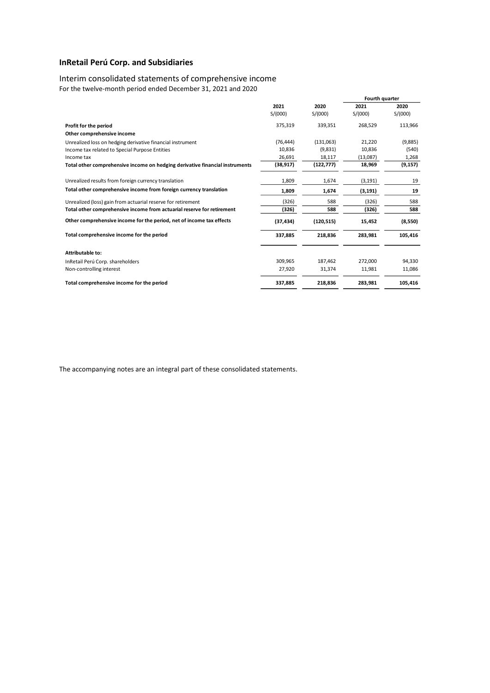## Interim consolidated statements of comprehensive income

For the twelve-month period ended December 31, 2021 and 2020

|                                                                              |                 |                 | Fourth quarter  |                 |
|------------------------------------------------------------------------------|-----------------|-----------------|-----------------|-----------------|
|                                                                              | 2021<br>S/(000) | 2020<br>S/(000) | 2021<br>S/(000) | 2020<br>S/(000) |
| Profit for the period                                                        | 375,319         | 339,351         | 268,529         | 113,966         |
| Other comprehensive income                                                   |                 |                 |                 |                 |
| Unrealized loss on hedging derivative financial instrument                   | (76, 444)       | (131,063)       | 21,220          | (9,885)         |
| Income tax related to Special Purpose Entities                               | 10,836          | (9,831)         | 10,836          | (540)           |
| Income tax                                                                   | 26,691          | 18,117          | (13,087)        | 1,268           |
| Total other comprehensive income on hedging derivative financial instruments | (38, 917)       | (122, 777)      | 18,969          | (9, 157)        |
| Unrealized results from foreign currency translation                         | 1,809           | 1,674           | (3, 191)        | 19              |
| Total other comprehensive income from foreign currency translation           | 1,809           | 1,674           | (3, 191)        | 19              |
| Unrealized (loss) gain from actuarial reserve for retirement                 | (326)           | 588             | (326)           | 588             |
| Total other comprehensive income from actuarial reserve for retirement       | (326)           | 588             | (326)           | 588             |
| Other comprehensive income for the period, net of income tax effects         | (37, 434)       | (120, 515)      | 15,452          | (8,550)         |
| Total comprehensive income for the period                                    | 337,885         | 218,836         | 283,981         | 105,416         |
| <b>Attributable to:</b>                                                      |                 |                 |                 |                 |
| InRetail Perú Corp. shareholders                                             | 309,965         | 187,462         | 272,000         | 94,330          |
| Non-controlling interest                                                     | 27,920          | 31,374          | 11,981          | 11,086          |
| Total comprehensive income for the period                                    | 337,885         | 218,836         | 283,981         | 105,416         |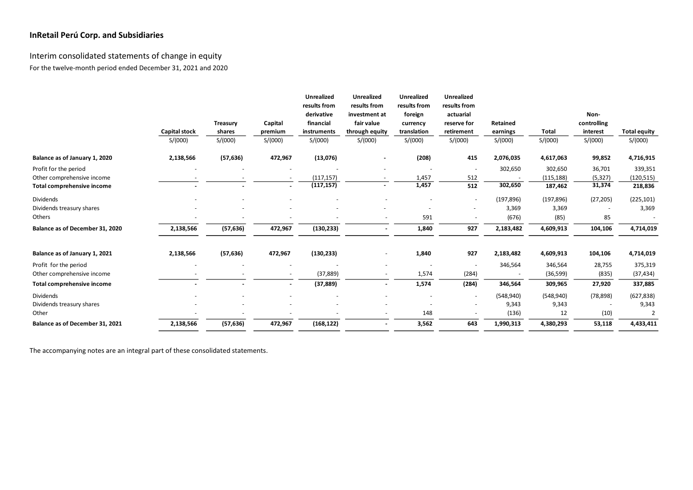# Interim consolidated statements of change in equity For the twelve-month period ended December 31, 2021 and 2020

|                                 |                      |                 |         | <b>Unrealized</b><br>results from | <b>Unrealized</b><br>results from | <b>Unrealized</b><br>results from | <b>Unrealized</b><br>results from |            |              |             |                     |
|---------------------------------|----------------------|-----------------|---------|-----------------------------------|-----------------------------------|-----------------------------------|-----------------------------------|------------|--------------|-------------|---------------------|
|                                 |                      |                 |         | derivative                        | investment at                     | foreign                           | actuarial                         |            |              | Non-        |                     |
|                                 |                      | <b>Treasury</b> | Capital | financial                         | fair value                        | currency                          | reserve for                       | Retained   |              | controlling |                     |
|                                 | <b>Capital stock</b> | shares          | premium | instruments                       | through equity                    | translation                       | retirement                        | earnings   | <b>Total</b> | interest    | <b>Total equity</b> |
|                                 | S/(000)              | S/(000)         | S/(000) | S/(000)                           | S/(000)                           | S/(000)                           | S/(000)                           | S/(000)    | S/(000)      | S/(000)     | S/(000)             |
| Balance as of January 1, 2020   | 2,138,566            | (57, 636)       | 472,967 | (13,076)                          | $\blacksquare$                    | (208)                             | 415                               | 2,076,035  | 4,617,063    | 99,852      | 4,716,915           |
| Profit for the period           |                      |                 |         |                                   |                                   |                                   |                                   | 302,650    | 302,650      | 36,701      | 339,351             |
| Other comprehensive income      |                      |                 |         | (117, 157)                        |                                   | 1,457                             | 512                               |            | (115, 188)   | (5, 327)    | (120, 515)          |
| Total comprehensive income      |                      |                 |         | (117, 157)                        | $\overline{\phantom{a}}$          | 1,457                             | 512                               | 302,650    | 187,462      | 31,374      | 218,836             |
| Dividends                       |                      |                 |         |                                   |                                   |                                   | $\overline{\phantom{a}}$          | (197, 896) | (197, 896)   | (27, 205)   | (225, 101)          |
| Dividends treasury shares       |                      |                 |         |                                   |                                   |                                   |                                   | 3,369      | 3,369        |             | 3,369               |
| Others                          |                      |                 |         |                                   |                                   | 591                               |                                   | (676)      | (85)         | 85          |                     |
| Balance as of December 31, 2020 | 2,138,566            | (57, 636)       | 472,967 | (130, 233)                        |                                   | 1,840                             | 927                               | 2,183,482  | 4,609,913    | 104,106     | 4,714,019           |
| Balance as of January 1, 2021   | 2,138,566            | (57, 636)       | 472,967 | (130, 233)                        |                                   | 1,840                             | 927                               | 2,183,482  | 4,609,913    | 104,106     | 4,714,019           |
| Profit for the period           |                      |                 |         |                                   |                                   | $\overline{\phantom{a}}$          |                                   | 346,564    | 346,564      | 28,755      | 375,319             |
| Other comprehensive income      |                      |                 |         | (37, 889)                         |                                   | 1,574                             | (284)                             |            | (36, 599)    | (835)       | (37, 434)           |
| Total comprehensive income      |                      |                 |         | (37, 889)                         | $\sim$                            | 1,574                             | (284)                             | 346,564    | 309,965      | 27,920      | 337,885             |
| <b>Dividends</b>                |                      |                 |         |                                   |                                   |                                   | $\overline{\phantom{a}}$          | (548, 940) | (548, 940)   | (78, 898)   | (627, 838)          |
| Dividends treasury shares       |                      |                 |         |                                   |                                   |                                   |                                   | 9,343      | 9,343        |             | 9,343               |
| Other                           |                      |                 |         |                                   | $\overline{\phantom{a}}$          | 148                               |                                   | (136)      | 12           | (10)        | $\overline{2}$      |
| Balance as of December 31, 2021 | 2,138,566            | (57, 636)       | 472,967 | (168, 122)                        | $\sim$                            | 3,562                             | 643                               | 1,990,313  | 4,380,293    | 53,118      | 4,433,411           |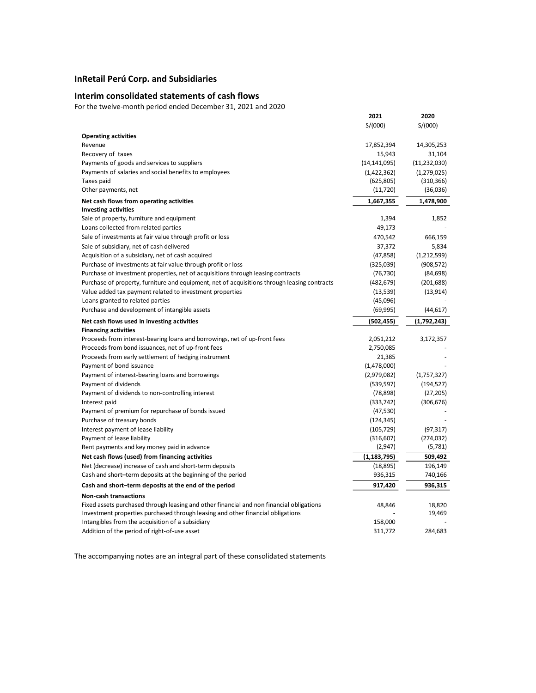## **Interim consolidated statements of cash flows**

For the twelve-month period ended December 31, 2021 and 2020

|                                                                                                                          | 2021           | 2020           |
|--------------------------------------------------------------------------------------------------------------------------|----------------|----------------|
|                                                                                                                          | S/(000)        | S/(000)        |
| <b>Operating activities</b>                                                                                              |                |                |
| Revenue                                                                                                                  | 17,852,394     | 14,305,253     |
| Recovery of taxes                                                                                                        | 15,943         | 31,104         |
| Payments of goods and services to suppliers                                                                              | (14, 141, 095) | (11, 232, 030) |
| Payments of salaries and social benefits to employees                                                                    | (1,422,362)    | (1,279,025)    |
| Taxes paid                                                                                                               | (625, 805)     | (310, 366)     |
| Other payments, net                                                                                                      | (11, 720)      | (36,036)       |
| Net cash flows from operating activities                                                                                 | 1,667,355      | 1,478,900      |
| <b>Investing activities</b>                                                                                              |                |                |
| Sale of property, furniture and equipment                                                                                | 1,394          | 1,852          |
| Loans collected from related parties                                                                                     | 49,173         |                |
| Sale of investments at fair value through profit or loss                                                                 | 470,542        | 666,159        |
| Sale of subsidiary, net of cash delivered                                                                                | 37,372         | 5,834          |
| Acquisition of a subsidiary, net of cash acquired                                                                        | (47, 858)      | (1,212,599)    |
| Purchase of investments at fair value through profit or loss                                                             | (325,039)      | (908, 572)     |
| Purchase of investment properties, net of acquisitions through leasing contracts                                         | (76, 730)      | (84, 698)      |
| Purchase of property, furniture and equipment, net of acquisitions through leasing contracts                             | (482, 679)     | (201, 688)     |
| Value added tax payment related to investment properties                                                                 | (13,539)       | (13, 914)      |
| Loans granted to related parties                                                                                         | (45,096)       |                |
| Purchase and development of intangible assets                                                                            | (69, 995)      | (44, 617)      |
| Net cash flows used in investing activities                                                                              | (502, 455)     | (1,792,243)    |
| <b>Financing activities</b>                                                                                              |                |                |
| Proceeds from interest-bearing loans and borrowings, net of up-front fees                                                | 2,051,212      | 3,172,357      |
| Proceeds from bond issuances, net of up-front fees                                                                       | 2,750,085      |                |
| Proceeds from early settlement of hedging instrument                                                                     | 21,385         |                |
| Payment of bond issuance                                                                                                 | (1,478,000)    |                |
| Payment of interest-bearing loans and borrowings                                                                         | (2,979,082)    | (1,757,327)    |
| Payment of dividends                                                                                                     | (539, 597)     | (194, 527)     |
| Payment of dividends to non-controlling interest                                                                         | (78, 898)      | (27, 205)      |
| Interest paid                                                                                                            | (333, 742)     | (306, 676)     |
| Payment of premium for repurchase of bonds issued                                                                        | (47, 530)      |                |
| Purchase of treasury bonds                                                                                               | (124, 345)     |                |
| Interest payment of lease liability                                                                                      | (105, 729)     | (97, 317)      |
| Payment of lease liability                                                                                               | (316, 607)     | (274, 032)     |
| Rent payments and key money paid in advance                                                                              | (2,947)        | (5,781)        |
| Net cash flows (used) from financing activities                                                                          | (1, 183, 795)  | 509,492        |
| Net (decrease) increase of cash and short-term deposits                                                                  | (18, 895)      | 196,149        |
| Cash and short-term deposits at the beginning of the period                                                              | 936,315        | 740,166        |
| Cash and short-term deposits at the end of the period                                                                    | 917,420        | 936,315        |
|                                                                                                                          |                |                |
| <b>Non-cash transactions</b><br>Fixed assets purchased through leasing and other financial and non financial obligations | 48,846         | 18,820         |
| Investment properties purchased through leasing and other financial obligations                                          |                | 19,469         |
| Intangibles from the acquisition of a subsidiary                                                                         | 158,000        |                |
| Addition of the period of right-of-use asset                                                                             | 311,772        | 284,683        |
|                                                                                                                          |                |                |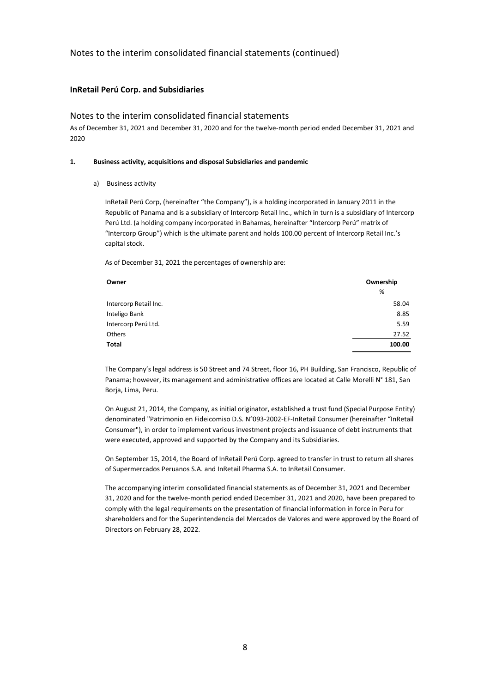## **InRetail Perú Corp. and Subsidiaries**

## Notes to the interim consolidated financial statements

As of December 31, 2021 and December 31, 2020 and for the twelve-month period ended December 31, 2021 and 2020

#### **1. Business activity, acquisitions and disposal Subsidiaries and pandemic**

a) Business activity

InRetail Perú Corp, (hereinafter "the Company"), is a holding incorporated in January 2011 in the Republic of Panama and is a subsidiary of Intercorp Retail Inc., which in turn is a subsidiary of Intercorp Perú Ltd. (a holding company incorporated in Bahamas, hereinafter "Intercorp Perú" matrix of "Intercorp Group") which is the ultimate parent and holds 100.00 percent of Intercorp Retail Inc.'s capital stock.

As of December 31, 2021 the percentages of ownership are:

| Owner                 | Ownership |
|-----------------------|-----------|
|                       | %         |
| Intercorp Retail Inc. | 58.04     |
| Inteligo Bank         | 8.85      |
| Intercorp Perú Ltd.   | 5.59      |
| Others                | 27.52     |
| Total                 | 100.00    |

The Company's legal address is 50 Street and 74 Street, floor 16, PH Building, San Francisco, Republic of Panama; however, its management and administrative offices are located at Calle Morelli N° 181, San Borja, Lima, Peru.

On August 21, 2014, the Company, as initial originator, established a trust fund (Special Purpose Entity) denominated "Patrimonio en Fideicomiso D.S. N°093-2002-EF-InRetail Consumer (hereinafter "InRetail Consumer"), in order to implement various investment projects and issuance of debt instruments that were executed, approved and supported by the Company and its Subsidiaries.

On September 15, 2014, the Board of InRetail Perú Corp. agreed to transfer in trust to return all shares of Supermercados Peruanos S.A. and InRetail Pharma S.A. to InRetail Consumer.

The accompanying interim consolidated financial statements as of December 31, 2021 and December 31, 2020 and for the twelve-month period ended December 31, 2021 and 2020, have been prepared to comply with the legal requirements on the presentation of financial information in force in Peru for shareholders and for the Superintendencia del Mercados de Valores and were approved by the Board of Directors on February 28, 2022.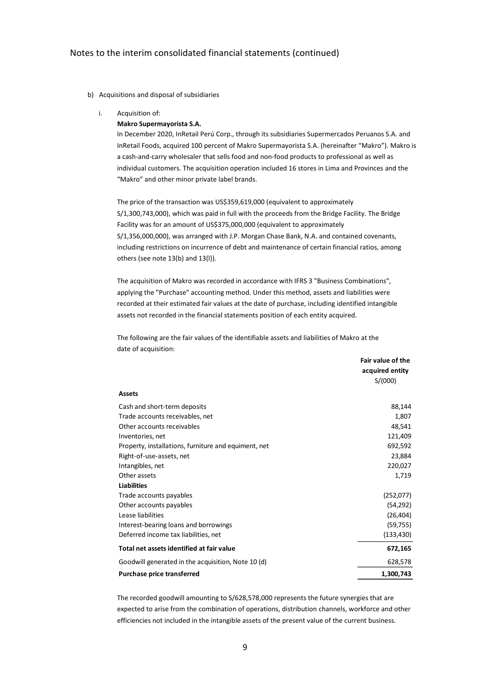#### b) Acquisitions and disposal of subsidiaries

i. Acquisition of:

#### **Makro Supermayorista S.A.**

In December 2020, InRetail Perú Corp., through its subsidiaries Supermercados Peruanos S.A. and InRetail Foods, acquired 100 percent of Makro Supermayorista S.A. (hereinafter "Makro"). Makro is a cash-and-carry wholesaler that sells food and non-food products to professional as well as individual customers. The acquisition operation included 16 stores in Lima and Provinces and the "Makro" and other minor private label brands.

The price of the transaction was US\$359,619,000 (equivalent to approximately S/1,300,743,000), which was paid in full with the proceeds from the Bridge Facility. The Bridge Facility was for an amount of US\$375,000,000 (equivalent to approximately S/1,356,000,000), was arranged with J.P. Morgan Chase Bank, N.A. and contained covenants, including restrictions on incurrence of debt and maintenance of certain financial ratios, among others (see note 13(b) and 13(l)).

The acquisition of Makro was recorded in accordance with IFRS 3 "Business Combinations", applying the "Purchase" accounting method. Under this method, assets and liabilities were recorded at their estimated fair values at the date of purchase, including identified intangible assets not recorded in the financial statements position of each entity acquired.

The following are the fair values of the identifiable assets and liabilities of Makro at the date of acquisition:

|                                                      | Fair value of the<br>acquired entity |
|------------------------------------------------------|--------------------------------------|
|                                                      | S/(000)                              |
| <b>Assets</b>                                        |                                      |
| Cash and short-term deposits                         | 88,144                               |
| Trade accounts receivables, net                      | 1,807                                |
| Other accounts receivables                           | 48,541                               |
| Inventories, net                                     | 121,409                              |
| Property, installations, furniture and equiment, net | 692,592                              |
| Right-of-use-assets, net                             | 23,884                               |
| Intangibles, net                                     | 220,027                              |
| Other assets                                         | 1,719                                |
| <b>Liabilities</b>                                   |                                      |
| Trade accounts payables                              | (252,077)                            |
| Other accounts payables                              | (54, 292)                            |
| Lease liabilities                                    | (26, 404)                            |
| Interest-bearing loans and borrowings                | (59, 755)                            |
| Deferred income tax liabilities, net                 | (133, 430)                           |
| Total net assets identified at fair value            | 672,165                              |
| Goodwill generated in the acquisition, Note 10 (d)   | 628,578                              |
| <b>Purchase price transferred</b>                    | 1,300,743                            |

The recorded goodwill amounting to S/628,578,000 represents the future synergies that are expected to arise from the combination of operations, distribution channels, workforce and other efficiencies not included in the intangible assets of the present value of the current business.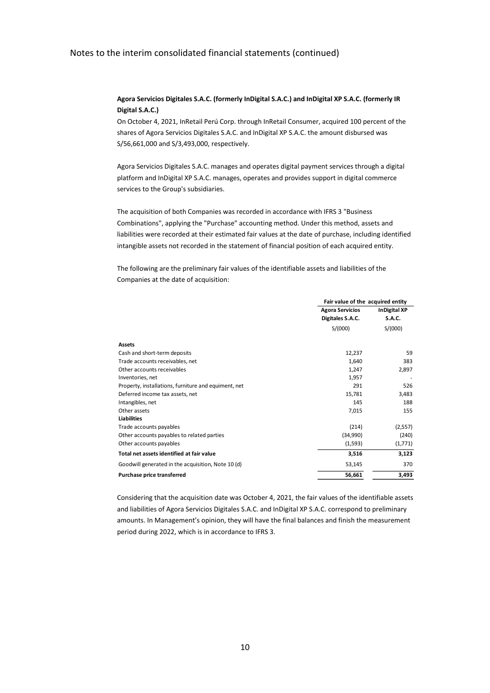## **Agora Servicios Digitales S.A.C. (formerly InDigital S.A.C.) and InDigital XP S.A.C. (formerly IR Digital S.A.C.)**

On October 4, 2021, InRetail Perú Corp. through InRetail Consumer, acquired 100 percent of the shares of Agora Servicios Digitales S.A.C. and InDigital XP S.A.C. the amount disbursed was S/56,661,000 and S/3,493,000, respectively.

Agora Servicios Digitales S.A.C. manages and operates digital payment services through a digital platform and InDigital XP S.A.C. manages, operates and provides support in digital commerce services to the Group's subsidiaries.

The acquisition of both Companies was recorded in accordance with IFRS 3 "Business Combinations", applying the "Purchase" accounting method. Under this method, assets and liabilities were recorded at their estimated fair values at the date of purchase, including identified intangible assets not recorded in the statement of financial position of each acquired entity.

The following are the preliminary fair values of the identifiable assets and liabilities of the Companies at the date of acquisition:

|                                                      | Fair value of the acquired entity             |               |  |
|------------------------------------------------------|-----------------------------------------------|---------------|--|
|                                                      | <b>Agora Servicios</b><br><b>InDigital XP</b> |               |  |
|                                                      | Digitales S.A.C.                              | <b>S.A.C.</b> |  |
|                                                      | S/(000)                                       | S/(000)       |  |
| <b>Assets</b>                                        |                                               |               |  |
| Cash and short-term deposits                         | 12,237                                        | 59            |  |
| Trade accounts receivables, net                      | 1,640                                         | 383           |  |
| Other accounts receivables                           | 1,247                                         | 2,897         |  |
| Inventories, net                                     | 1,957                                         |               |  |
| Property, installations, furniture and equiment, net | 291                                           | 526           |  |
| Deferred income tax assets, net                      | 15,781                                        | 3,483         |  |
| Intangibles, net                                     | 145                                           | 188           |  |
| Other assets                                         | 7,015                                         | 155           |  |
| <b>Liabilities</b>                                   |                                               |               |  |
| Trade accounts payables                              | (214)                                         | (2,557)       |  |
| Other accounts payables to related parties           | (34,990)                                      | (240)         |  |
| Other accounts payables                              | (1,593)                                       | (1,771)       |  |
| Total net assets identified at fair value            | 3,516                                         | 3,123         |  |
| Goodwill generated in the acquisition, Note 10 (d)   | 53,145                                        | 370           |  |
| Purchase price transferred                           | 56,661                                        | 3,493         |  |

Considering that the acquisition date was October 4, 2021, the fair values of the identifiable assets and liabilities of Agora Servicios Digitales S.A.C. and InDigital XP S.A.C. correspond to preliminary amounts. In Management's opinion, they will have the final balances and finish the measurement period during 2022, which is in accordance to IFRS 3.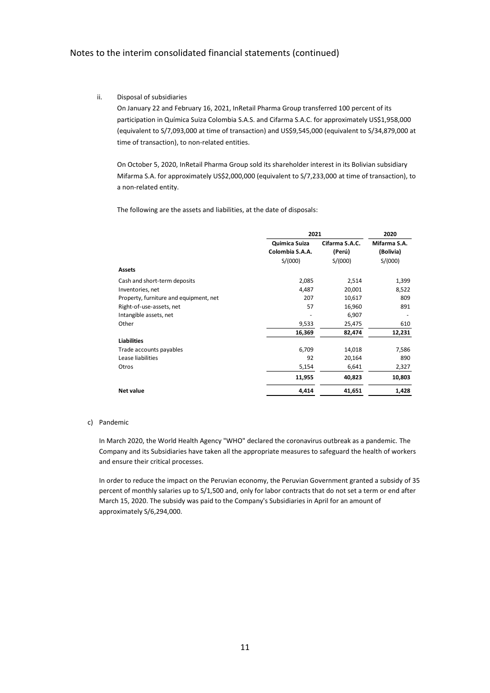#### ii. Disposal of subsidiaries

On January 22 and February 16, 2021, InRetail Pharma Group transferred 100 percent of its participation in Química Suiza Colombia S.A.S. and Cifarma S.A.C. for approximately US\$1,958,000 (equivalent to S/7,093,000 at time of transaction) and US\$9,545,000 (equivalent to S/34,879,000 at time of transaction), to non-related entities.

On October 5, 2020, InRetail Pharma Group sold its shareholder interest in its Bolivian subsidiary Mifarma S.A. for approximately US\$2,000,000 (equivalent to S/7,233,000 at time of transaction), to a non-related entity.

The following are the assets and liabilities, at the date of disposals:

|                                        | 2021            | 2020           |                          |
|----------------------------------------|-----------------|----------------|--------------------------|
|                                        | Quimica Suiza   | Cifarma S.A.C. | Mifarma S.A.             |
|                                        | Colombia S.A.A. | (Perú)         | (Bolivia)                |
|                                        | S/(000)         | S/(000)        | S/(000)                  |
| <b>Assets</b>                          |                 |                |                          |
| Cash and short-term deposits           | 2,085           | 2,514          | 1,399                    |
| Inventories, net                       | 4,487           | 20,001         | 8,522                    |
| Property, furniture and equipment, net | 207             | 10,617         | 809                      |
| Right-of-use-assets, net               | 57              | 16,960         | 891                      |
| Intangible assets, net                 |                 | 6,907          | $\overline{\phantom{a}}$ |
| Other                                  | 9,533           | 25,475         | 610                      |
|                                        | 16,369          | 82,474         | 12,231                   |
| <b>Liabilities</b>                     |                 |                |                          |
| Trade accounts payables                | 6,709           | 14,018         | 7,586                    |
| Lease liabilities                      | 92              | 20,164         | 890                      |
| Otros                                  | 5,154           | 6,641          | 2,327                    |
|                                        | 11,955          | 40,823         | 10,803                   |
| <b>Net value</b>                       | 4,414           | 41,651         | 1,428                    |

#### c) Pandemic

In March 2020, the World Health Agency "WHO" declared the coronavirus outbreak as a pandemic. The Company and its Subsidiaries have taken all the appropriate measures to safeguard the health of workers and ensure their critical processes.

In order to reduce the impact on the Peruvian economy, the Peruvian Government granted a subsidy of 35 percent of monthly salaries up to S/1,500 and, only for labor contracts that do not set a term or end after March 15, 2020. The subsidy was paid to the Company's Subsidiaries in April for an amount of approximately S/6,294,000.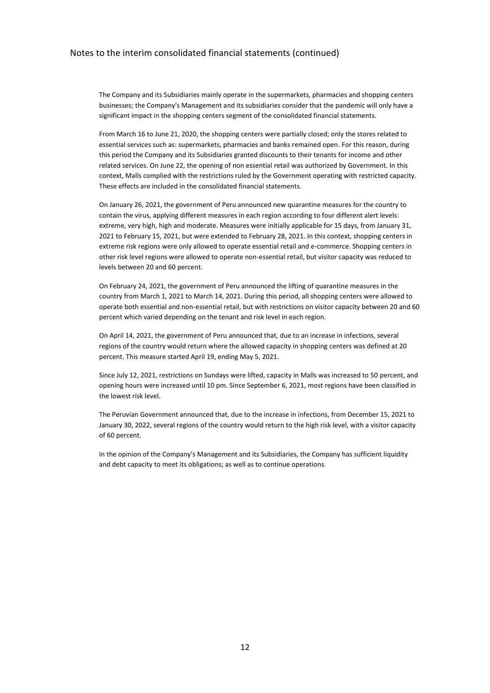The Company and its Subsidiaries mainly operate in the supermarkets, pharmacies and shopping centers businesses; the Company's Management and its subsidiaries consider that the pandemic will only have a significant impact in the shopping centers segment of the consolidated financial statements.

From March 16 to June 21, 2020, the shopping centers were partially closed; only the stores related to essential services such as: supermarkets, pharmacies and banks remained open. For this reason, during this period the Company and its Subsidiaries granted discounts to their tenants for income and other related services. On June 22, the opening of non essential retail was authorized by Government. In this context, Malls complied with the restrictions ruled by the Government operating with restricted capacity. These effects are included in the consolidated financial statements.

On January 26, 2021, the government of Peru announced new quarantine measures for the country to contain the virus, applying different measures in each region according to four different alert levels: extreme, very high, high and moderate. Measures were initially applicable for 15 days, from January 31, 2021 to February 15, 2021, but were extended to February 28, 2021. In this context, shopping centers in extreme risk regions were only allowed to operate essential retail and e-commerce. Shopping centers in other risk level regions were allowed to operate non-essential retail, but visitor capacity was reduced to levels between 20 and 60 percent.

On February 24, 2021, the government of Peru announced the lifting of quarantine measures in the country from March 1, 2021 to March 14, 2021. During this period, all shopping centers were allowed to operate both essential and non-essential retail, but with restrictions on visitor capacity between 20 and 60 percent which varied depending on the tenant and risk level in each region.

On April 14, 2021, the government of Peru announced that, due to an increase in infections, several regions of the country would return where the allowed capacity in shopping centers was defined at 20 percent. This measure started April 19, ending May 5, 2021.

Since July 12, 2021, restrictions on Sundays were lifted, capacity in Malls was increased to 50 percent, and opening hours were increased until 10 pm. Since September 6, 2021, most regions have been classified in the lowest risk level.

The Peruvian Government announced that, due to the increase in infections, from December 15, 2021 to January 30, 2022, several regions of the country would return to the high risk level, with a visitor capacity of 60 percent.

In the opinion of the Company's Management and its Subsidiaries, the Company has sufficient liquidity and debt capacity to meet its obligations; as well as to continue operations.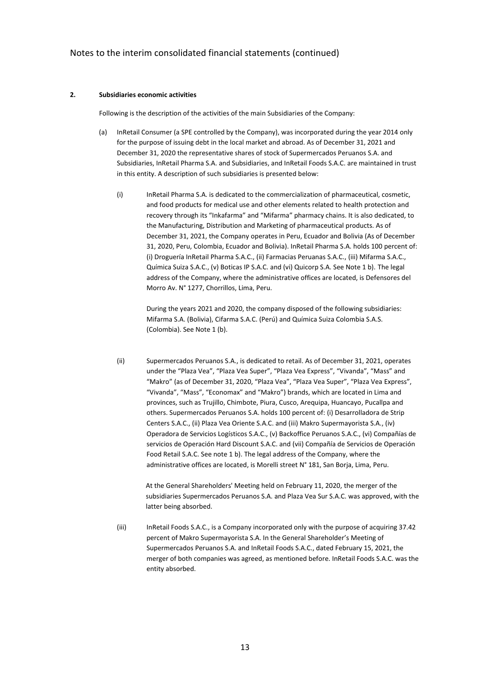#### **2. Subsidiaries economic activities**

Following is the description of the activities of the main Subsidiaries of the Company:

- (a) InRetail Consumer (a SPE controlled by the Company), was incorporated during the year 2014 only for the purpose of issuing debt in the local market and abroad. As of December 31, 2021 and December 31, 2020 the representative shares of stock of Supermercados Peruanos S.A. and Subsidiaries, InRetail Pharma S.A. and Subsidiaries, and InRetail Foods S.A.C. are maintained in trust in this entity. A description of such subsidiaries is presented below:
	- (i) InRetail Pharma S.A. is dedicated to the commercialization of pharmaceutical, cosmetic, and food products for medical use and other elements related to health protection and recovery through its "Inkafarma" and "Mifarma" pharmacy chains. It is also dedicated, to the Manufacturing, Distribution and Marketing of pharmaceutical products. As of December 31, 2021, the Company operates in Peru, Ecuador and Bolivia (As of December 31, 2020, Peru, Colombia, Ecuador and Bolivia). InRetail Pharma S.A. holds 100 percent of: (i) Droguería InRetail Pharma S.A.C., (ii) Farmacias Peruanas S.A.C., (iii) Mifarma S.A.C., Química Suiza S.A.C., (v) Boticas IP S.A.C. and (vi) Quicorp S.A. See Note 1 b). The legal address of the Company, where the administrative offices are located, is Defensores del Morro Av. N° 1277, Chorrillos, Lima, Peru.

During the years 2021 and 2020, the company disposed of the following subsidiaries: Mifarma S.A. (Bolivia), Cifarma S.A.C. (Perú) and Química Suiza Colombia S.A.S. (Colombia). See Note 1 (b).

(ii) Supermercados Peruanos S.A., is dedicated to retail. As of December 31, 2021, operates under the "Plaza Vea", "Plaza Vea Super", "Plaza Vea Express", "Vivanda", "Mass" and "Makro" (as of December 31, 2020, "Plaza Vea", "Plaza Vea Super", "Plaza Vea Express", "Vivanda", "Mass", "Economax" and "Makro") brands, which are located in Lima and provinces, such as Trujillo, Chimbote, Piura, Cusco, Arequipa, Huancayo, Pucallpa and others. Supermercados Peruanos S.A. holds 100 percent of: (i) Desarrolladora de Strip Centers S.A.C., (ii) Plaza Vea Oriente S.A.C. and (iii) Makro Supermayorista S.A., (iv) Operadora de Servicios Logísticos S.A.C., (v) Backoffice Peruanos S.A.C., (vi) Compañías de servicios de Operación Hard Discount S.A.C. and (vii) Compañía de Servicios de Operación Food Retail S.A.C. See note 1 b). The legal address of the Company, where the administrative offices are located, is Morelli street N° 181, San Borja, Lima, Peru.

At the General Shareholders' Meeting held on February 11, 2020, the merger of the subsidiaries Supermercados Peruanos S.A. and Plaza Vea Sur S.A.C. was approved, with the latter being absorbed.

(iii) InRetail Foods S.A.C., is a Company incorporated only with the purpose of acquiring 37.42 percent of Makro Supermayorista S.A. In the General Shareholder's Meeting of Supermercados Peruanos S.A. and InRetail Foods S.A.C., dated February 15, 2021, the merger of both companies was agreed, as mentioned before. InRetail Foods S.A.C. was the entity absorbed.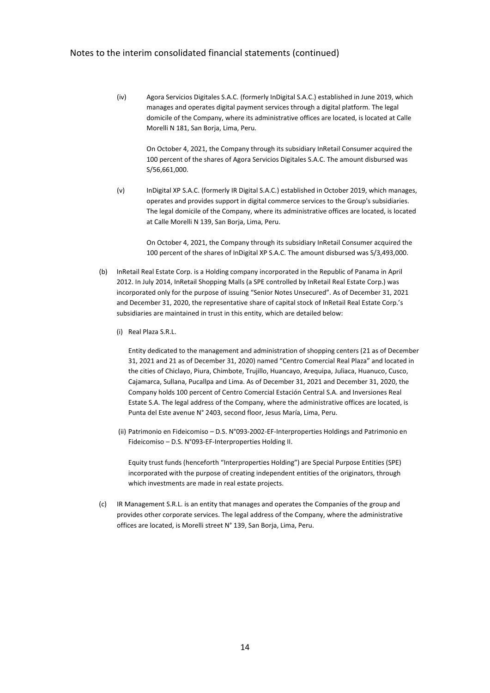(iv) Agora Servicios Digitales S.A.C. (formerly InDigital S.A.C.) established in June 2019, which manages and operates digital payment services through a digital platform. The legal domicile of the Company, where its administrative offices are located, is located at Calle Morelli N 181, San Borja, Lima, Peru.

On October 4, 2021, the Company through its subsidiary InRetail Consumer acquired the 100 percent of the shares of Agora Servicios Digitales S.A.C. The amount disbursed was S/56,661,000.

(v) InDigital XP S.A.C. (formerly IR Digital S.A.C.) established in October 2019, which manages, operates and provides support in digital commerce services to the Group's subsidiaries. The legal domicile of the Company, where its administrative offices are located, is located at Calle Morelli N 139, San Borja, Lima, Peru.

On October 4, 2021, the Company through its subsidiary InRetail Consumer acquired the 100 percent of the shares of InDigital XP S.A.C. The amount disbursed was S/3,493,000.

- (b) InRetail Real Estate Corp. is a Holding company incorporated in the Republic of Panama in April 2012. In July 2014, InRetail Shopping Malls (a SPE controlled by InRetail Real Estate Corp.) was incorporated only for the purpose of issuing "Senior Notes Unsecured". As of December 31, 2021 and December 31, 2020, the representative share of capital stock of InRetail Real Estate Corp.'s subsidiaries are maintained in trust in this entity, which are detailed below:
	- (i) Real Plaza S.R.L.

Entity dedicated to the management and administration of shopping centers (21 as of December 31, 2021 and 21 as of December 31, 2020) named "Centro Comercial Real Plaza" and located in the cities of Chiclayo, Piura, Chimbote, Trujillo, Huancayo, Arequipa, Juliaca, Huanuco, Cusco, Cajamarca, Sullana, Pucallpa and Lima. As of December 31, 2021 and December 31, 2020, the Company holds 100 percent of Centro Comercial Estación Central S.A. and Inversiones Real Estate S.A. The legal address of the Company, where the administrative offices are located, is Punta del Este avenue N° 2403, second floor, Jesus María, Lima, Peru.

(ii) Patrimonio en Fideicomiso – D.S. N°093-2002-EF-Interproperties Holdings and Patrimonio en Fideicomiso – D.S. N°093-EF-Interproperties Holding II.

Equity trust funds (henceforth "Interproperties Holding") are Special Purpose Entities (SPE) incorporated with the purpose of creating independent entities of the originators, through which investments are made in real estate projects.

(c) IR Management S.R.L. is an entity that manages and operates the Companies of the group and provides other corporate services. The legal address of the Company, where the administrative offices are located, is Morelli street N° 139, San Borja, Lima, Peru.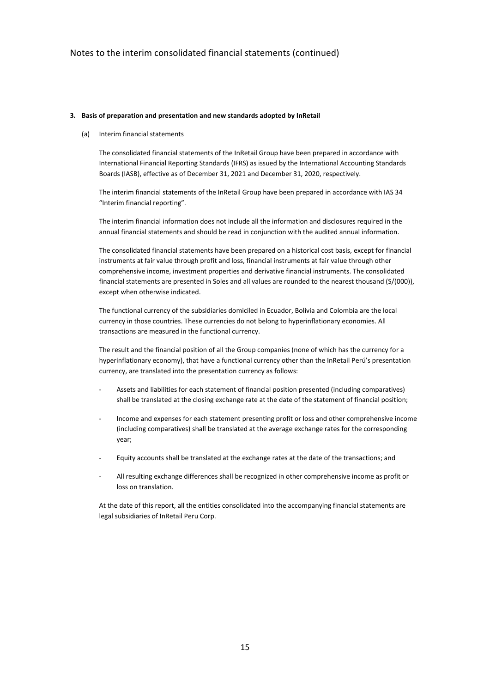#### **3. Basis of preparation and presentation and new standards adopted by InRetail**

(a) Interim financial statements

The consolidated financial statements of the InRetail Group have been prepared in accordance with International Financial Reporting Standards (IFRS) as issued by the International Accounting Standards Boards (IASB), effective as of December 31, 2021 and December 31, 2020, respectively.

The interim financial statements of the InRetail Group have been prepared in accordance with IAS 34 "Interim financial reporting".

The interim financial information does not include all the information and disclosures required in the annual financial statements and should be read in conjunction with the audited annual information.

The consolidated financial statements have been prepared on a historical cost basis, except for financial instruments at fair value through profit and loss, financial instruments at fair value through other comprehensive income, investment properties and derivative financial instruments. The consolidated financial statements are presented in Soles and all values are rounded to the nearest thousand (S/(000)), except when otherwise indicated.

The functional currency of the subsidiaries domiciled in Ecuador, Bolivia and Colombia are the local currency in those countries. These currencies do not belong to hyperinflationary economies. All transactions are measured in the functional currency.

The result and the financial position of all the Group companies (none of which has the currency for a hyperinflationary economy), that have a functional currency other than the InRetail Perú's presentation currency, are translated into the presentation currency as follows:

- Assets and liabilities for each statement of financial position presented (including comparatives) shall be translated at the closing exchange rate at the date of the statement of financial position;
- Income and expenses for each statement presenting profit or loss and other comprehensive income (including comparatives) shall be translated at the average exchange rates for the corresponding year;
- Equity accounts shall be translated at the exchange rates at the date of the transactions; and
- All resulting exchange differences shall be recognized in other comprehensive income as profit or loss on translation.

At the date of this report, all the entities consolidated into the accompanying financial statements are legal subsidiaries of InRetail Peru Corp.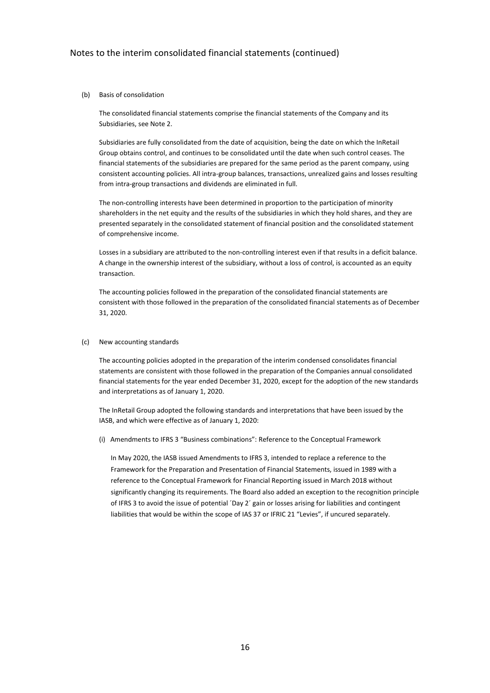#### (b) Basis of consolidation

The consolidated financial statements comprise the financial statements of the Company and its Subsidiaries, see Note 2.

Subsidiaries are fully consolidated from the date of acquisition, being the date on which the InRetail Group obtains control, and continues to be consolidated until the date when such control ceases. The financial statements of the subsidiaries are prepared for the same period as the parent company, using consistent accounting policies. All intra-group balances, transactions, unrealized gains and losses resulting from intra-group transactions and dividends are eliminated in full.

The non-controlling interests have been determined in proportion to the participation of minority shareholders in the net equity and the results of the subsidiaries in which they hold shares, and they are presented separately in the consolidated statement of financial position and the consolidated statement of comprehensive income.

Losses in a subsidiary are attributed to the non-controlling interest even if that results in a deficit balance. A change in the ownership interest of the subsidiary, without a loss of control, is accounted as an equity transaction.

The accounting policies followed in the preparation of the consolidated financial statements are consistent with those followed in the preparation of the consolidated financial statements as of December 31, 2020.

#### (c) New accounting standards

The accounting policies adopted in the preparation of the interim condensed consolidates financial statements are consistent with those followed in the preparation of the Companies annual consolidated financial statements for the year ended December 31, 2020, except for the adoption of the new standards and interpretations as of January 1, 2020.

The InRetail Group adopted the following standards and interpretations that have been issued by the IASB, and which were effective as of January 1, 2020:

(i) Amendments to IFRS 3 "Business combinations": Reference to the Conceptual Framework

In May 2020, the IASB issued Amendments to IFRS 3, intended to replace a reference to the Framework for the Preparation and Presentation of Financial Statements, issued in 1989 with a reference to the Conceptual Framework for Financial Reporting issued in March 2018 without significantly changing its requirements. The Board also added an exception to the recognition principle of IFRS 3 to avoid the issue of potential ´Day 2´ gain or losses arising for liabilities and contingent liabilities that would be within the scope of IAS 37 or IFRIC 21 "Levies", if uncured separately.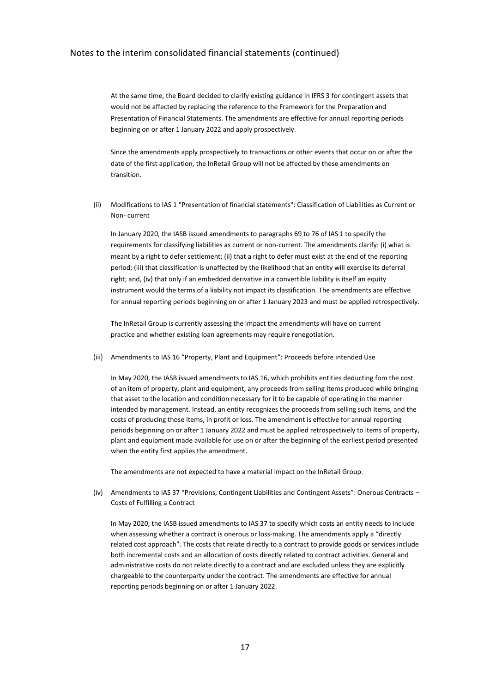At the same time, the Board decided to clarify existing guidance in IFRS 3 for contingent assets that would not be affected by replacing the reference to the Framework for the Preparation and Presentation of Financial Statements. The amendments are effective for annual reporting periods beginning on or after 1 January 2022 and apply prospectively.

Since the amendments apply prospectively to transactions or other events that occur on or after the date of the first application, the InRetail Group will not be affected by these amendments on transition.

(ii) Modifications to IAS 1 "Presentation of financial statements": Classification of Liabilities as Current or Non- current

In January 2020, the IASB issued amendments to paragraphs 69 to 76 of IAS 1 to specify the requirements for classifying liabilities as current or non-current. The amendments clarify: (i) what is meant by a right to defer settlement; (ii) that a right to defer must exist at the end of the reporting period; (iii) that classification is unaffected by the likelihood that an entity will exercise its deferral right; and, (iv) that only if an embedded derivative in a convertible liability is itself an equity instrument would the terms of a liability not impact its classification. The amendments are effective for annual reporting periods beginning on or after 1 January 2023 and must be applied retrospectively.

The InRetail Group is currently assessing the impact the amendments will have on current practice and whether existing loan agreements may require renegotiation.

(iii) Amendments to IAS 16 "Property, Plant and Equipment": Proceeds before intended Use

In May 2020, the IASB issued amendments to IAS 16, which prohibits entities deducting fom the cost of an item of property, plant and equipment, any proceeds from selling items produced while bringing that asset to the location and condition necessary for it to be capable of operating in the manner intended by management. Instead, an entity recognizes the proceeds from selling such items, and the costs of producing those items, in profit or loss. The amendment is effective for annual reporting periods beginning on or after 1 January 2022 and must be applied retrospectively to items of property, plant and equipment made available for use on or after the beginning of the earliest period presented when the entity first applies the amendment.

The amendments are not expected to have a material impact on the InRetail Group.

(iv) Amendments to IAS 37 "Provisions, Contingent Liabilities and Contingent Assets": Onerous Contracts – Costs of Fulfilling a Contract

In May 2020, the IASB issued amendments to IAS 37 to specify which costs an entity needs to include when assessing whether a contract is onerous or loss-making. The amendments apply a "directly related cost approach". The costs that relate directly to a contract to provide goods or services include both incremental costs and an allocation of costs directly related to contract activities. General and administrative costs do not relate directly to a contract and are excluded unless they are explicitly chargeable to the counterparty under the contract. The amendments are effective for annual reporting periods beginning on or after 1 January 2022.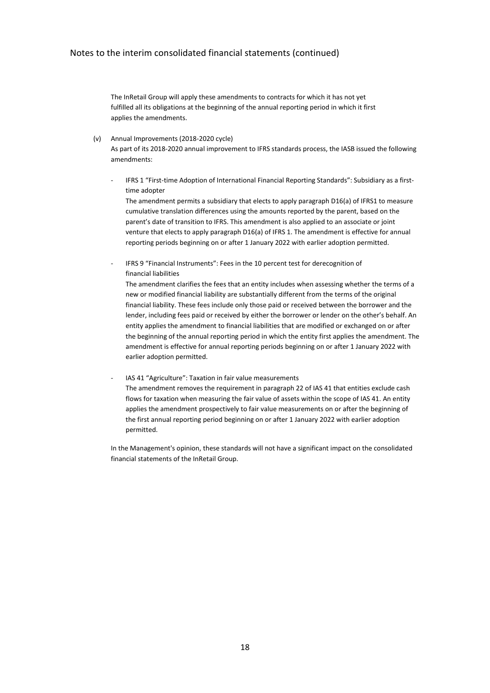The InRetail Group will apply these amendments to contracts for which it has not yet fulfilled all its obligations at the beginning of the annual reporting period in which it first applies the amendments.

(v) Annual Improvements (2018-2020 cycle)

As part of its 2018-2020 annual improvement to IFRS standards process, the IASB issued the following amendments:

IFRS 1 "First-time Adoption of International Financial Reporting Standards": Subsidiary as a firsttime adopter

The amendment permits a subsidiary that elects to apply paragraph D16(a) of IFRS1 to measure cumulative translation differences using the amounts reported by the parent, based on the parent's date of transition to IFRS. This amendment is also applied to an associate or joint venture that elects to apply paragraph D16(a) of IFRS 1. The amendment is effective for annual reporting periods beginning on or after 1 January 2022 with earlier adoption permitted.

- IFRS 9 "Financial Instruments": Fees in the 10 percent test for derecognition of financial liabilities

The amendment clarifies the fees that an entity includes when assessing whether the terms of a new or modified financial liability are substantially different from the terms of the original financial liability. These fees include only those paid or received between the borrower and the lender, including fees paid or received by either the borrower or lender on the other's behalf. An entity applies the amendment to financial liabilities that are modified or exchanged on or after the beginning of the annual reporting period in which the entity first applies the amendment. The amendment is effective for annual reporting periods beginning on or after 1 January 2022 with earlier adoption permitted.

IAS 41 "Agriculture": Taxation in fair value measurements The amendment removes the requirement in paragraph 22 of IAS 41 that entities exclude cash flows for taxation when measuring the fair value of assets within the scope of IAS 41. An entity applies the amendment prospectively to fair value measurements on or after the beginning of the first annual reporting period beginning on or after 1 January 2022 with earlier adoption permitted.

In the Management's opinion, these standards will not have a significant impact on the consolidated financial statements of the InRetail Group.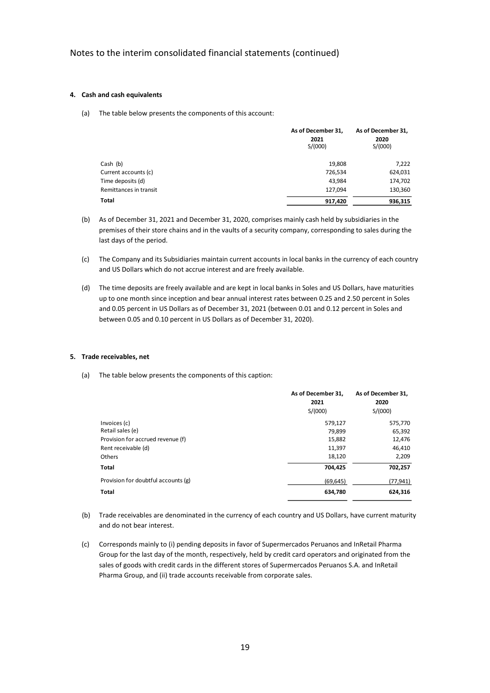#### **4. Cash and cash equivalents**

(a) The table below presents the components of this account:

|                        | As of December 31,<br>2021<br>S/(000) | As of December 31,<br>2020<br>S/(000) |
|------------------------|---------------------------------------|---------------------------------------|
| Cash (b)               | 19,808                                | 7,222                                 |
| Current accounts (c)   | 726,534                               | 624,031                               |
| Time deposits (d)      | 43,984                                | 174,702                               |
| Remittances in transit | 127,094                               | 130,360                               |
| Total                  | 917.420                               | 936,315                               |

- (b) As of December 31, 2021 and December 31, 2020, comprises mainly cash held by subsidiaries in the premises of their store chains and in the vaults of a security company, corresponding to sales during the last days of the period.
- (c) The Company and its Subsidiaries maintain current accounts in local banks in the currency of each country and US Dollars which do not accrue interest and are freely available.
- (d) The time deposits are freely available and are kept in local banks in Soles and US Dollars, have maturities up to one month since inception and bear annual interest rates between 0.25 and 2.50 percent in Soles and 0.05 percent in US Dollars as of December 31, 2021 (between 0.01 and 0.12 percent in Soles and between 0.05 and 0.10 percent in US Dollars as of December 31, 2020).

#### **5. Trade receivables, net**

(a) The table below presents the components of this caption:

|                                     | As of December 31,<br>2021 | As of December 31,<br>2020 |
|-------------------------------------|----------------------------|----------------------------|
|                                     | S/(000)                    | S/(000)                    |
| Invoices (c)                        | 579,127                    | 575,770                    |
| Retail sales (e)                    | 79.899                     | 65.392                     |
| Provision for accrued revenue (f)   | 15,882                     | 12,476                     |
| Rent receivable (d)                 | 11,397                     | 46,410                     |
| <b>Others</b>                       | 18,120                     | 2,209                      |
| Total                               | 704,425                    | 702,257                    |
| Provision for doubtful accounts (g) | (69, 645)                  | (77,941)                   |
| Total                               | 634,780                    | 624,316                    |

- (b) Trade receivables are denominated in the currency of each country and US Dollars, have current maturity and do not bear interest.
- (c) Corresponds mainly to (i) pending deposits in favor of Supermercados Peruanos and InRetail Pharma Group for the last day of the month, respectively, held by credit card operators and originated from the sales of goods with credit cards in the different stores of Supermercados Peruanos S.A. and InRetail Pharma Group, and (ii) trade accounts receivable from corporate sales.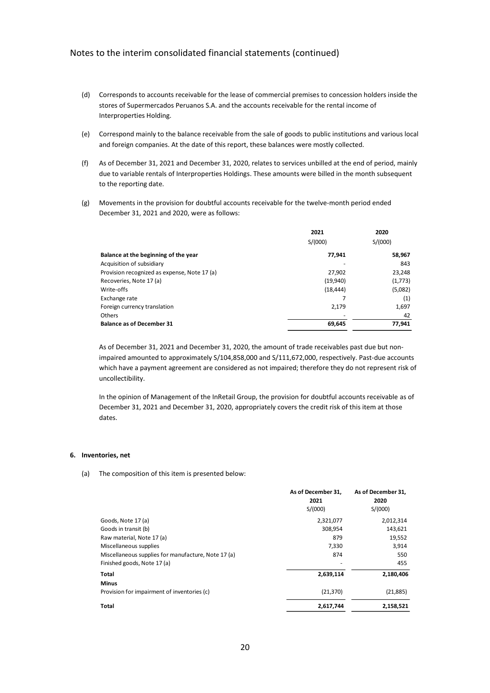- (d) Corresponds to accounts receivable for the lease of commercial premises to concession holders inside the stores of Supermercados Peruanos S.A. and the accounts receivable for the rental income of Interproperties Holding.
- (e) Correspond mainly to the balance receivable from the sale of goods to public institutions and various local and foreign companies. At the date of this report, these balances were mostly collected.
- (f) As of December 31, 2021 and December 31, 2020, relates to services unbilled at the end of period, mainly due to variable rentals of Interproperties Holdings. These amounts were billed in the month subsequent to the reporting date.
- (g) Movements in the provision for doubtful accounts receivable for the twelve-month period ended December 31, 2021 and 2020, were as follows:

|                                              | 2021      | 2020    |
|----------------------------------------------|-----------|---------|
|                                              | S/(000)   | S/(000) |
| Balance at the beginning of the year         | 77,941    | 58,967  |
| Acquisition of subsidiary                    |           | 843     |
| Provision recognized as expense, Note 17 (a) | 27,902    | 23,248  |
| Recoveries, Note 17 (a)                      | (19,940)  | (1,773) |
| Write-offs                                   | (18, 444) | (5,082) |
| Exchange rate                                |           | (1)     |
| Foreign currency translation                 | 2,179     | 1,697   |
| Others                                       |           | 42      |
| <b>Balance as of December 31</b>             | 69,645    | 77,941  |

As of December 31, 2021 and December 31, 2020, the amount of trade receivables past due but nonimpaired amounted to approximately S/104,858,000 and S/111,672,000, respectively. Past-due accounts which have a payment agreement are considered as not impaired; therefore they do not represent risk of uncollectibility.

In the opinion of Management of the InRetail Group, the provision for doubtful accounts receivable as of December 31, 2021 and December 31, 2020, appropriately covers the credit risk of this item at those dates.

#### **6. Inventories, net**

#### (a) The composition of this item is presented below:

|                                                     | As of December 31, | As of December 31, |
|-----------------------------------------------------|--------------------|--------------------|
|                                                     | 2021               | 2020               |
|                                                     | S/(000)            | S/(000)            |
| Goods, Note 17 (a)                                  | 2,321,077          | 2,012,314          |
| Goods in transit (b)                                | 308,954            | 143,621            |
| Raw material, Note 17 (a)                           | 879                | 19,552             |
| Miscellaneous supplies                              | 7,330              | 3,914              |
| Miscellaneous supplies for manufacture, Note 17 (a) | 874                | 550                |
| Finished goods, Note 17 (a)                         | ٠                  | 455                |
| Total                                               | 2,639,114          | 2,180,406          |
| <b>Minus</b>                                        |                    |                    |
| Provision for impairment of inventories (c)         | (21, 370)          | (21,885)           |
| Total                                               | 2,617,744          | 2,158,521          |
|                                                     |                    |                    |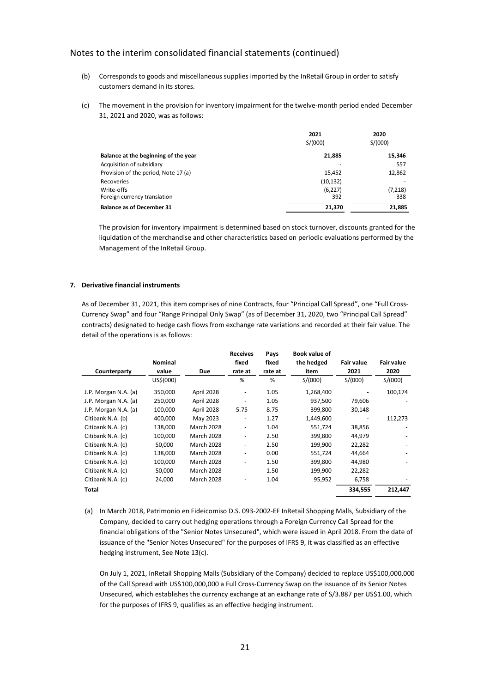- (b) Corresponds to goods and miscellaneous supplies imported by the InRetail Group in order to satisfy customers demand in its stores.
- (c) The movement in the provision for inventory impairment for the twelve-month period ended December 31, 2021 and 2020, was as follows:

|                                      | 2021      | 2020    |
|--------------------------------------|-----------|---------|
|                                      | S/(000)   | S/(000) |
| Balance at the beginning of the year | 21,885    | 15,346  |
| Acquisition of subsidiary            | -         | 557     |
| Provision of the period, Note 17 (a) | 15,452    | 12,862  |
| Recoveries                           | (10, 132) |         |
| Write-offs                           | (6,227)   | (7,218) |
| Foreign currency translation         | 392       | 338     |
| <b>Balance as of December 31</b>     | 21,370    | 21,885  |

The provision for inventory impairment is determined based on stock turnover, discounts granted for the liquidation of the merchandise and other characteristics based on periodic evaluations performed by the Management of the InRetail Group.

## **7. Derivative financial instruments**

As of December 31, 2021, this item comprises of nine Contracts, four "Principal Call Spread", one "Full Cross-Currency Swap" and four "Range Principal Only Swap" (as of December 31, 2020, two "Principal Call Spread" contracts) designated to hedge cash flows from exchange rate variations and recorded at their fair value. The detail of the operations is as follows:

|                      | <b>Nominal</b> |                   | <b>Receives</b><br>fixed     | Pays<br>fixed | Book value of<br>the hedged | <b>Fair value</b> | <b>Fair value</b> |
|----------------------|----------------|-------------------|------------------------------|---------------|-----------------------------|-------------------|-------------------|
| Counterparty         | value          | <b>Due</b>        | rate at                      | rate at       | item                        | 2021              | 2020              |
|                      | US\$(000)      |                   | %                            | %             | S/(000)                     | S/(000)           | S/(000)           |
| J.P. Morgan N.A. (a) | 350,000        | April 2028        | $\qquad \qquad \blacksquare$ | 1.05          | 1,268,400                   |                   | 100,174           |
| J.P. Morgan N.A. (a) | 250,000        | April 2028        | $\qquad \qquad \blacksquare$ | 1.05          | 937,500                     | 79,606            |                   |
| J.P. Morgan N.A. (a) | 100,000        | April 2028        | 5.75                         | 8.75          | 399,800                     | 30,148            |                   |
| Citibank N.A. (b)    | 400,000        | May 2023          | $\qquad \qquad \blacksquare$ | 1.27          | 1,449,600                   |                   | 112,273           |
| Citibank N.A. (c)    | 138,000        | <b>March 2028</b> | $\overline{\phantom{0}}$     | 1.04          | 551,724                     | 38,856            |                   |
| Citibank N.A. (c)    | 100,000        | <b>March 2028</b> | $\overline{\phantom{0}}$     | 2.50          | 399,800                     | 44,979            |                   |
| Citibank N.A. (c)    | 50.000         | <b>March 2028</b> | $\overline{\phantom{0}}$     | 2.50          | 199,900                     | 22,282            |                   |
| Citibank N.A. (c)    | 138,000        | <b>March 2028</b> | ٠                            | 0.00          | 551,724                     | 44,664            |                   |
| Citibank N.A. (c)    | 100,000        | <b>March 2028</b> | $\overline{\phantom{0}}$     | 1.50          | 399,800                     | 44,980            |                   |
| Citibank N.A. (c)    | 50,000         | <b>March 2028</b> | $\qquad \qquad \blacksquare$ | 1.50          | 199,900                     | 22,282            |                   |
| Citibank N.A. (c)    | 24,000         | <b>March 2028</b> | $\qquad \qquad \blacksquare$ | 1.04          | 95,952                      | 6,758             |                   |
| Total                |                |                   |                              |               |                             | 334,555           | 212,447           |

(a) In March 2018, Patrimonio en Fideicomiso D.S. 093-2002-EF InRetail Shopping Malls, Subsidiary of the Company, decided to carry out hedging operations through a Foreign Currency Call Spread for the financial obligations of the "Senior Notes Unsecured", which were issued in April 2018. From the date of issuance of the "Senior Notes Unsecured" for the purposes of IFRS 9, it was classified as an effective hedging instrument, See Note 13(c).

On July 1, 2021, InRetail Shopping Malls (Subsidiary of the Company) decided to replace US\$100,000,000 of the Call Spread with US\$100,000,000 a Full Cross-Currency Swap on the issuance of its Senior Notes Unsecured, which establishes the currency exchange at an exchange rate of S/3.887 per US\$1.00, which for the purposes of IFRS 9, qualifies as an effective hedging instrument.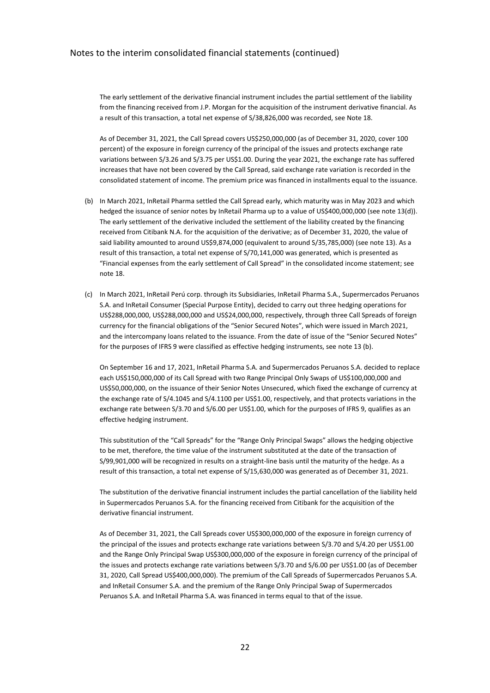The early settlement of the derivative financial instrument includes the partial settlement of the liability from the financing received from J.P. Morgan for the acquisition of the instrument derivative financial. As a result of this transaction, a total net expense of S/38,826,000 was recorded, see Note 18.

As of December 31, 2021, the Call Spread covers US\$250,000,000 (as of December 31, 2020, cover 100 percent) of the exposure in foreign currency of the principal of the issues and protects exchange rate variations between S/3.26 and S/3.75 per US\$1.00. During the year 2021, the exchange rate has suffered increases that have not been covered by the Call Spread, said exchange rate variation is recorded in the consolidated statement of income. The premium price was financed in installments equal to the issuance.

- (b) In March 2021, InRetail Pharma settled the Call Spread early, which maturity was in May 2023 and which hedged the issuance of senior notes by InRetail Pharma up to a value of US\$400,000,000 (see note 13(d)). The early settlement of the derivative included the settlement of the liability created by the financing received from Citibank N.A. for the acquisition of the derivative; as of December 31, 2020, the value of said liability amounted to around US\$9,874,000 (equivalent to around S/35,785,000) (see note 13). As a result of this transaction, a total net expense of S/70,141,000 was generated, which is presented as "Financial expenses from the early settlement of Call Spread" in the consolidated income statement; see note 18.
- (c) In March 2021, InRetail Perú corp. through its Subsidiaries, InRetail Pharma S.A., Supermercados Peruanos S.A. and InRetail Consumer (Special Purpose Entity), decided to carry out three hedging operations for US\$288,000,000, US\$288,000,000 and US\$24,000,000, respectively, through three Call Spreads of foreign currency for the financial obligations of the "Senior Secured Notes", which were issued in March 2021, and the intercompany loans related to the issuance. From the date of issue of the "Senior Secured Notes" for the purposes of IFRS 9 were classified as effective hedging instruments, see note 13 (b).

On September 16 and 17, 2021, InRetail Pharma S.A. and Supermercados Peruanos S.A. decided to replace each US\$150,000,000 of its Call Spread with two Range Principal Only Swaps of US\$100,000,000 and US\$50,000,000, on the issuance of their Senior Notes Unsecured, which fixed the exchange of currency at the exchange rate of S/4.1045 and S/4.1100 per US\$1.00, respectively, and that protects variations in the exchange rate between S/3.70 and S/6.00 per US\$1.00, which for the purposes of IFRS 9, qualifies as an effective hedging instrument.

This substitution of the "Call Spreads" for the "Range Only Principal Swaps" allows the hedging objective to be met, therefore, the time value of the instrument substituted at the date of the transaction of S/99,901,000 will be recognized in results on a straight-line basis until the maturity of the hedge. As a result of this transaction, a total net expense of S/15,630,000 was generated as of December 31, 2021.

The substitution of the derivative financial instrument includes the partial cancellation of the liability held in Supermercados Peruanos S.A. for the financing received from Citibank for the acquisition of the derivative financial instrument.

As of December 31, 2021, the Call Spreads cover US\$300,000,000 of the exposure in foreign currency of the principal of the issues and protects exchange rate variations between S/3.70 and S/4.20 per US\$1.00 and the Range Only Principal Swap US\$300,000,000 of the exposure in foreign currency of the principal of the issues and protects exchange rate variations between S/3.70 and S/6.00 per US\$1.00 (as of December 31, 2020, Call Spread US\$400,000,000). The premium of the Call Spreads of Supermercados Peruanos S.A. and InRetail Consumer S.A. and the premium of the Range Only Principal Swap of Supermercados Peruanos S.A. and InRetail Pharma S.A. was financed in terms equal to that of the issue.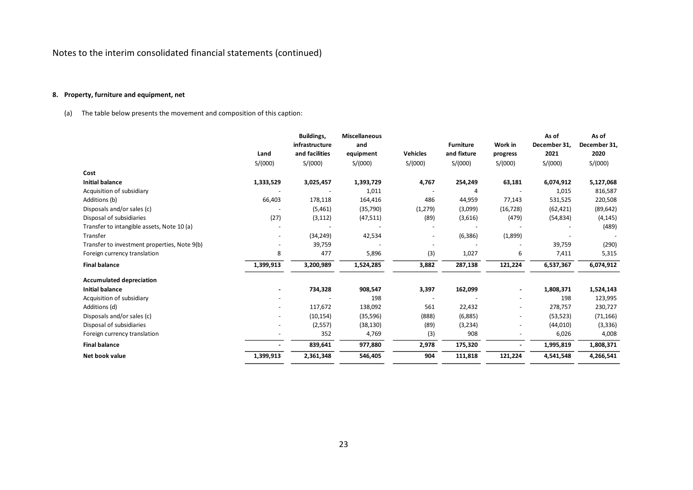## **8. Property, furniture and equipment, net**

(a) The table below presents the movement and composition of this caption:

|                                              |           | Buildings,     | <b>Miscellaneous</b> |                 |                  |                          | As of        | As of        |
|----------------------------------------------|-----------|----------------|----------------------|-----------------|------------------|--------------------------|--------------|--------------|
|                                              |           | infrastructure | and                  |                 | <b>Furniture</b> | Work in                  | December 31, | December 31, |
|                                              | Land      | and facilities | equipment            | <b>Vehicles</b> | and fixture      | progress                 | 2021         | 2020         |
|                                              | S/(000)   | S/(000)        | S/(000)              | S/(000)         | S/(000)          | S/(000)                  | S/(000)      | S/(000)      |
| Cost                                         |           |                |                      |                 |                  |                          |              |              |
| <b>Initial balance</b>                       | 1,333,529 | 3,025,457      | 1,393,729            | 4,767           | 254,249          | 63,181                   | 6,074,912    | 5,127,068    |
| Acquisition of subsidiary                    |           |                | 1,011                |                 | Δ                |                          | 1,015        | 816,587      |
| Additions (b)                                | 66,403    | 178,118        | 164,416              | 486             | 44,959           | 77,143                   | 531,525      | 220,508      |
| Disposals and/or sales (c)                   |           | (5,461)        | (35, 790)            | (1, 279)        | (3,099)          | (16, 728)                | (62, 421)    | (89, 642)    |
| Disposal of subsidiaries                     | (27)      | (3, 112)       | (47, 511)            | (89)            | (3,616)          | (479)                    | (54, 834)    | (4, 145)     |
| Transfer to intangible assets, Note 10 (a)   |           |                |                      |                 |                  |                          |              | (489)        |
| Transfer                                     |           | (34, 249)      | 42,534               |                 | (6, 386)         | (1,899)                  |              |              |
| Transfer to investment properties, Note 9(b) |           | 39,759         |                      |                 |                  |                          | 39,759       | (290)        |
| Foreign currency translation                 | 8         | 477            | 5,896                | (3)             | 1,027            | 6                        | 7,411        | 5,315        |
| <b>Final balance</b>                         | 1,399,913 | 3,200,989      | 1,524,285            | 3,882           | 287,138          | 121,224                  | 6,537,367    | 6,074,912    |
| <b>Accumulated depreciation</b>              |           |                |                      |                 |                  |                          |              |              |
| <b>Initial balance</b>                       |           | 734,328        | 908,547              | 3,397           | 162,099          |                          | 1,808,371    | 1,524,143    |
| Acquisition of subsidiary                    |           |                | 198                  |                 |                  |                          | 198          | 123,995      |
| Additions (d)                                |           | 117,672        | 138,092              | 561             | 22,432           | $\overline{\phantom{0}}$ | 278,757      | 230,727      |
| Disposals and/or sales (c)                   |           | (10, 154)      | (35, 596)            | (888)           | (6,885)          | $\overline{\phantom{a}}$ | (53, 523)    | (71, 166)    |
| Disposal of subsidiaries                     |           | (2,557)        | (38, 130)            | (89)            | (3,234)          |                          | (44, 010)    | (3,336)      |
| Foreign currency translation                 |           | 352            | 4,769                | (3)             | 908              |                          | 6,026        | 4,008        |
| <b>Final balance</b>                         |           | 839,641        | 977,880              | 2,978           | 175,320          |                          | 1,995,819    | 1,808,371    |
| Net book value                               | 1,399,913 | 2,361,348      | 546,405              | 904             | 111,818          | 121,224                  | 4,541,548    | 4,266,541    |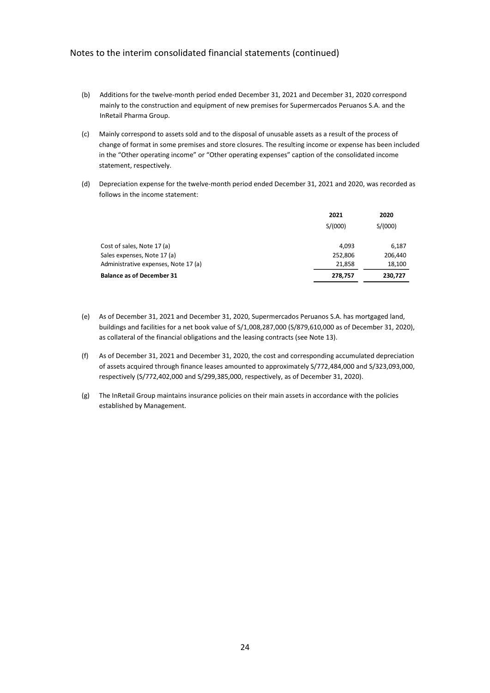- (b) Additions for the twelve-month period ended December 31, 2021 and December 31, 2020 correspond mainly to the construction and equipment of new premises for Supermercados Peruanos S.A. and the InRetail Pharma Group.
- (c) Mainly correspond to assets sold and to the disposal of unusable assets as a result of the process of change of format in some premises and store closures. The resulting income or expense has been included in the "Other operating income" or "Other operating expenses" caption of the consolidated income statement, respectively.
- (d) Depreciation expense for the twelve-month period ended December 31, 2021 and 2020, was recorded as follows in the income statement:

|                                      | 2021    | 2020    |  |
|--------------------------------------|---------|---------|--|
|                                      | S/(000) | S/(000) |  |
| Cost of sales, Note 17 (a)           | 4.093   | 6,187   |  |
| Sales expenses, Note 17 (a)          | 252,806 | 206,440 |  |
| Administrative expenses, Note 17 (a) | 21,858  | 18,100  |  |
| <b>Balance as of December 31</b>     | 278,757 | 230,727 |  |

- (e) As of December 31, 2021 and December 31, 2020, Supermercados Peruanos S.A. has mortgaged land, buildings and facilities for a net book value of S/1,008,287,000 (S/879,610,000 as of December 31, 2020), as collateral of the financial obligations and the leasing contracts (see Note 13).
- (f) As of December 31, 2021 and December 31, 2020, the cost and corresponding accumulated depreciation of assets acquired through finance leases amounted to approximately S/772,484,000 and S/323,093,000, respectively (S/772,402,000 and S/299,385,000, respectively, as of December 31, 2020).
- (g) The InRetail Group maintains insurance policies on their main assets in accordance with the policies established by Management.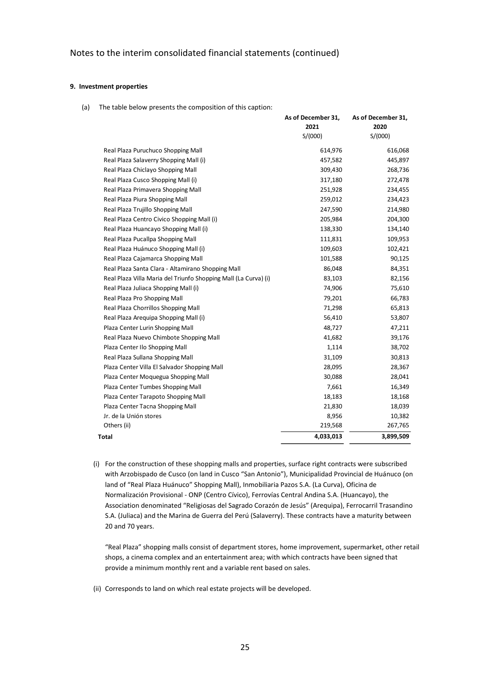#### **9. Investment properties**

(a) The table below presents the composition of this caption:

|                                                                 | As of December 31, | As of December 31, |
|-----------------------------------------------------------------|--------------------|--------------------|
|                                                                 | 2021               | 2020               |
|                                                                 | S/(000)            | S/(000)            |
| Real Plaza Puruchuco Shopping Mall                              | 614,976            | 616,068            |
| Real Plaza Salaverry Shopping Mall (i)                          | 457,582            | 445,897            |
| Real Plaza Chiclayo Shopping Mall                               | 309,430            | 268,736            |
| Real Plaza Cusco Shopping Mall (i)                              | 317,180            | 272,478            |
| Real Plaza Primavera Shopping Mall                              | 251,928            | 234,455            |
| Real Plaza Piura Shopping Mall                                  | 259,012            | 234,423            |
| Real Plaza Trujillo Shopping Mall                               | 247,590            | 214,980            |
| Real Plaza Centro Civico Shopping Mall (i)                      | 205,984            | 204,300            |
| Real Plaza Huancayo Shopping Mall (i)                           | 138,330            | 134,140            |
| Real Plaza Pucallpa Shopping Mall                               | 111,831            | 109,953            |
| Real Plaza Huánuco Shopping Mall (i)                            | 109,603            | 102,421            |
| Real Plaza Cajamarca Shopping Mall                              | 101,588            | 90,125             |
| Real Plaza Santa Clara - Altamirano Shopping Mall               | 86,048             | 84,351             |
| Real Plaza Villa Maria del Triunfo Shopping Mall (La Curva) (i) | 83,103             | 82,156             |
| Real Plaza Juliaca Shopping Mall (i)                            | 74,906             | 75,610             |
| Real Plaza Pro Shopping Mall                                    | 79,201             | 66,783             |
| Real Plaza Chorrillos Shopping Mall                             | 71,298             | 65,813             |
| Real Plaza Arequipa Shopping Mall (i)                           | 56,410             | 53,807             |
| Plaza Center Lurin Shopping Mall                                | 48,727             | 47,211             |
| Real Plaza Nuevo Chimbote Shopping Mall                         | 41,682             | 39,176             |
| Plaza Center Ilo Shopping Mall                                  | 1,114              | 38,702             |
| Real Plaza Sullana Shopping Mall                                | 31,109             | 30,813             |
| Plaza Center Villa El Salvador Shopping Mall                    | 28,095             | 28,367             |
| Plaza Center Moquegua Shopping Mall                             | 30,088             | 28,041             |
| Plaza Center Tumbes Shopping Mall                               | 7,661              | 16,349             |
| Plaza Center Tarapoto Shopping Mall                             | 18,183             | 18,168             |
| Plaza Center Tacna Shopping Mall                                | 21,830             | 18,039             |
| Jr. de la Unión stores                                          | 8,956              | 10,382             |
| Others (ii)                                                     | 219,568            | 267,765            |
| Total                                                           | 4,033,013          | 3,899,509          |
|                                                                 |                    |                    |

(i) For the construction of these shopping malls and properties, surface right contracts were subscribed with Arzobispado de Cusco (on land in Cusco "San Antonio"), Municipalidad Provincial de Huánuco (on land of "Real Plaza Huánuco" Shopping Mall), Inmobiliaria Pazos S.A. (La Curva), Oficina de Normalización Provisional - ONP (Centro Cívico), Ferrovías Central Andina S.A. (Huancayo), the Association denominated "Religiosas del Sagrado Corazón de Jesús" (Arequipa), Ferrocarril Trasandino S.A. (Juliaca) and the Marina de Guerra del Perú (Salaverry). These contracts have a maturity between 20 and 70 years.

"Real Plaza" shopping malls consist of department stores, home improvement, supermarket, other retail shops, a cinema complex and an entertainment area; with which contracts have been signed that provide a minimum monthly rent and a variable rent based on sales.

(ii) Corresponds to land on which real estate projects will be developed.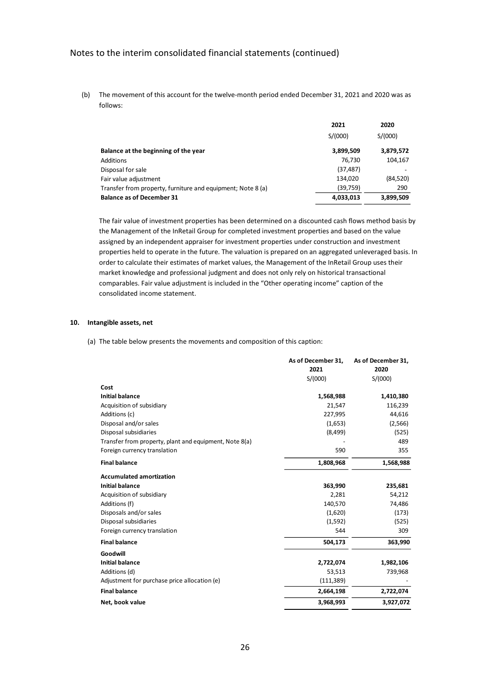(b) The movement of this account for the twelve-month period ended December 31, 2021 and 2020 was as follows:

|                                                             | 2021      | 2020      |
|-------------------------------------------------------------|-----------|-----------|
|                                                             | S/(000)   | S/(000)   |
| Balance at the beginning of the year                        | 3,899,509 | 3,879,572 |
| Additions                                                   | 76.730    | 104,167   |
| Disposal for sale                                           | (37, 487) |           |
| Fair value adjustment                                       | 134,020   | (84, 520) |
| Transfer from property, furniture and equipment; Note 8 (a) | (39,759)  | 290       |
| <b>Balance as of December 31</b>                            | 4,033,013 | 3,899,509 |

The fair value of investment properties has been determined on a discounted cash flows method basis by the Management of the InRetail Group for completed investment properties and based on the value assigned by an independent appraiser for investment properties under construction and investment properties held to operate in the future. The valuation is prepared on an aggregated unleveraged basis. In order to calculate their estimates of market values, the Management of the InRetail Group uses their market knowledge and professional judgment and does not only rely on historical transactional comparables. Fair value adjustment is included in the "Other operating income" caption of the consolidated income statement.

#### **10. Intangible assets, net**

(a) The table below presents the movements and composition of this caption:

|                                                        | As of December 31, | As of December 31, |
|--------------------------------------------------------|--------------------|--------------------|
|                                                        | 2021               | 2020               |
|                                                        | S/(000)            | S/(000)            |
| Cost                                                   |                    |                    |
| <b>Initial balance</b>                                 | 1,568,988          | 1,410,380          |
| Acquisition of subsidiary                              | 21,547             | 116,239            |
| Additions (c)                                          | 227,995            | 44,616             |
| Disposal and/or sales                                  | (1,653)            | (2, 566)           |
| Disposal subsidiaries                                  | (8,499)            | (525)              |
| Transfer from property, plant and equipment, Note 8(a) |                    | 489                |
| Foreign currency translation                           | 590                | 355                |
| <b>Final balance</b>                                   | 1,808,968          | 1,568,988          |
| <b>Accumulated amortization</b>                        |                    |                    |
| <b>Initial balance</b>                                 | 363,990            | 235,681            |
| Acquisition of subsidiary                              | 2,281              | 54,212             |
| Additions (f)                                          | 140,570            | 74,486             |
| Disposals and/or sales                                 | (1,620)            | (173)              |
| Disposal subsidiaries                                  | (1,592)            | (525)              |
| Foreign currency translation                           | 544                | 309                |
| <b>Final balance</b>                                   | 504,173            | 363,990            |
| Goodwill                                               |                    |                    |
| <b>Initial balance</b>                                 | 2,722,074          | 1,982,106          |
| Additions (d)                                          | 53,513             | 739,968            |
| Adjustment for purchase price allocation (e)           | (111, 389)         |                    |
| <b>Final balance</b>                                   | 2,664,198          | 2,722,074          |
| Net, book value                                        | 3,968,993          | 3,927,072          |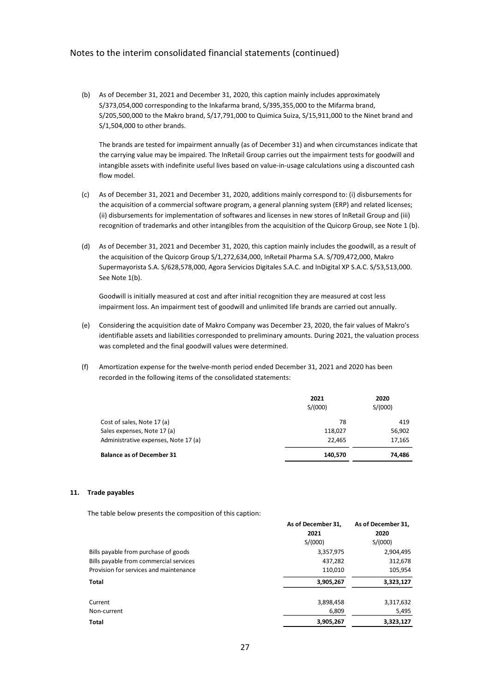(b) As of December 31, 2021 and December 31, 2020, this caption mainly includes approximately S/373,054,000 corresponding to the Inkafarma brand, S/395,355,000 to the Mifarma brand, S/205,500,000 to the Makro brand, S/17,791,000 to Quimica Suiza, S/15,911,000 to the Ninet brand and S/1,504,000 to other brands.

The brands are tested for impairment annually (as of December 31) and when circumstances indicate that the carrying value may be impaired. The InRetail Group carries out the impairment tests for goodwill and intangible assets with indefinite useful lives based on value-in-usage calculations using a discounted cash flow model.

- (c) As of December 31, 2021 and December 31, 2020, additions mainly correspond to: (i) disbursements for the acquisition of a commercial software program, a general planning system (ERP) and related licenses; (ii) disbursements for implementation of softwares and licenses in new stores of InRetail Group and (iii) recognition of trademarks and other intangibles from the acquisition of the Quicorp Group, see Note 1 (b).
- (d) As of December 31, 2021 and December 31, 2020, this caption mainly includes the goodwill, as a result of the acquisition of the Quicorp Group S/1,272,634,000, InRetail Pharma S.A. S/709,472,000, Makro Supermayorista S.A. S/628,578,000, Agora Servicios Digitales S.A.C. and InDigital XP S.A.C. S/53,513,000. See Note 1(b).

Goodwill is initially measured at cost and after initial recognition they are measured at cost less impairment loss. An impairment test of goodwill and unlimited life brands are carried out annually.

- (e) Considering the acquisition date of Makro Company was December 23, 2020, the fair values of Makro's identifiable assets and liabilities corresponded to preliminary amounts. During 2021, the valuation process was completed and the final goodwill values were determined.
- (f) Amortization expense for the twelve-month period ended December 31, 2021 and 2020 has been recorded in the following items of the consolidated statements:

|                                      | 2021<br>S/(000) | 2020<br>S/(000) |
|--------------------------------------|-----------------|-----------------|
| Cost of sales, Note 17 (a)           | 78              | 419             |
| Sales expenses, Note 17 (a)          | 118,027         | 56,902          |
| Administrative expenses, Note 17 (a) | 22,465          | 17,165          |
| <b>Balance as of December 31</b>     | 140,570         | 74,486          |

#### **11. Trade payables**

The table below presents the composition of this caption:

|                                        | As of December 31, | As of December 31, |
|----------------------------------------|--------------------|--------------------|
|                                        | 2021               | 2020               |
|                                        | S/(000)            | S/(000)            |
| Bills payable from purchase of goods   | 3,357,975          | 2,904,495          |
| Bills payable from commercial services | 437,282            | 312,678            |
| Provision for services and maintenance | 110,010            | 105,954            |
| <b>Total</b>                           | 3,905,267          | 3,323,127          |
| Current                                | 3,898,458          | 3,317,632          |
| Non-current                            | 6,809              | 5,495              |
| <b>Total</b>                           | 3,905,267          | 3,323,127          |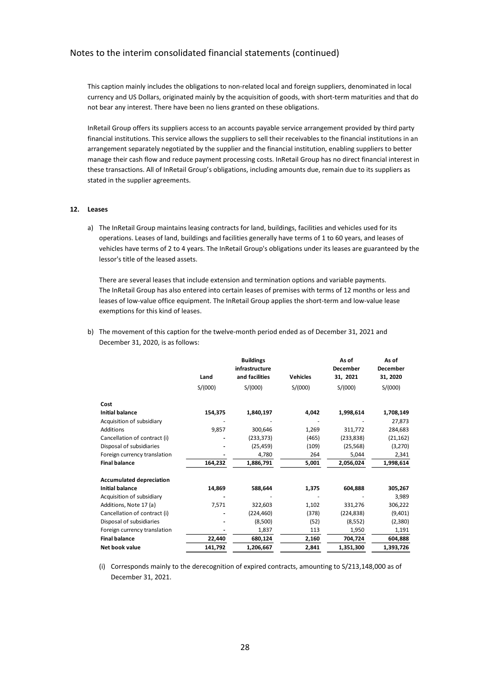This caption mainly includes the obligations to non-related local and foreign suppliers, denominated in local currency and US Dollars, originated mainly by the acquisition of goods, with short-term maturities and that do not bear any interest. There have been no liens granted on these obligations.

InRetail Group offers its suppliers access to an accounts payable service arrangement provided by third party financial institutions. This service allows the suppliers to sell their receivables to the financial institutions in an arrangement separately negotiated by the supplier and the financial institution, enabling suppliers to better manage their cash flow and reduce payment processing costs. InRetail Group has no direct financial interest in these transactions. All of InRetail Group's obligations, including amounts due, remain due to its suppliers as stated in the supplier agreements.

#### **12. Leases**

a) The InRetail Group maintains leasing contracts for land, buildings, facilities and vehicles used for its operations. Leases of land, buildings and facilities generally have terms of 1 to 60 years, and leases of vehicles have terms of 2 to 4 years. The InRetail Group's obligations under its leases are guaranteed by the lessor's title of the leased assets.

There are several leases that include extension and termination options and variable payments. The InRetail Group has also entered into certain leases of premises with terms of 12 months or less and leases of low-value office equipment. The InRetail Group applies the short-term and low-value lease exemptions for this kind of leases.

b) The movement of this caption for the twelve-month period ended as of December 31, 2021 and December 31, 2020, is as follows:

|                                 | Land    | <b>Buildings</b><br>infrastructure<br>and facilities | <b>Vehicles</b> | As of<br><b>December</b><br>31, 2021 | As of<br><b>December</b><br>31, 2020 |
|---------------------------------|---------|------------------------------------------------------|-----------------|--------------------------------------|--------------------------------------|
|                                 | S/(000) | S/(000)                                              | S/(000)         | S/(000)                              | S/(000)                              |
| Cost                            |         |                                                      |                 |                                      |                                      |
| <b>Initial balance</b>          | 154,375 | 1,840,197                                            | 4,042           | 1,998,614                            | 1,708,149                            |
| Acquisition of subsidiary       |         |                                                      |                 |                                      | 27,873                               |
| Additions                       | 9,857   | 300,646                                              | 1,269           | 311,772                              | 284,683                              |
| Cancellation of contract (i)    |         | (233, 373)                                           | (465)           | (233, 838)                           | (21, 162)                            |
| Disposal of subsidiaries        |         | (25, 459)                                            | (109)           | (25, 568)                            | (3,270)                              |
| Foreign currency translation    |         | 4,780                                                | 264             | 5,044                                | 2,341                                |
| <b>Final balance</b>            | 164,232 | 1,886,791                                            | 5,001           | 2,056,024                            | 1,998,614                            |
| <b>Accumulated depreciation</b> |         |                                                      |                 |                                      |                                      |
| <b>Initial balance</b>          | 14,869  | 588,644                                              | 1,375           | 604,888                              | 305,267                              |
| Acquisition of subsidiary       |         |                                                      |                 |                                      | 3,989                                |
| Additions, Note 17 (a)          | 7,571   | 322,603                                              | 1,102           | 331,276                              | 306,222                              |
| Cancellation of contract (i)    |         | (224, 460)                                           | (378)           | (224, 838)                           | (9,401)                              |
| Disposal of subsidiaries        |         | (8,500)                                              | (52)            | (8,552)                              | (2,380)                              |
| Foreign currency translation    |         | 1,837                                                | 113             | 1,950                                | 1,191                                |
| <b>Final balance</b>            | 22,440  | 680,124                                              | 2,160           | 704,724                              | 604,888                              |
| Net book value                  | 141,792 | 1,206,667                                            | 2,841           | 1,351,300                            | 1,393,726                            |

(i) Corresponds mainly to the derecognition of expired contracts, amounting to S/213,148,000 as of December 31, 2021.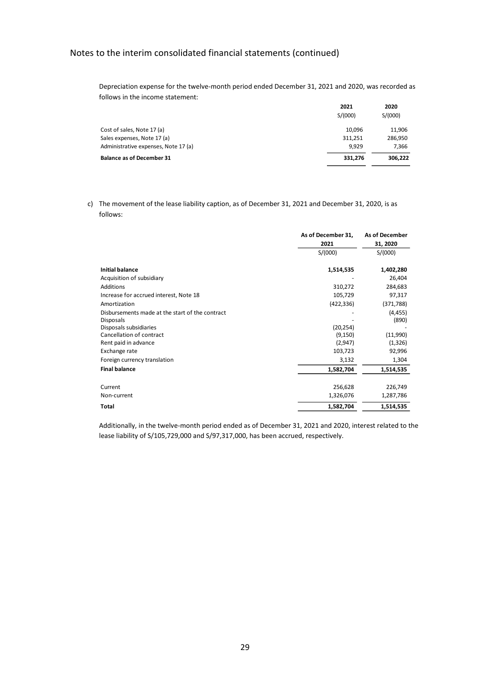Depreciation expense for the twelve-month period ended December 31, 2021 and 2020, was recorded as follows in the income statement:

| 2021    | 2020    |
|---------|---------|
| S/(000) | S/(000) |
| 10.096  | 11,906  |
| 311.251 | 286,950 |
| 9.929   | 7.366   |
| 331.276 | 306,222 |
|         |         |

c) The movement of the lease liability caption, as of December 31, 2021 and December 31, 2020, is as follows:

|                                                                     | As of December 31, | As of December    |
|---------------------------------------------------------------------|--------------------|-------------------|
|                                                                     | 2021               | 31, 2020          |
|                                                                     | S/(000)            | S/(000)           |
| <b>Initial balance</b>                                              | 1,514,535          | 1,402,280         |
| Acquisition of subsidiary                                           |                    | 26,404            |
| Additions                                                           | 310,272            | 284,683           |
| Increase for accrued interest, Note 18                              | 105,729            | 97,317            |
| Amortization                                                        | (422, 336)         | (371, 788)        |
| Disbursements made at the start of the contract<br><b>Disposals</b> |                    | (4, 455)<br>(890) |
| Disposals subsidiaries                                              | (20, 254)          |                   |
| Cancellation of contract                                            | (9, 150)           | (11,990)          |
| Rent paid in advance                                                | (2,947)            | (1, 326)          |
| Exchange rate                                                       | 103,723            | 92,996            |
| Foreign currency translation                                        | 3,132              | 1,304             |
| <b>Final balance</b>                                                | 1,582,704          | 1,514,535         |
| Current                                                             | 256,628            | 226,749           |
| Non-current                                                         | 1,326,076          | 1,287,786         |
| Total                                                               | 1,582,704          | 1,514,535         |

Additionally, in the twelve-month period ended as of December 31, 2021 and 2020, interest related to the lease liability of S/105,729,000 and S/97,317,000, has been accrued, respectively.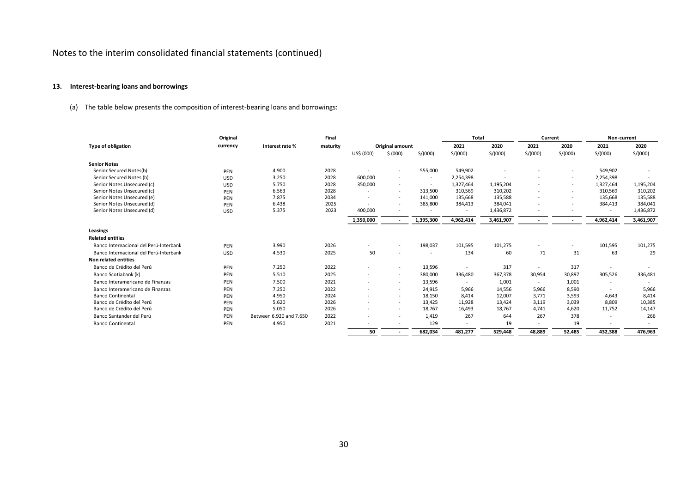## **13. Interest-bearing loans and borrowings**

(a) The table below presents the composition of interest-bearing loans and borrowings:

|                                        | Original   |                         | Final    |                          |                          |                          | <b>Total</b> |           | Current                  |                          | Non-current              |           |
|----------------------------------------|------------|-------------------------|----------|--------------------------|--------------------------|--------------------------|--------------|-----------|--------------------------|--------------------------|--------------------------|-----------|
| <b>Type of obligation</b>              | currency   | Interest rate %         | maturity |                          | Original amount          |                          | 2021         | 2020      | 2021                     | 2020                     | 2021                     | 2020      |
|                                        |            |                         |          | US\$ (000)               | \$ (000)                 | S/(000)                  | S/(000)      | S/(000)   | S/(000)                  | S/(000)                  | S/(000)                  | S/(000)   |
| <b>Senior Notes</b>                    |            |                         |          |                          |                          |                          |              |           |                          |                          |                          |           |
| Senior Secured Notes(b)                | PEN        | 4.900                   | 2028     | $\sim$                   |                          | 555,000                  | 549,902      |           |                          | $\tilde{\phantom{a}}$    | 549,902                  |           |
| Senior Secured Notes (b)               | <b>USD</b> | 3.250                   | 2028     | 600,000                  | $\sim$                   | $\overline{\phantom{a}}$ | 2,254,398    |           |                          | $\overline{\phantom{a}}$ | 2,254,398                |           |
| Senior Notes Unsecured (c)             | <b>USD</b> | 5.750                   | 2028     | 350,000                  | $\sim$                   | $\sim$                   | 1,327,464    | 1,195,204 | $\sim$                   | $\overline{\phantom{a}}$ | 1,327,464                | 1,195,204 |
| Senior Notes Unsecured (c)             | PEN        | 6.563                   | 2028     |                          | $\overline{\phantom{a}}$ | 313,500                  | 310,569      | 310,202   | $\sim$                   | $\overline{\phantom{a}}$ | 310,569                  | 310,202   |
| Senior Notes Unsecured (e)             | PEN        | 7.875                   | 2034     | $\overline{\phantom{a}}$ | $\overline{\phantom{0}}$ | 141,000                  | 135,668      | 135,588   | $\sim$                   | $\overline{\phantom{a}}$ | 135,668                  | 135,588   |
| Senior Notes Unsecured (d)             | PEN        | 6.438                   | 2025     | $\sim$                   |                          | 385,800                  | 384,413      | 384,041   | $\sim$                   | $\overline{\phantom{a}}$ | 384,413                  | 384,041   |
| Senior Notes Unsecured (d)             | <b>USD</b> | 5.375                   | 2023     | 400,000                  |                          |                          |              | 1,436,872 |                          |                          | $\overline{\phantom{a}}$ | 1,436,872 |
|                                        |            |                         |          | 1,350,000                |                          | 1,395,300                | 4,962,414    | 3,461,907 | $\sim$                   | $\overline{\phantom{a}}$ | 4,962,414                | 3,461,907 |
| Leasings                               |            |                         |          |                          |                          |                          |              |           |                          |                          |                          |           |
| <b>Related entities</b>                |            |                         |          |                          |                          |                          |              |           |                          |                          |                          |           |
| Banco Internacional del Perú-Interbank | PEN        | 3.990                   | 2026     |                          |                          | 198,037                  | 101,595      | 101,275   |                          |                          | 101,595                  | 101,275   |
| Banco Internacional del Perú-Interbank | <b>USD</b> | 4.530                   | 2025     | 50                       |                          | $\overline{\phantom{a}}$ | 134          | 60        | 71                       | 31                       | 63                       | 29        |
| Non related entities                   |            |                         |          |                          |                          |                          |              |           |                          |                          |                          |           |
| Banco de Crédito del Perú              | PEN        | 7.250                   | 2022     | $\sim$                   | $\overline{\phantom{a}}$ | 13,596                   |              | 317       | $\overline{\phantom{a}}$ | 317                      |                          |           |
| Banco Scotiabank (k)                   | PEN        | 5.510                   | 2025     |                          | $\sim$                   | 380,000                  | 336,480      | 367,378   | 30,954                   | 30,897                   | 305,526                  | 336,481   |
| Banco Interamericano de Finanzas       | PEN        | 7.500                   | 2021     | $\sim$                   | $\overline{\phantom{a}}$ | 13,596                   |              | 1,001     | $\sim$                   | 1,001                    | $\overline{\phantom{a}}$ |           |
| Banco Interamericano de Finanzas       | PEN        | 7.250                   | 2022     |                          | $\overline{\phantom{a}}$ | 24,915                   | 5.966        | 14,556    | 5.966                    | 8,590                    | $\overline{\phantom{a}}$ | 5,966     |
| <b>Banco Continental</b>               | PEN        | 4.950                   | 2024     |                          | $\sim$                   | 18,150                   | 8,414        | 12,007    | 3,771                    | 3,593                    | 4,643                    | 8,414     |
| Banco de Crédito del Perú              | PEN        | 5.620                   | 2026     |                          | $\sim$                   | 13.425                   | 11,928       | 13,424    | 3,119                    | 3,039                    | 8,809                    | 10,385    |
| Banco de Crédito del Perú              | PEN        | 5.050                   | 2026     | $\overline{\phantom{a}}$ | $\overline{\phantom{a}}$ | 18,767                   | 16,493       | 18,767    | 4,741                    | 4,620                    | 11,752                   | 14,147    |
| Banco Santander del Perú               | PEN        | Between 6.920 and 7.650 | 2022     |                          |                          | 1,419                    | 267          | 644       | 267                      | 378                      | $\tilde{\phantom{a}}$    | 266       |
| <b>Banco Continental</b>               | PEN        | 4.950                   | 2021     |                          | $\overline{\phantom{a}}$ | 129                      |              | 19        | $\overline{\phantom{a}}$ | 19                       |                          |           |
|                                        |            |                         |          | 50                       |                          | 682,034                  | 481.277      | 529.448   | 48,889                   | 52,485                   | 432,388                  | 476,963   |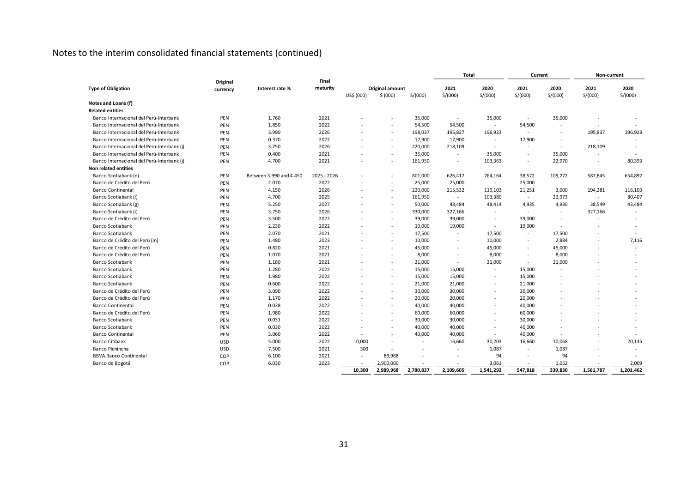|                                            |            |                         |             |            |                             |           | Total                    |                          | Current                  |                          | Non-current              |                 |
|--------------------------------------------|------------|-------------------------|-------------|------------|-----------------------------|-----------|--------------------------|--------------------------|--------------------------|--------------------------|--------------------------|-----------------|
|                                            | Original   |                         | Final       |            |                             |           |                          |                          |                          |                          |                          |                 |
| <b>Type of Obligation</b>                  | currency   | Interest rate %         | maturity    | US\$ (000) | Original amount<br>\$ (000) | S/(000)   | 2021<br>S/(000)          | 2020<br>S/(000)          | 2021<br>S/(000)          | 2020<br>S/(000)          | 2021<br>S/(000)          | 2020<br>S/(000) |
| Notes and Loans (f)                        |            |                         |             |            |                             |           |                          |                          |                          |                          |                          |                 |
| <b>Related entities</b>                    |            |                         |             |            |                             |           |                          |                          |                          |                          |                          |                 |
| Banco Internacional del Perú-Interbank     | PEN        | 1.760                   | 2021        |            |                             | 35,000    | $\sim$                   | 35,000                   | $\sim$                   | 35,000                   |                          |                 |
| Banco Internacional del Perú-Interbank     | PEN        | 1.850                   | 2022        |            | $\blacksquare$              | 54,500    | 54,500                   | $\sim$                   | 54,500                   | $\sim$                   |                          |                 |
| Banco Internacional del Perú-Interbank     | PEN        | 3.990                   | 2026        |            | $\blacksquare$              | 198,037   | 195,837                  | 196,923                  | $\sim$                   |                          | 195,837                  | 196,923         |
| Banco Internacional del Perú-Interbank     | PEN        | 0.370                   | 2022        |            | $\blacksquare$              | 17,900    | 17,900                   | $\sim$                   | 17,900                   | $\sim$                   | $\sim$                   |                 |
| Banco Internacional del Perú-Interbank (j) | PEN        | 3.750                   | 2026        |            | $\equiv$                    | 220,000   | 218,109                  | $\sim$                   | $\sim$                   | $\sim$                   | 218,109                  |                 |
| Banco Internacional del Perú-Interbank     | PEN        | 0.400                   | 2021        |            | $\blacksquare$              | 35,000    | $\sim$                   | 35,000                   | $\blacksquare$           | 35,000                   | $\sim$                   |                 |
| Banco Internacional del Perú-Interbank (j) | PEN        | 4.700                   | 2021        |            | $\blacksquare$              | 161,950   | $\overline{\phantom{a}}$ | 103,363                  | $\overline{\phantom{a}}$ | 22,970                   | $\overline{\phantom{a}}$ | 80,393          |
| Non related entities                       |            |                         |             |            |                             |           |                          |                          |                          |                          |                          |                 |
| Banco Scotiabank (n)                       | PEN        | Between 3.990 and 4.450 | 2025 - 2026 |            | $\blacksquare$              | 801,000   | 626,417                  | 764,164                  | 38,572                   | 109,272                  | 587,845                  | 654,892         |
| Banco de Crédito del Perú                  | PEN        | 2.070                   | 2022        |            | $\blacksquare$              | 25,000    | 25,000                   | $\sim$                   | 25,000                   | $\sim$                   |                          |                 |
| <b>Banco Continental</b>                   | PEN        | 4.150                   | 2026        |            | $\sim$                      | 220,000   | 215,532                  | 119,103                  | 21,251                   | 3,000                    | 194,281                  | 116,103         |
| Banco Scotiabank (i)                       | PEN        | 4.700                   | 2025        |            | $\blacksquare$              | 161,950   | $\sim$                   | 103,380                  | $\sim$                   | 22,973                   | $\sim$                   | 80,407          |
| Banco Scotiabank (g)                       | PEN        | 5.250                   | 2027        |            | $\blacksquare$              | 50,000    | 43,484                   | 48,414                   | 4,935                    | 4,930                    | 38,549                   | 43,484          |
| Banco Scotiabank (i)                       | PEN        | 3.750                   | 2026        |            | $\sim$                      | 330,000   | 327,166                  | $\sim$                   | $\sim$                   | $\sim$                   | 327,166                  |                 |
| Banco de Crédito del Perú                  | PEN        | 3.500                   | 2022        |            | $\blacksquare$              | 39,000    | 39,000                   | $\overline{\phantom{a}}$ | 39,000                   | $\overline{\phantom{a}}$ |                          |                 |
| Banco Scotiabank                           | PEN        | 2.230                   | 2022        |            | $\blacksquare$              | 19,000    | 19,000                   | $\sim$                   | 19,000                   | $\sim$                   | $\sim$                   |                 |
| <b>Banco Scotiabank</b>                    | PEN        | 2.070                   | 2021        |            | $\blacksquare$              | 17,500    | $\overline{\phantom{a}}$ | 17,500                   | $\omega$                 | 17,500                   |                          |                 |
| Banco de Crédito del Perú (m)              | PEN        | 1.480                   | 2023        |            | $\overline{\phantom{a}}$    | 10,000    | $\sim$                   | 10,000                   | $\overline{\phantom{a}}$ | 2,884                    |                          | 7,116           |
| Banco de Crédito del Perú                  | PEN        | 0.820                   | 2021        |            | $\blacksquare$              | 45,000    |                          | 45,000                   | $\overline{\phantom{a}}$ | 45,000                   |                          |                 |
| Banco de Crédito del Perú                  | PEN        | 1.070                   | 2021        |            | $\blacksquare$              | 8,000     | $\overline{\phantom{a}}$ | 8,000                    | $\sim$                   | 8,000                    |                          |                 |
| <b>Banco Scotiabank</b>                    | PEN        | 1.180                   | 2021        |            | $\equiv$                    | 21,000    | $\sim$                   | 21,000                   | $\sim$                   | 21,000                   |                          |                 |
| <b>Banco Scotiabank</b>                    | PEN        | 1.280                   | 2022        |            | $\overline{\phantom{a}}$    | 15,000    | 15,000                   | $\sim$                   | 15,000                   |                          |                          |                 |
| <b>Banco Scotiabank</b>                    | PEN        | 1.980                   | 2022        |            | $\blacksquare$              | 15,000    | 15,000                   | $\sim$                   | 15,000                   |                          |                          |                 |
| <b>Banco Scotiabank</b>                    | PEN        | 0.600                   | 2022        |            | $\equiv$                    | 21,000    | 21,000                   | $\sim$                   | 21,000                   |                          |                          |                 |
| Banco de Crédito del Perú                  | PEN        | 3.090                   | 2022        |            | $\overline{\phantom{a}}$    | 30,000    | 30,000                   | $\sim$                   | 30,000                   |                          |                          |                 |
| Banco de Crédito del Perú                  | PEN        | 1.170                   | 2022        |            | $\blacksquare$              | 20,000    | 20,000                   | $\overline{\phantom{a}}$ | 20,000                   |                          |                          |                 |
| <b>Banco Continental</b>                   | PEN        | 0.028                   | 2022        |            | $\overline{\phantom{a}}$    | 40,000    | 40,000                   | $\overline{\phantom{a}}$ | 40,000                   |                          |                          |                 |
| Banco de Crédito del Perú                  | PEN        | 1.980                   | 2022        |            | $\blacksquare$              | 60,000    | 60,000                   | $\overline{\phantom{a}}$ | 60,000                   |                          |                          |                 |
| <b>Banco Scotiabank</b>                    | PEN        | 0.031                   | 2022        |            | $\blacksquare$              | 30,000    | 30,000                   | $\sim$                   | 30,000                   |                          |                          |                 |
| <b>Banco Scotiabank</b>                    | PEN        | 0.030                   | 2022        | $\sim$     | $\overline{\phantom{a}}$    | 40,000    | 40,000                   | $\sim$                   | 40,000                   |                          |                          |                 |
| <b>Banco Continental</b>                   | PEN        | 3.060                   | 2022        |            | $\blacksquare$              | 40,000    | 40,000                   | $\blacksquare$           | 40,000                   |                          |                          |                 |
| <b>Banco Citibank</b>                      | <b>USD</b> | 5.000                   | 2022        | 10,000     | $\overline{\phantom{a}}$    | $\sim$    | 16,660                   | 30,203                   | 16,660                   | 10,068                   |                          | 20,135          |
| Banco Pichincha                            | <b>USD</b> | 7.500                   | 2021        | 300        | $\blacksquare$              |           | $\overline{\phantom{a}}$ | 1,087                    | $\sim$                   | 1,087                    |                          |                 |
| <b>BBVA Banco Continental</b>              | COP        | 6.100                   | 2021        | $\sim$     | 89,968                      |           |                          | 94                       | $\overline{\phantom{a}}$ | 94                       |                          |                 |
| Banco de Bogotá                            | COP        | 6.030                   | 2023        | $\sim$     | 2,900,000                   | $\sim$    | $\sim$                   | 3,061                    | $\sim$                   | 1,052                    |                          | 2,009           |
|                                            |            |                         |             | 10.300     | 2,989,968                   | 2,780,837 | 2,109,605                | 1,541,292                | 547.818                  | 339,830                  | 1,561,787                | 1,201,462       |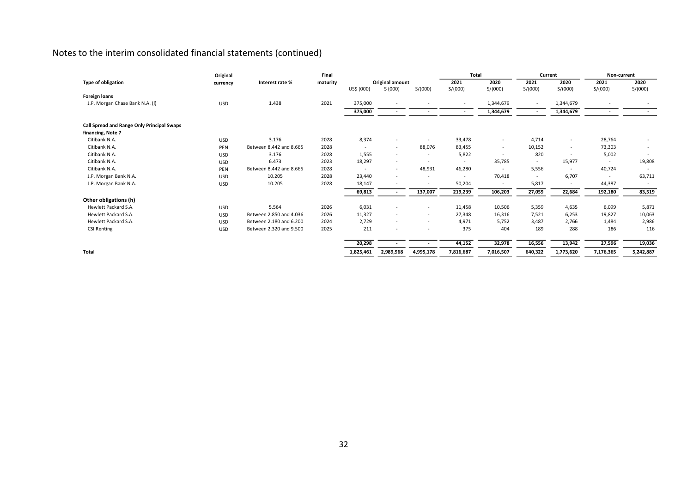|                                            | Original   |                         | Final    |            |                          |                          | <b>Total</b>             |                          | Current                  |                          | Non-current              |                          |
|--------------------------------------------|------------|-------------------------|----------|------------|--------------------------|--------------------------|--------------------------|--------------------------|--------------------------|--------------------------|--------------------------|--------------------------|
| <b>Type of obligation</b>                  | currency   | Interest rate %         | maturity |            | Original amount          |                          | 2021                     | 2020                     | 2021                     | 2020                     | 2021                     | 2020                     |
|                                            |            |                         |          | US\$ (000) | \$ (000)                 | S/(000)                  | S/(000)                  | S/(000)                  | S/(000)                  | S/(000)                  | S/(000)                  | S/(000)                  |
| <b>Foreign loans</b>                       |            |                         |          |            |                          |                          |                          |                          |                          |                          |                          |                          |
| J.P. Morgan Chase Bank N.A. (I)            | <b>USD</b> | 1.438                   | 2021     | 375,000    |                          |                          | $\sim$                   | 1,344,679                | $\overline{\phantom{a}}$ | 1,344,679                |                          |                          |
|                                            |            |                         |          | 375,000    |                          |                          | $\sim$                   | 1,344,679                | $\sim$                   | 1,344,679                | $\overline{\phantom{a}}$ |                          |
| Call Spread and Range Only Principal Swaps |            |                         |          |            |                          |                          |                          |                          |                          |                          |                          |                          |
| financing, Note 7                          |            |                         |          |            |                          |                          |                          |                          |                          |                          |                          |                          |
| Citibank N.A.                              | <b>USD</b> | 3.176                   | 2028     | 8,374      | $\overline{\phantom{a}}$ | $\overline{\phantom{a}}$ | 33,478                   | $\sim$                   | 4,714                    | $\overline{\phantom{a}}$ | 28,764                   |                          |
| Citibank N.A.                              | PEN        | Between 8.442 and 8.665 | 2028     | $\sim$     | $\overline{\phantom{a}}$ | 88,076                   | 83,455                   | $\sim$                   | 10,152                   | $\overline{\phantom{a}}$ | 73,303                   |                          |
| Citibank N.A.                              | <b>USD</b> | 3.176                   | 2028     | 1,555      | $\sim$                   | $\sim$                   | 5,822                    | $\sim$                   | 820                      |                          | 5,002                    |                          |
| Citibank N.A.                              | <b>USD</b> | 6.473                   | 2023     | 18,297     | $\sim$                   | $\overline{\phantom{a}}$ | $\overline{\phantom{a}}$ | 35,785                   | $\overline{\phantom{a}}$ | 15,977                   | $\sim$                   | 19,808                   |
| Citibank N.A.                              | PEN        | Between 8.442 and 8.665 | 2028     | $\sim$     | $\overline{\phantom{a}}$ | 48,931                   | 46,280                   | $\sim$                   | 5,556                    | $\sim$                   | 40,724                   |                          |
| J.P. Morgan Bank N.A.                      | <b>USD</b> | 10.205                  | 2028     | 23,440     |                          |                          | $\overline{\phantom{a}}$ | 70,418                   | $\overline{\phantom{a}}$ | 6,707                    | $\overline{\phantom{a}}$ | 63,711                   |
| J.P. Morgan Bank N.A.                      | <b>USD</b> | 10.205                  | 2028     | 18,147     |                          | $\overline{\phantom{a}}$ | 50,204                   | $\overline{\phantom{a}}$ | 5,817                    |                          | 44,387                   | $\overline{\phantom{a}}$ |
|                                            |            |                         |          | 69,813     |                          | 137,007                  | 219,239                  | 106,203                  | 27,059                   | 22,684                   | 192,180                  | 83,519                   |
| Other obligations (h)                      |            |                         |          |            |                          |                          |                          |                          |                          |                          |                          |                          |
| Hewlett Packard S.A.                       | <b>USD</b> | 5.564                   | 2026     | 6,031      | ٠                        | $\overline{\phantom{a}}$ | 11,458                   | 10,506                   | 5,359                    | 4,635                    | 6,099                    | 5,871                    |
| Hewlett Packard S.A.                       | <b>USD</b> | Between 2.850 and 4.036 | 2026     | 11,327     | $\sim$                   | $\sim$                   | 27,348                   | 16,316                   | 7,521                    | 6,253                    | 19,827                   | 10,063                   |
| Hewlett Packard S.A.                       | <b>USD</b> | Between 2.180 and 6.200 | 2024     | 2,729      | $\sim$                   | $\overline{\phantom{a}}$ | 4,971                    | 5,752                    | 3,487                    | 2,766                    | 1,484                    | 2,986                    |
| <b>CSI Renting</b>                         | <b>USD</b> | Between 2.320 and 9.500 | 2025     | 211        |                          | $\overline{\phantom{a}}$ | 375                      | 404                      | 189                      | 288                      | 186                      | 116                      |
|                                            |            |                         |          | 20,298     |                          |                          | 44,152                   | 32,978                   | 16,556                   | 13,942                   | 27,596                   | 19,036                   |
| Total                                      |            |                         |          | 1,825,461  | 2,989,968                | 4,995,178                | 7,816,687                | 7,016,507                | 640,322                  | 1,773,620                | 7,176,365                | 5,242,887                |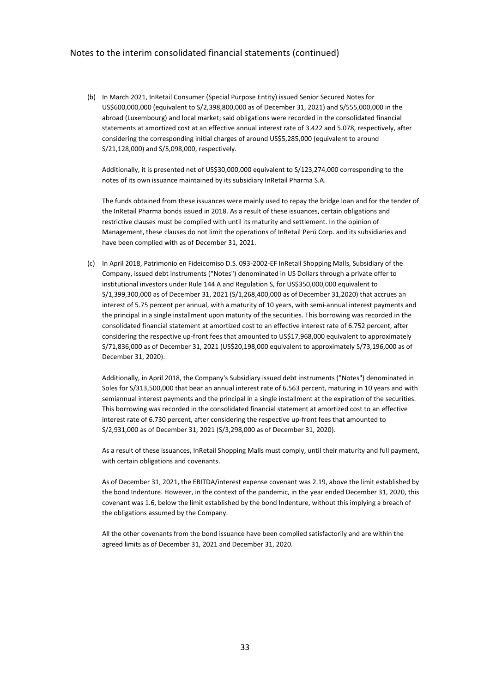(b) In March 2021, InRetail Consumer (Special Purpose Entity) issued Senior Secured Notes for US\$600,000,000 (equivalent to S/2,398,800,000 as of December 31, 2021) and S/555,000,000 in the abroad (Luxembourg) and local market; said obligations were recorded in the consolidated financial statements at amortized cost at an effective annual interest rate of 3.422 and 5.078, respectively, after considering the corresponding initial charges of around US\$5,285,000 (equivalent to around S/21,128,000) and S/5,098,000, respectively.

Additionally, it is presented net of US\$30,000,000 equivalent to S/123,274,000 corresponding to the notes of its own issuance maintained by its subsidiary InRetail Pharma S.A.

The funds obtained from these issuances were mainly used to repay the bridge loan and for the tender of the InRetail Pharma bonds issued in 2018. As a result of these issuances, certain obligations and restrictive clauses must be complied with until its maturity and settlement. In the opinion of Management, these clauses do not limit the operations of InRetail Perú Corp. and its subsidiaries and have been complied with as of December 31, 2021.

(c) In April 2018, Patrimonio en Fideicomiso D.S. 093-2002-EF InRetail Shopping Malls, Subsidiary of the Company, issued debt instruments ("Notes") denominated in US Dollars through a private offer to institutional investors under Rule 144 A and Regulation S, for US\$350,000,000 equivalent to S/1,399,300,000 as of December 31, 2021 (S/1,268,400,000 as of December 31,2020) that accrues an interest of 5.75 percent per annual, with a maturity of 10 years, with semi-annual interest payments and the principal in a single installment upon maturity of the securities. This borrowing was recorded in the consolidated financial statement at amortized cost to an effective interest rate of 6.752 percent, after considering the respective up-front fees that amounted to US\$17,968,000 equivalent to approximately S/71,836,000 as of December 31, 2021 (US\$20,198,000 equivalent to approximately S/73,196,000 as of December 31, 2020).

Additionally, in April 2018, the Company's Subsidiary issued debt instruments ("Notes") denominated in Soles for S/313,500,000 that bear an annual interest rate of 6.563 percent, maturing in 10 years and with semiannual interest payments and the principal in a single installment at the expiration of the securities. This borrowing was recorded in the consolidated financial statement at amortized cost to an effective interest rate of 6.730 percent, after considering the respective up-front fees that amounted to S/2,931,000 as of December 31, 2021 (S/3,298,000 as of December 31, 2020).

As a result of these issuances, InRetail Shopping Malls must comply, until their maturity and full payment, with certain obligations and covenants.

As of December 31, 2021, the EBITDA/interest expense covenant was 2.19, above the limit established by the bond Indenture. However, in the context of the pandemic, in the year ended December 31, 2020, this covenant was 1.6, below the limit established by the bond Indenture, without this implying a breach of the obligations assumed by the Company.

All the other covenants from the bond issuance have been complied satisfactorily and are within the agreed limits as of December 31, 2021 and December 31, 2020.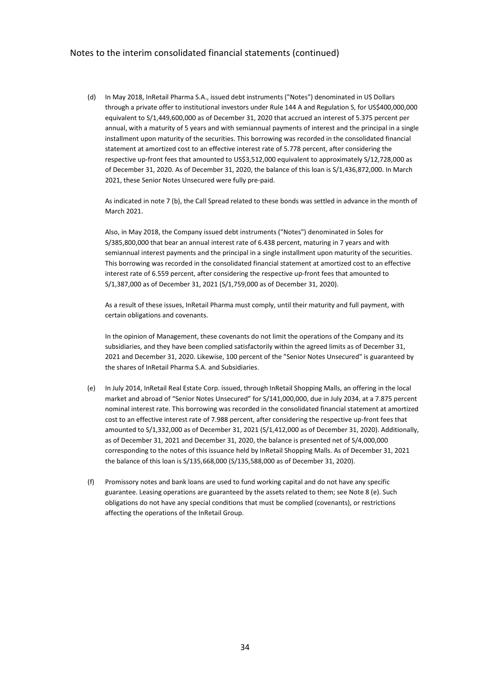(d) In May 2018, InRetail Pharma S.A., issued debt instruments ("Notes") denominated in US Dollars through a private offer to institutional investors under Rule 144 A and Regulation S, for US\$400,000,000 equivalent to S/1,449,600,000 as of December 31, 2020 that accrued an interest of 5.375 percent per annual, with a maturity of 5 years and with semiannual payments of interest and the principal in a single installment upon maturity of the securities. This borrowing was recorded in the consolidated financial statement at amortized cost to an effective interest rate of 5.778 percent, after considering the respective up-front fees that amounted to US\$3,512,000 equivalent to approximately S/12,728,000 as of December 31, 2020. As of December 31, 2020, the balance of this loan is S/1,436,872,000. In March 2021, these Senior Notes Unsecured were fully pre-paid.

As indicated in note 7 (b), the Call Spread related to these bonds was settled in advance in the month of March 2021.

Also, in May 2018, the Company issued debt instruments ("Notes") denominated in Soles for S/385,800,000 that bear an annual interest rate of 6.438 percent, maturing in 7 years and with semiannual interest payments and the principal in a single installment upon maturity of the securities. This borrowing was recorded in the consolidated financial statement at amortized cost to an effective interest rate of 6.559 percent, after considering the respective up-front fees that amounted to S/1,387,000 as of December 31, 2021 (S/1,759,000 as of December 31, 2020).

As a result of these issues, InRetail Pharma must comply, until their maturity and full payment, with certain obligations and covenants.

In the opinion of Management, these covenants do not limit the operations of the Company and its subsidiaries, and they have been complied satisfactorily within the agreed limits as of December 31, 2021 and December 31, 2020. Likewise, 100 percent of the "Senior Notes Unsecured" is guaranteed by the shares of InRetail Pharma S.A. and Subsidiaries.

- (e) In July 2014, InRetail Real Estate Corp. issued, through InRetail Shopping Malls, an offering in the local market and abroad of "Senior Notes Unsecured" for S/141,000,000, due in July 2034, at a 7.875 percent nominal interest rate. This borrowing was recorded in the consolidated financial statement at amortized cost to an effective interest rate of 7.988 percent, after considering the respective up-front fees that amounted to S/1,332,000 as of December 31, 2021 (S/1,412,000 as of December 31, 2020). Additionally, as of December 31, 2021 and December 31, 2020, the balance is presented net of S/4,000,000 corresponding to the notes of this issuance held by InRetail Shopping Malls. As of December 31, 2021 the balance of this loan is S/135,668,000 (S/135,588,000 as of December 31, 2020).
- (f) Promissory notes and bank loans are used to fund working capital and do not have any specific guarantee. Leasing operations are guaranteed by the assets related to them; see Note 8 (e). Such obligations do not have any special conditions that must be complied (covenants), or restrictions affecting the operations of the InRetail Group.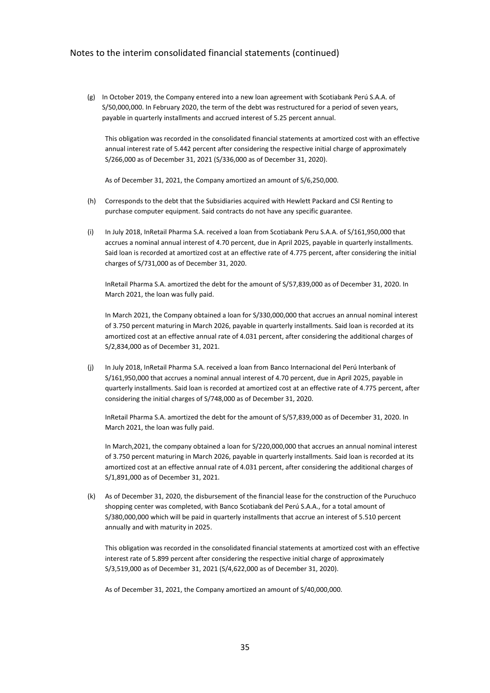(g) In October 2019, the Company entered into a new loan agreement with Scotiabank Perú S.A.A. of S/50,000,000. In February 2020, the term of the debt was restructured for a period of seven years, payable in quarterly installments and accrued interest of 5.25 percent annual.

This obligation was recorded in the consolidated financial statements at amortized cost with an effective annual interest rate of 5.442 percent after considering the respective initial charge of approximately S/266,000 as of December 31, 2021 (S/336,000 as of December 31, 2020).

As of December 31, 2021, the Company amortized an amount of S/6,250,000.

- (h) Corresponds to the debt that the Subsidiaries acquired with Hewlett Packard and CSI Renting to purchase computer equipment. Said contracts do not have any specific guarantee.
- (i) In July 2018, InRetail Pharma S.A. received a loan from Scotiabank Peru S.A.A. of S/161,950,000 that accrues a nominal annual interest of 4.70 percent, due in April 2025, payable in quarterly installments. Said loan is recorded at amortized cost at an effective rate of 4.775 percent, after considering the initial charges of S/731,000 as of December 31, 2020.

InRetail Pharma S.A. amortized the debt for the amount of S/57,839,000 as of December 31, 2020. In March 2021, the loan was fully paid.

In March 2021, the Company obtained a loan for S/330,000,000 that accrues an annual nominal interest of 3.750 percent maturing in March 2026, payable in quarterly installments. Said loan is recorded at its amortized cost at an effective annual rate of 4.031 percent, after considering the additional charges of S/2,834,000 as of December 31, 2021.

(j) In July 2018, InRetail Pharma S.A. received a loan from Banco Internacional del Perú Interbank of S/161,950,000 that accrues a nominal annual interest of 4.70 percent, due in April 2025, payable in quarterly installments. Said loan is recorded at amortized cost at an effective rate of 4.775 percent, after considering the initial charges of S/748,000 as of December 31, 2020.

InRetail Pharma S.A. amortized the debt for the amount of S/57,839,000 as of December 31, 2020. In March 2021, the loan was fully paid.

In March,2021, the company obtained a loan for S/220,000,000 that accrues an annual nominal interest of 3.750 percent maturing in March 2026, payable in quarterly installments. Said loan is recorded at its amortized cost at an effective annual rate of 4.031 percent, after considering the additional charges of S/1,891,000 as of December 31, 2021.

(k) As of December 31, 2020, the disbursement of the financial lease for the construction of the Puruchuco shopping center was completed, with Banco Scotiabank del Perú S.A.A., for a total amount of S/380,000,000 which will be paid in quarterly installments that accrue an interest of 5.510 percent annually and with maturity in 2025.

This obligation was recorded in the consolidated financial statements at amortized cost with an effective interest rate of 5.899 percent after considering the respective initial charge of approximately S/3,519,000 as of December 31, 2021 (S/4,622,000 as of December 31, 2020).

As of December 31, 2021, the Company amortized an amount of S/40,000,000.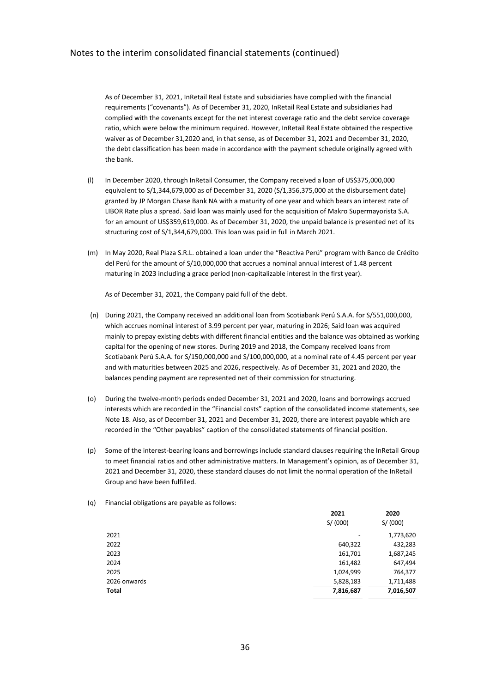As of December 31, 2021, InRetail Real Estate and subsidiaries have complied with the financial requirements ("covenants"). As of December 31, 2020, InRetail Real Estate and subsidiaries had complied with the covenants except for the net interest coverage ratio and the debt service coverage ratio, which were below the minimum required. However, InRetail Real Estate obtained the respective waiver as of December 31,2020 and, in that sense, as of December 31, 2021 and December 31, 2020, the debt classification has been made in accordance with the payment schedule originally agreed with the bank.

- (l) In December 2020, through InRetail Consumer, the Company received a loan of US\$375,000,000 equivalent to S/1,344,679,000 as of December 31, 2020 (S/1,356,375,000 at the disbursement date) granted by JP Morgan Chase Bank NA with a maturity of one year and which bears an interest rate of LIBOR Rate plus a spread. Said loan was mainly used for the acquisition of Makro Supermayorista S.A. for an amount of US\$359,619,000. As of December 31, 2020, the unpaid balance is presented net of its structuring cost of S/1,344,679,000. This loan was paid in full in March 2021.
- (m) In May 2020, Real Plaza S.R.L. obtained a loan under the "Reactiva Perú" program with Banco de Crédito del Perú for the amount of S/10,000,000 that accrues a nominal annual interest of 1.48 percent maturing in 2023 including a grace period (non-capitalizable interest in the first year).

As of December 31, 2021, the Company paid full of the debt.

- (n) During 2021, the Company received an additional loan from Scotiabank Perú S.A.A. for S/551,000,000, which accrues nominal interest of 3.99 percent per year, maturing in 2026; Said loan was acquired mainly to prepay existing debts with different financial entities and the balance was obtained as working capital for the opening of new stores. During 2019 and 2018, the Company received loans from Scotiabank Perú S.A.A. for S/150,000,000 and S/100,000,000, at a nominal rate of 4.45 percent per year and with maturities between 2025 and 2026, respectively. As of December 31, 2021 and 2020, the balances pending payment are represented net of their commission for structuring.
- (o) During the twelve-month periods ended December 31, 2021 and 2020, loans and borrowings accrued interests which are recorded in the "Financial costs" caption of the consolidated income statements, see Note 18. Also, as of December 31, 2021 and December 31, 2020, there are interest payable which are recorded in the "Other payables" caption of the consolidated statements of financial position.
- (p) Some of the interest-bearing loans and borrowings include standard clauses requiring the InRetail Group to meet financial ratios and other administrative matters. In Management's opinion, as of December 31, 2021 and December 31, 2020, these standard clauses do not limit the normal operation of the InRetail Group and have been fulfilled.

|              | 2021      | 2020      |
|--------------|-----------|-----------|
|              | S/(000)   | S/(000)   |
| 2021         |           | 1,773,620 |
| 2022         | 640,322   | 432,283   |
| 2023         | 161,701   | 1,687,245 |
| 2024         | 161,482   | 647,494   |
| 2025         | 1,024,999 | 764,377   |
| 2026 onwards | 5,828,183 | 1,711,488 |
| Total        | 7,816,687 | 7,016,507 |

(q) Financial obligations are payable as follows: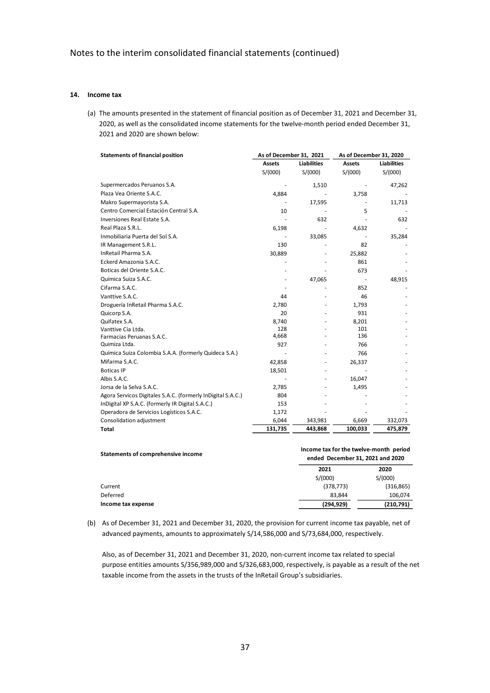#### **14. Income tax**

(a) The amounts presented in the statement of financial position as of December 31, 2021 and December 31, 2020, as well as the consolidated income statements for the twelve-month period ended December 31, 2021 and 2020 are shown below:

| <b>Statements of financial position</b>                     | As of December 31, 2021 |                    |               | As of December 31, 2020 |  |  |
|-------------------------------------------------------------|-------------------------|--------------------|---------------|-------------------------|--|--|
|                                                             | <b>Assets</b>           | <b>Liabilities</b> | <b>Assets</b> | <b>Liabilities</b>      |  |  |
|                                                             | S/(000)                 | S/(000)            | S/(000)       | S/(000)                 |  |  |
| Supermercados Peruanos S.A.                                 |                         | 1,510              |               | 47,262                  |  |  |
| Plaza Vea Oriente S.A.C.                                    | 4,884                   |                    | 3,758         |                         |  |  |
| Makro Supermayorista S.A.                                   |                         | 17,595             |               | 11,713                  |  |  |
| Centro Comercial Estación Central S.A.                      | 10                      |                    | 5             |                         |  |  |
| Inversiones Real Estate S.A.                                |                         | 632                |               | 632                     |  |  |
| Real Plaza S.R.L.                                           | 6,198                   |                    | 4,632         |                         |  |  |
| Inmobiliaria Puerta del Sol S.A.                            |                         | 33,085             |               | 35,284                  |  |  |
| IR Management S.R.L.                                        | 130                     |                    | 82            |                         |  |  |
| InRetail Pharma S.A.                                        | 30,889                  |                    | 25,882        |                         |  |  |
| Eckerd Amazonia S.A.C.                                      |                         |                    | 861           |                         |  |  |
| Boticas del Oriente S.A.C.                                  |                         |                    | 673           |                         |  |  |
| Química Suiza S.A.C.                                        |                         | 47,065             |               | 48,915                  |  |  |
| Cifarma S.A.C.                                              |                         |                    | 852           |                         |  |  |
| Vanttive S.A.C.                                             | 44                      |                    | 46            |                         |  |  |
| Droguería InRetail Pharma S.A.C.                            | 2,780                   |                    | 1,793         |                         |  |  |
| Quicorp S.A.                                                | 20                      |                    | 931           |                         |  |  |
| Quifatex S.A.                                               | 8,740                   |                    | 8,201         |                         |  |  |
| Vanttive Cía Ltda.                                          | 128                     |                    | 101           |                         |  |  |
| Farmacias Peruanas S.A.C.                                   | 4,668                   |                    | 136           |                         |  |  |
| Quimiza Ltda.                                               | 927                     |                    | 766           |                         |  |  |
| Química Suiza Colombia S.A.A. (formerly Quideca S.A.)       |                         |                    | 766           |                         |  |  |
| Mifarma S.A.C.                                              | 42,858                  |                    | 26,337        |                         |  |  |
| <b>Boticas IP</b>                                           | 18,501                  |                    |               |                         |  |  |
| Albis S.A.C.                                                |                         |                    | 16,047        |                         |  |  |
| Jorsa de la Selva S.A.C.                                    | 2,785                   |                    | 1,495         |                         |  |  |
| Agora Servicos Digitales S.A.C. (formerly InDigital S.A.C.) | 804                     |                    |               |                         |  |  |
| InDigital XP S.A.C. (formerly IR Digital S.A.C.)            | 153                     |                    |               |                         |  |  |
| Operadora de Servicios Logísticos S.A.C.                    | 1,172                   |                    |               |                         |  |  |
| Consolidation adjustment                                    | 6,044                   | 343,981            | 6,669         | 332,073                 |  |  |
| <b>Total</b>                                                | 131,735                 | 443,868            | 100,033       | 475,879                 |  |  |

| Statements of comprehensive income | Income tax for the twelve-month period<br>ended December 31, 2021 and 2020 |            |  |  |  |
|------------------------------------|----------------------------------------------------------------------------|------------|--|--|--|
|                                    | 2021                                                                       | 2020       |  |  |  |
|                                    | S/(000)                                                                    | S/(000)    |  |  |  |
| Current                            | (378, 773)                                                                 | (316, 865) |  |  |  |
| Deferred                           | 83.844                                                                     | 106.074    |  |  |  |
| Income tax expense                 | (294, 929)                                                                 | (210, 791) |  |  |  |

(b) As of December 31, 2021 and December 31, 2020, the provision for current income tax payable, net of advanced payments, amounts to approximately S/14,586,000 and S/73,684,000, respectively.

Also, as of December 31, 2021 and December 31, 2020, non-current income tax related to special purpose entities amounts S/356,989,000 and S/326,683,000, respectively, is payable as a result of the net taxable income from the assets in the trusts of the InRetail Group's subsidiaries.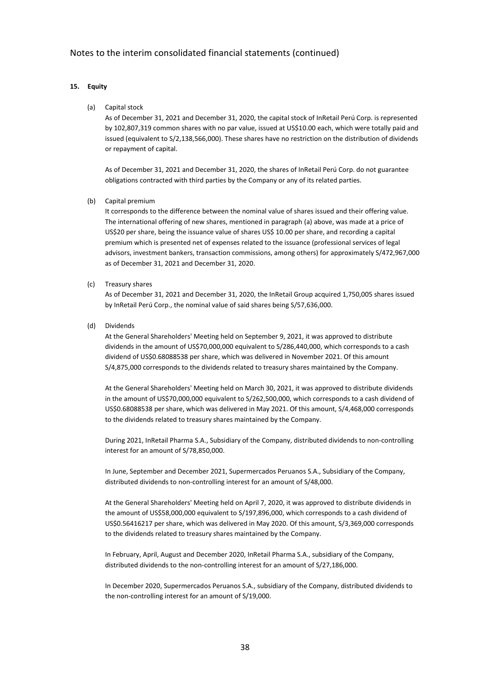## **15. Equity**

(a) Capital stock

As of December 31, 2021 and December 31, 2020, the capital stock of InRetail Perú Corp. is represented by 102,807,319 common shares with no par value, issued at US\$10.00 each, which were totally paid and issued (equivalent to S/2,138,566,000). These shares have no restriction on the distribution of dividends or repayment of capital.

As of December 31, 2021 and December 31, 2020, the shares of InRetail Perú Corp. do not guarantee obligations contracted with third parties by the Company or any of its related parties.

(b) Capital premium

It corresponds to the difference between the nominal value of shares issued and their offering value. The international offering of new shares, mentioned in paragraph (a) above, was made at a price of US\$20 per share, being the issuance value of shares US\$ 10.00 per share, and recording a capital premium which is presented net of expenses related to the issuance (professional services of legal advisors, investment bankers, transaction commissions, among others) for approximately S/472,967,000 as of December 31, 2021 and December 31, 2020.

(c) Treasury shares

As of December 31, 2021 and December 31, 2020, the InRetail Group acquired 1,750,005 shares issued by InRetail Perú Corp., the nominal value of said shares being S/57,636,000.

(d) Dividends

At the General Shareholders' Meeting held on September 9, 2021, it was approved to distribute dividends in the amount of US\$70,000,000 equivalent to S/286,440,000, which corresponds to a cash dividend of US\$0.68088538 per share, which was delivered in November 2021. Of this amount S/4,875,000 corresponds to the dividends related to treasury shares maintained by the Company.

At the General Shareholders' Meeting held on March 30, 2021, it was approved to distribute dividends in the amount of US\$70,000,000 equivalent to S/262,500,000, which corresponds to a cash dividend of US\$0.68088538 per share, which was delivered in May 2021. Of this amount, S/4,468,000 corresponds to the dividends related to treasury shares maintained by the Company.

During 2021, InRetail Pharma S.A., Subsidiary of the Company, distributed dividends to non-controlling interest for an amount of S/78,850,000.

In June, September and December 2021, Supermercados Peruanos S.A., Subsidiary of the Company, distributed dividends to non-controlling interest for an amount of S/48,000.

At the General Shareholders' Meeting held on April 7, 2020, it was approved to distribute dividends in the amount of US\$58,000,000 equivalent to S/197,896,000, which corresponds to a cash dividend of US\$0.56416217 per share, which was delivered in May 2020. Of this amount, S/3,369,000 corresponds to the dividends related to treasury shares maintained by the Company.

In February, April, August and December 2020, InRetail Pharma S.A., subsidiary of the Company, distributed dividends to the non-controlling interest for an amount of S/27,186,000.

In December 2020, Supermercados Peruanos S.A., subsidiary of the Company, distributed dividends to the non-controlling interest for an amount of S/19,000.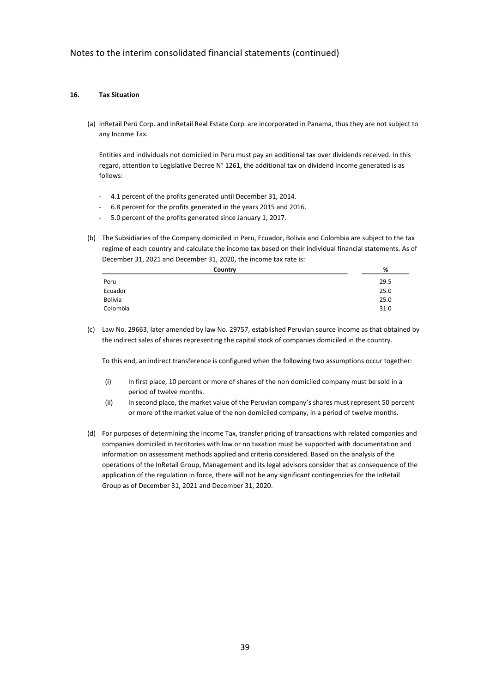### **16. Tax Situation**

(a) InRetail Perú Corp. and InRetail Real Estate Corp. are incorporated in Panama, thus they are not subject to any Income Tax.

Entities and individuals not domiciled in Peru must pay an additional tax over dividends received. In this regard, attention to Legislative Decree N° 1261, the additional tax on dividend income generated is as follows:

- 4.1 percent of the profits generated until December 31, 2014.
- 6.8 percent for the profits generated in the years 2015 and 2016.
- 5.0 percent of the profits generated since January 1, 2017.
- (b) The Subsidiaries of the Company domiciled in Peru, Ecuador, Bolivia and Colombia are subject to the tax regime of each country and calculate the income tax based on their individual financial statements. As of December 31, 2021 and December 31, 2020, the income tax rate is:

| Country        | %    |
|----------------|------|
| Peru           | 29.5 |
| Ecuador        | 25.0 |
| <b>Bolivia</b> | 25.0 |
| Colombia       | 31.0 |
|                |      |

(c) Law No. 29663, later amended by law No. 29757, established Peruvian source income as that obtained by the indirect sales of shares representing the capital stock of companies domiciled in the country.

To this end, an indirect transference is configured when the following two assumptions occur together:

- (i) In first place, 10 percent or more of shares of the non domiciled company must be sold in a period of twelve months.
- (ii) In second place, the market value of the Peruvian company's shares must represent 50 percent or more of the market value of the non domiciled company, in a period of twelve months.
- (d) For purposes of determining the Income Tax, transfer pricing of transactions with related companies and companies domiciled in territories with low or no taxation must be supported with documentation and information on assessment methods applied and criteria considered. Based on the analysis of the operations of the InRetail Group, Management and its legal advisors consider that as consequence of the application of the regulation in force, there will not be any significant contingencies for the InRetail Group as of December 31, 2021 and December 31, 2020.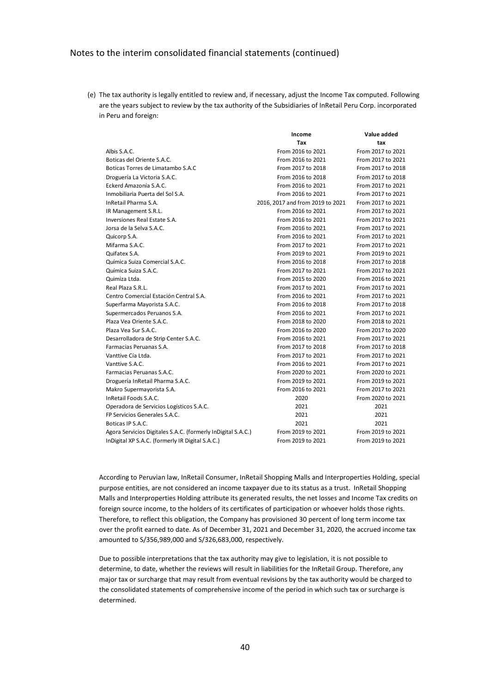(e) The tax authority is legally entitled to review and, if necessary, adjust the Income Tax computed. Following are the years subject to review by the tax authority of the Subsidiaries of InRetail Peru Corp. incorporated in Peru and foreign:

|                                                              | Income                           | Value added       |
|--------------------------------------------------------------|----------------------------------|-------------------|
|                                                              | Tax                              | tax               |
| Albis S.A.C.                                                 | From 2016 to 2021                | From 2017 to 2021 |
| Boticas del Oriente S.A.C.                                   | From 2016 to 2021                | From 2017 to 2021 |
| Boticas Torres de Limatambo S.A.C                            | From 2017 to 2018                | From 2017 to 2018 |
| Droguería La Victoria S.A.C.                                 | From 2016 to 2018                | From 2017 to 2018 |
| Eckerd Amazonía S.A.C.                                       | From 2016 to 2021                | From 2017 to 2021 |
| Inmobiliaria Puerta del Sol S.A.                             | From 2016 to 2021                | From 2017 to 2021 |
| InRetail Pharma S.A.                                         | 2016, 2017 and from 2019 to 2021 | From 2017 to 2021 |
| IR Management S.R.L.                                         | From 2016 to 2021                | From 2017 to 2021 |
| Inversiones Real Estate S.A.                                 | From 2016 to 2021                | From 2017 to 2021 |
| Jorsa de la Selva S.A.C.                                     | From 2016 to 2021                | From 2017 to 2021 |
| Quicorp S.A.                                                 | From 2016 to 2021                | From 2017 to 2021 |
| Mifarma S.A.C.                                               | From 2017 to 2021                | From 2017 to 2021 |
| Quifatex S.A.                                                | From 2019 to 2021                | From 2019 to 2021 |
| Química Suiza Comercial S.A.C.                               | From 2016 to 2018                | From 2017 to 2018 |
| Química Suiza S.A.C.                                         | From 2017 to 2021                | From 2017 to 2021 |
| Quimiza Ltda.                                                | From 2015 to 2020                | From 2016 to 2021 |
| Real Plaza S.R.L.                                            | From 2017 to 2021                | From 2017 to 2021 |
| Centro Comercial Estación Central S.A.                       | From 2016 to 2021                | From 2017 to 2021 |
| Superfarma Mayorista S.A.C.                                  | From 2016 to 2018                | From 2017 to 2018 |
| Supermercados Peruanos S.A.                                  | From 2016 to 2021                | From 2017 to 2021 |
| Plaza Vea Oriente S.A.C.                                     | From 2018 to 2020                | From 2018 to 2021 |
| Plaza Vea Sur S.A.C.                                         | From 2016 to 2020                | From 2017 to 2020 |
| Desarrolladora de Strip Center S.A.C.                        | From 2016 to 2021                | From 2017 to 2021 |
| Farmacias Peruanas S.A.                                      | From 2017 to 2018                | From 2017 to 2018 |
| Vanttive Cía Ltda.                                           | From 2017 to 2021                | From 2017 to 2021 |
| Vanttive S.A.C.                                              | From 2016 to 2021                | From 2017 to 2021 |
| Farmacias Peruanas S.A.C.                                    | From 2020 to 2021                | From 2020 to 2021 |
| Droguería InRetail Pharma S.A.C.                             | From 2019 to 2021                | From 2019 to 2021 |
| Makro Supermayorista S.A.                                    | From 2016 to 2021                | From 2017 to 2021 |
| InRetail Foods S.A.C.                                        | 2020                             | From 2020 to 2021 |
| Operadora de Servicios Logísticos S.A.C.                     | 2021                             | 2021              |
| FP Servicios Generales S.A.C.                                | 2021                             | 2021              |
| Boticas IP S.A.C.                                            | 2021                             | 2021              |
| Agora Servicios Digitales S.A.C. (formerly InDigital S.A.C.) | From 2019 to 2021                | From 2019 to 2021 |
| InDigital XP S.A.C. (formerly IR Digital S.A.C.)             | From 2019 to 2021                | From 2019 to 2021 |

According to Peruvian law, InRetail Consumer, InRetail Shopping Malls and Interproperties Holding, special purpose entities, are not considered an income taxpayer due to its status as a trust. InRetail Shopping Malls and Interproperties Holding attribute its generated results, the net losses and Income Tax credits on foreign source income, to the holders of its certificates of participation or whoever holds those rights. Therefore, to reflect this obligation, the Company has provisioned 30 percent of long term income tax over the profit earned to date. As of December 31, 2021 and December 31, 2020, the accrued income tax amounted to S/356,989,000 and S/326,683,000, respectively.

Due to possible interpretations that the tax authority may give to legislation, it is not possible to determine, to date, whether the reviews will result in liabilities for the InRetail Group. Therefore, any major tax or surcharge that may result from eventual revisions by the tax authority would be charged to the consolidated statements of comprehensive income of the period in which such tax or surcharge is determined.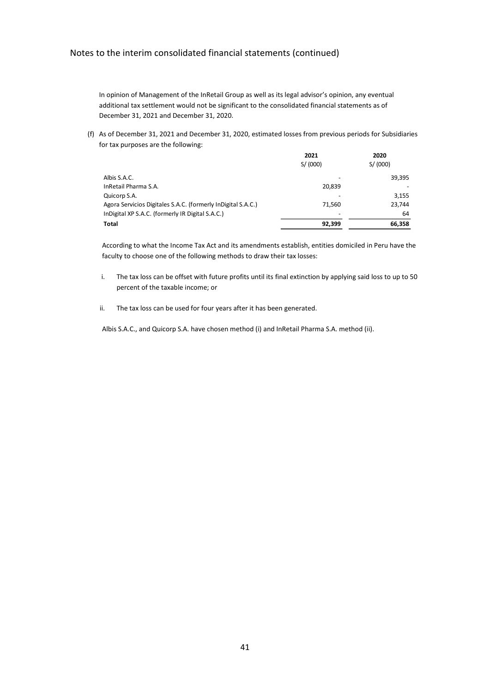In opinion of Management of the InRetail Group as well as its legal advisor's opinion, any eventual additional tax settlement would not be significant to the consolidated financial statements as of December 31, 2021 and December 31, 2020.

(f) As of December 31, 2021 and December 31, 2020, estimated losses from previous periods for Subsidiaries for tax purposes are the following:

|                                                              | 2021                     | 2020     |
|--------------------------------------------------------------|--------------------------|----------|
|                                                              | S/ (000)                 | S/ (000) |
| Albis S.A.C.                                                 |                          | 39,395   |
| InRetail Pharma S.A.                                         | 20,839                   |          |
| Quicorp S.A.                                                 |                          | 3,155    |
| Agora Servicios Digitales S.A.C. (formerly InDigital S.A.C.) | 71.560                   | 23,744   |
| InDigital XP S.A.C. (formerly IR Digital S.A.C.)             | $\overline{\phantom{0}}$ | 64       |
| <b>Total</b>                                                 | 92,399                   | 66,358   |

According to what the Income Tax Act and its amendments establish, entities domiciled in Peru have the faculty to choose one of the following methods to draw their tax losses:

- i. The tax loss can be offset with future profits until its final extinction by applying said loss to up to 50 percent of the taxable income; or
- ii. The tax loss can be used for four years after it has been generated.

Albis S.A.C., and Quicorp S.A. have chosen method (i) and InRetail Pharma S.A. method (ii).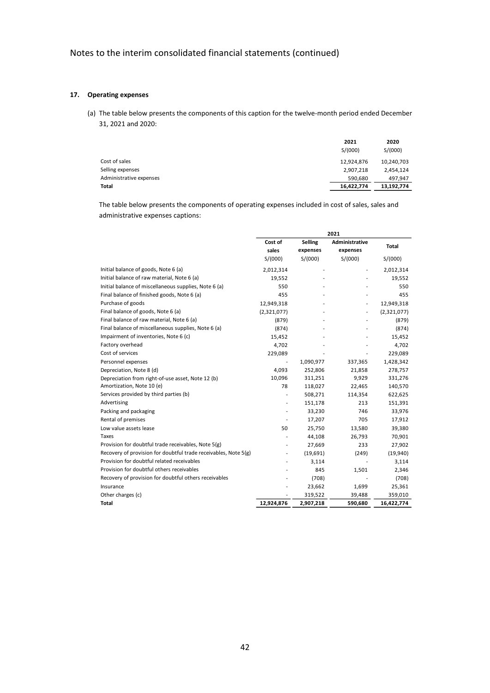### **17. Operating expenses**

(a) The table below presents the components of this caption for the twelve-month period ended December 31, 2021 and 2020:

|                         | 2021<br>S/(000) | 2020<br>S/(000) |
|-------------------------|-----------------|-----------------|
| Cost of sales           | 12,924,876      | 10,240,703      |
| Selling expenses        | 2,907,218       | 2,454,124       |
| Administrative expenses | 590.680         | 497.947         |
| Total                   | 16,422,774      | 13,192,774      |

The table below presents the components of operating expenses included in cost of sales, sales and administrative expenses captions:

|                                                                 | 2021           |           |                |             |
|-----------------------------------------------------------------|----------------|-----------|----------------|-------------|
|                                                                 | Cost of        | Selling   | Administrative | Total       |
|                                                                 | sales          | expenses  | expenses       |             |
|                                                                 | S/(000)        | S/(000)   | S/(000)        | S/(000)     |
| Initial balance of goods, Note 6 (a)                            | 2,012,314      |           |                | 2,012,314   |
| Initial balance of raw material, Note 6 (a)                     | 19,552         |           |                | 19,552      |
| Initial balance of miscellaneous supplies, Note 6 (a)           | 550            |           |                | 550         |
| Final balance of finished goods, Note 6 (a)                     | 455            |           |                | 455         |
| Purchase of goods                                               | 12,949,318     |           |                | 12,949,318  |
| Final balance of goods, Note 6 (a)                              | (2,321,077)    |           |                | (2,321,077) |
| Final balance of raw material, Note 6 (a)                       | (879)          |           |                | (879)       |
| Final balance of miscellaneous supplies, Note 6 (a)             | (874)          |           |                | (874)       |
| Impairment of inventories, Note 6 (c)                           | 15,452         |           |                | 15,452      |
| Factory overhead                                                | 4,702          |           |                | 4,702       |
| Cost of services                                                | 229,089        |           |                | 229,089     |
| Personnel expenses                                              | $\overline{a}$ | 1,090,977 | 337,365        | 1,428,342   |
| Depreciation, Note 8 (d)                                        | 4,093          | 252,806   | 21,858         | 278,757     |
| Depreciation from right-of-use asset, Note 12 (b)               | 10,096         | 311,251   | 9,929          | 331,276     |
| Amortization, Note 10 (e)                                       | 78             | 118,027   | 22,465         | 140,570     |
| Services provided by third parties (b)                          | ä,             | 508,271   | 114,354        | 622,625     |
| Advertising                                                     |                | 151,178   | 213            | 151,391     |
| Packing and packaging                                           |                | 33,230    | 746            | 33,976      |
| Rental of premises                                              |                | 17,207    | 705            | 17,912      |
| Low value assets lease                                          | 50             | 25,750    | 13,580         | 39,380      |
| Taxes                                                           |                | 44,108    | 26,793         | 70,901      |
| Provision for doubtful trade receivables, Note 5(g)             | ÷              | 27,669    | 233            | 27,902      |
| Recovery of provision for doubtful trade receivables, Note 5(g) |                | (19,691)  | (249)          | (19,940)    |
| Provision for doubtful related receivables                      |                | 3,114     |                | 3,114       |
| Provision for doubtful others receivables                       |                | 845       | 1,501          | 2,346       |
| Recovery of provision for doubtful others receivables           |                | (708)     |                | (708)       |
| Insurance                                                       |                | 23,662    | 1,699          | 25,361      |
| Other charges (c)                                               |                | 319,522   | 39,488         | 359,010     |
| <b>Total</b>                                                    | 12,924,876     | 2,907,218 | 590,680        | 16,422,774  |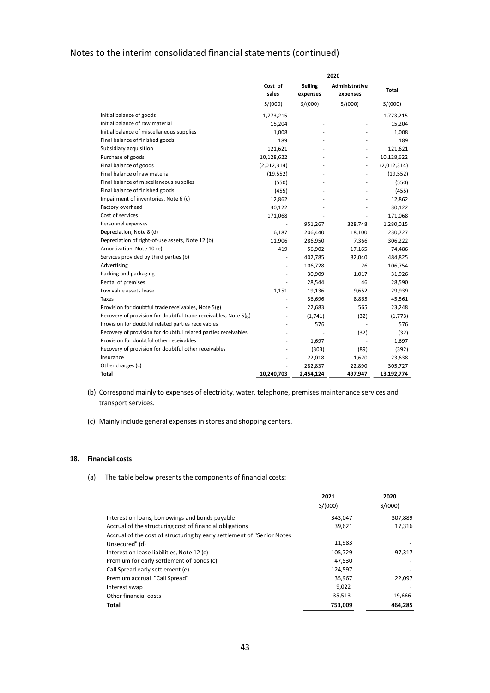|                                                                 | 2020             |                            |                            |             |
|-----------------------------------------------------------------|------------------|----------------------------|----------------------------|-------------|
|                                                                 | Cost of<br>sales | <b>Selling</b><br>expenses | Administrative<br>expenses | Total       |
|                                                                 | S/(000)          | S/(000)                    | S/(000)                    | S/(000)     |
| Initial balance of goods                                        | 1,773,215        |                            |                            | 1,773,215   |
| Initial balance of raw material                                 | 15,204           |                            |                            | 15,204      |
| Initial balance of miscellaneous supplies                       | 1,008            |                            |                            | 1,008       |
| Final balance of finished goods                                 | 189              |                            |                            | 189         |
| Subsidiary acquisition                                          | 121,621          |                            | ä,                         | 121,621     |
| Purchase of goods                                               | 10,128,622       |                            |                            | 10,128,622  |
| Final balance of goods                                          | (2,012,314)      |                            |                            | (2,012,314) |
| Final balance of raw material                                   | (19, 552)        |                            |                            | (19, 552)   |
| Final balance of miscellaneous supplies                         | (550)            |                            |                            | (550)       |
| Final balance of finished goods                                 | (455)            |                            |                            | (455)       |
| Impairment of inventories, Note 6 (c)                           | 12,862           |                            |                            | 12,862      |
| Factory overhead                                                | 30,122           |                            |                            | 30,122      |
| Cost of services                                                | 171,068          |                            |                            | 171,068     |
| Personnel expenses                                              | ÷,               | 951,267                    | 328,748                    | 1,280,015   |
| Depreciation, Note 8 (d)                                        | 6,187            | 206,440                    | 18,100                     | 230,727     |
| Depreciation of right-of-use assets, Note 12 (b)                | 11,906           | 286,950                    | 7,366                      | 306,222     |
| Amortization, Note 10 (e)                                       | 419              | 56,902                     | 17,165                     | 74,486      |
| Services provided by third parties (b)                          |                  | 402,785                    | 82,040                     | 484,825     |
| Advertising                                                     | Ĭ.               | 106,728                    | 26                         | 106,754     |
| Packing and packaging                                           | Ĭ.               | 30,909                     | 1,017                      | 31,926      |
| Rental of premises                                              |                  | 28,544                     | 46                         | 28,590      |
| Low value assets lease                                          | 1,151            | 19,136                     | 9,652                      | 29,939      |
| Taxes                                                           | Ĭ.               | 36,696                     | 8,865                      | 45,561      |
| Provision for doubtful trade receivables, Note 5(g)             | Ĭ.               | 22,683                     | 565                        | 23,248      |
| Recovery of provision for doubtful trade receivables, Note 5(g) |                  | (1,741)                    | (32)                       | (1,773)     |
| Provision for doubtful related parties receivables              |                  | 576                        |                            | 576         |
| Recovery of provision for doubtful related parties receivables  |                  |                            | (32)                       | (32)        |
| Provision for doubtful other receivables                        |                  | 1,697                      |                            | 1,697       |
| Recovery of provision for doubtful other receivables            |                  | (303)                      | (89)                       | (392)       |
| Insurance                                                       | Ĭ.               | 22,018                     | 1,620                      | 23,638      |
| Other charges (c)                                               |                  | 282,837                    | 22,890                     | 305,727     |
| Total                                                           | 10,240,703       | 2,454,124                  | 497,947                    | 13,192,774  |

- (b) Correspond mainly to expenses of electricity, water, telephone, premises maintenance services and transport services.
- (c) Mainly include general expenses in stores and shopping centers.

## **18. Financial costs**

(a) The table below presents the components of financial costs:

|                                                                          | 2021    | 2020    |
|--------------------------------------------------------------------------|---------|---------|
|                                                                          | S/(000) | S/(000) |
| Interest on loans, borrowings and bonds payable                          | 343,047 | 307,889 |
| Accrual of the structuring cost of financial obligations                 | 39,621  | 17,316  |
| Accrual of the cost of structuring by early settlement of "Senior Notes" |         |         |
| Unsecured" (d)                                                           | 11,983  |         |
| Interest on lease liabilities, Note 12 (c)                               | 105,729 | 97,317  |
| Premium for early settlement of bonds (c)                                | 47,530  |         |
| Call Spread early settlement (e)                                         | 124,597 |         |
| Premium accrual "Call Spread"                                            | 35,967  | 22,097  |
| Interest swap                                                            | 9,022   |         |
| Other financial costs                                                    | 35,513  | 19,666  |
| Total                                                                    | 753,009 | 464.285 |
|                                                                          |         |         |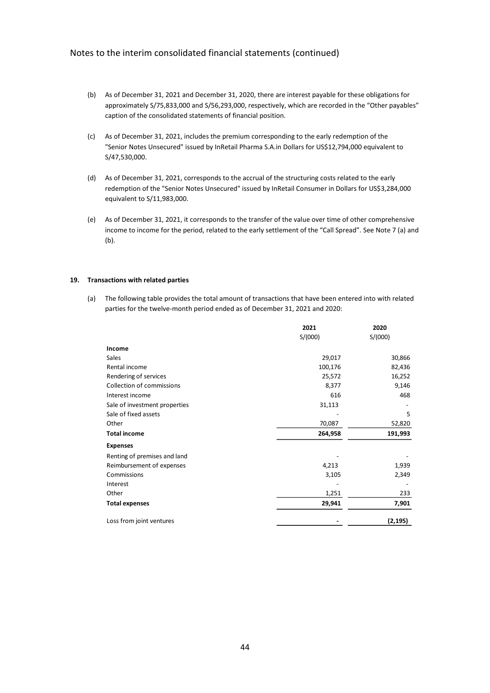- (b) As of December 31, 2021 and December 31, 2020, there are interest payable for these obligations for approximately S/75,833,000 and S/56,293,000, respectively, which are recorded in the "Other payables" caption of the consolidated statements of financial position.
- (c) As of December 31, 2021, includes the premium corresponding to the early redemption of the "Senior Notes Unsecured" issued by InRetail Pharma S.A.in Dollars for US\$12,794,000 equivalent to S/47,530,000.
- (d) As of December 31, 2021, corresponds to the accrual of the structuring costs related to the early redemption of the "Senior Notes Unsecured" issued by InRetail Consumer in Dollars for US\$3,284,000 equivalent to S/11,983,000.
- (e) As of December 31, 2021, it corresponds to the transfer of the value over time of other comprehensive income to income for the period, related to the early settlement of the "Call Spread". See Note 7 (a) and (b).

#### **19. Transactions with related parties**

(a) The following table provides the total amount of transactions that have been entered into with related parties for the twelve-month period ended as of December 31, 2021 and 2020:

|                               | 2021    | 2020     |
|-------------------------------|---------|----------|
|                               | S/(000) | S/(000)  |
| Income                        |         |          |
| Sales                         | 29,017  | 30,866   |
| Rental income                 | 100,176 | 82,436   |
| Rendering of services         | 25,572  | 16,252   |
| Collection of commissions     | 8,377   | 9,146    |
| Interest income               | 616     | 468      |
| Sale of investment properties | 31,113  |          |
| Sale of fixed assets          |         | 5        |
| Other                         | 70,087  | 52,820   |
| <b>Total income</b>           | 264,958 | 191,993  |
| <b>Expenses</b>               |         |          |
| Renting of premises and land  |         |          |
| Reimbursement of expenses     | 4,213   | 1,939    |
| Commissions                   | 3,105   | 2,349    |
| Interest                      |         |          |
| Other                         | 1,251   | 233      |
| <b>Total expenses</b>         | 29,941  | 7,901    |
| Loss from joint ventures      |         | (2, 195) |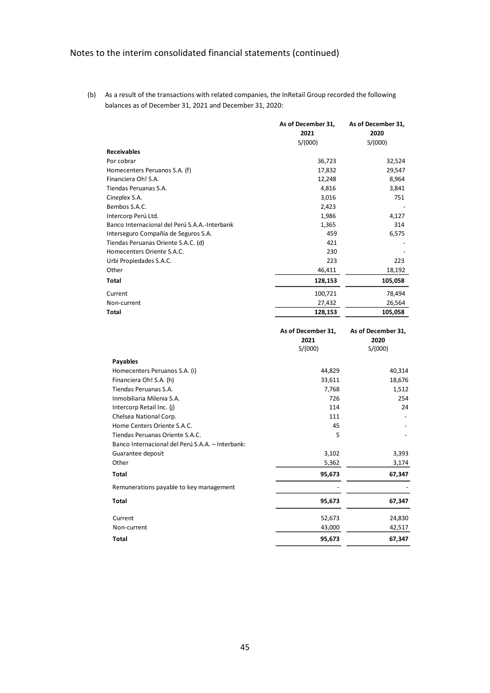(b) As a result of the transactions with related companies, the InRetail Group recorded the following balances as of December 31, 2021 and December 31, 2020:

|                                               | As of December 31, | As of December 31, |
|-----------------------------------------------|--------------------|--------------------|
|                                               | 2021               | 2020               |
|                                               | S/(000)            | S/(000)            |
| <b>Receivables</b>                            |                    |                    |
| Por cobrar                                    | 36,723             | 32,524             |
| Homecenters Peruanos S.A. (f)                 | 17,832             | 29,547             |
| Financiera Oh! S.A.                           | 12,248             | 8,964              |
| Tiendas Peruanas S.A.                         | 4,816              | 3,841              |
| Cineplex S.A.                                 | 3,016              | 751                |
| Bembos S.A.C.                                 | 2,423              |                    |
| Intercorp Perú Ltd.                           | 1,986              | 4,127              |
| Banco Internacional del Perú S.A.A.-Interbank | 1,365              | 314                |
| Interseguro Compañía de Seguros S.A.          | 459                | 6,575              |
| Tiendas Peruanas Oriente S.A.C. (d)           | 421                |                    |
| Homecenters Oriente S.A.C.                    | 230                |                    |
| Urbi Propiedades S.A.C.                       | 223                | 223                |
| Other                                         | 46,411             | 18,192             |
| Total                                         | 128,153            | 105,058            |
| Current                                       | 100,721            | 78,494             |
| Non-current                                   | 27,432             | 26,564             |
| Total                                         | 128,153            | 105,058            |

|                                                  | As of December 31, | As of December 31, |
|--------------------------------------------------|--------------------|--------------------|
|                                                  | 2021               | 2020               |
|                                                  | S/(000)            | S/(000)            |
| <b>Payables</b>                                  |                    |                    |
| Homecenters Peruanos S.A. (i)                    | 44,829             | 40,314             |
| Financiera Oh! S.A. (h)                          | 33,611             | 18,676             |
| Tiendas Peruanas S.A.                            | 7,768              | 1,512              |
| Inmobiliaria Milenia S.A.                        | 726                | 254                |
| Intercorp Retail Inc. (j)                        | 114                | 24                 |
| Chelsea National Corp.                           | 111                |                    |
| Home Centers Oriente S.A.C.                      | 45                 |                    |
| Tiendas Peruanas Oriente S.A.C.                  | 5                  |                    |
| Banco Internacional del Perú S.A.A. - Interbank: |                    |                    |
| Guarantee deposit                                | 3,102              | 3,393              |
| Other                                            | 5,362              | 3,174              |
| Total                                            | 95,673             | 67,347             |
| Remunerations payable to key management          |                    |                    |
| Total                                            | 95,673             | 67,347             |
| Current                                          | 52,673             | 24,830             |
| Non-current                                      | 43,000             | 42,517             |
| Total                                            | 95,673             | 67,347             |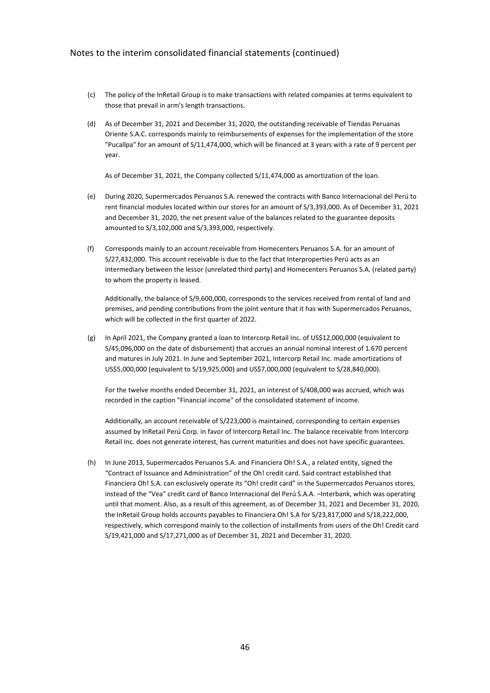- (c) The policy of the InRetail Group is to make transactions with related companies at terms equivalent to those that prevail in arm's length transactions.
- (d) As of December 31, 2021 and December 31, 2020, the outstanding receivable of Tiendas Peruanas Oriente S.A.C. corresponds mainly to reimbursements of expenses for the implementation of the store "Pucallpa" for an amount of S/11,474,000, which will be financed at 3 years with a rate of 9 percent per year.

As of December 31, 2021, the Company collected S/11,474,000 as amortization of the loan.

- (e) During 2020, Supermercados Peruanos S.A. renewed the contracts with Banco Internacional del Perú to rent financial modules located within our stores for an amount of S/3,393,000. As of December 31, 2021 and December 31, 2020, the net present value of the balances related to the guarantee deposits amounted to S/3,102,000 and S/3,393,000, respectively.
- (f) Corresponds mainly to an account receivable from Homecenters Peruanos S.A. for an amount of S/27,432,000. This account receivable is due to the fact that Interproperties Perú acts as an intermediary between the lessor (unrelated third party) and Homecenters Peruanos S.A. (related party) to whom the property is leased.

Additionally, the balance of S/9,600,000, corresponds to the services received from rental of land and premises, and pending contributions from the joint venture that it has with Supermercados Peruanos, which will be collected in the first quarter of 2022.

(g) In April 2021, the Company granted a loan to Intercorp Retail Inc. of US\$12,000,000 (equivalent to S/45,096,000 on the date of disbursement) that accrues an annual nominal interest of 1.670 percent and matures in July 2021. In June and September 2021, Intercorp Retail Inc. made amortizations of US\$5,000,000 (equivalent to S/19,925,000) and US\$7,000,000 (equivalent to S/28,840,000).

For the twelve months ended December 31, 2021, an interest of S/408,000 was accrued, which was recorded in the caption "Financial income" of the consolidated statement of income.

Additionally, an account receivable of S/223,000 is maintained, corresponding to certain expenses assumed by InRetail Perú Corp. in favor of Intercorp Retail Inc. The balance receivable from Intercorp Retail Inc. does not generate interest, has current maturities and does not have specific guarantees.

(h) In June 2013, Supermercados Peruanos S.A. and Financiera Oh! S.A., a related entity, signed the "Contract of Issuance and Administration" of the Oh! credit card. Said contract established that Financiera Oh! S.A. can exclusively operate its "Oh! credit card" in the Supermercados Peruanos stores, instead of the "Vea" credit card of Banco Internacional del Perú S.A.A. –Interbank, which was operating until that moment. Also, as a result of this agreement, as of December 31, 2021 and December 31, 2020, the InRetail Group holds accounts payables to Financiera Oh! S.A for S/23,817,000 and S/18,222,000, respectively, which correspond mainly to the collection of installments from users of the Oh! Credit card S/19,421,000 and S/17,271,000 as of December 31, 2021 and December 31, 2020.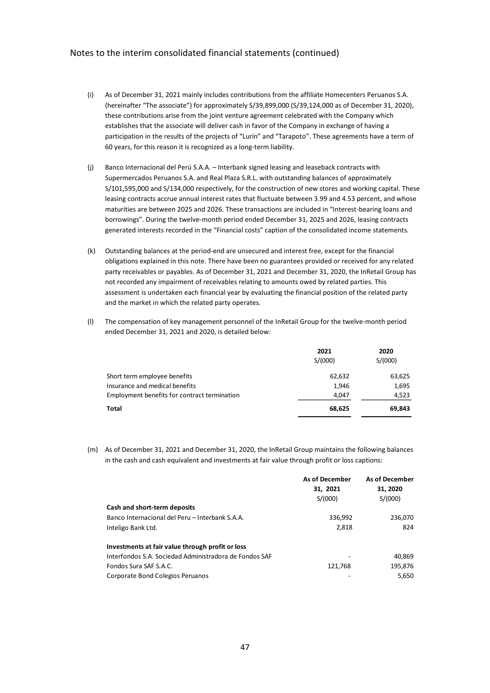- (i) As of December 31, 2021 mainly includes contributions from the affiliate Homecenters Peruanos S.A. (hereinafter "The associate") for approximately S/39,899,000 (S/39,124,000 as of December 31, 2020), these contributions arise from the joint venture agreement celebrated with the Company which establishes that the associate will deliver cash in favor of the Company in exchange of having a participation in the results of the projects of "Lurín" and "Tarapoto". These agreements have a term of 60 years, for this reason it is recognized as a long-term liability.
- (j) Banco Internacional del Perú S.A.A. Interbank signed leasing and leaseback contracts with Supermercados Peruanos S.A. and Real Plaza S.R.L. with outstanding balances of approximately S/101,595,000 and S/134,000 respectively, for the construction of new stores and working capital. These leasing contracts accrue annual interest rates that fluctuate between 3.99 and 4.53 percent, and whose maturities are between 2025 and 2026. These transactions are included in "Interest-bearing loans and borrowings". During the twelve-month period ended December 31, 2025 and 2026, leasing contracts generated interests recorded in the "Financial costs" caption of the consolidated income statements.
- (k) Outstanding balances at the period-end are unsecured and interest free, except for the financial obligations explained in this note. There have been no guarantees provided or received for any related party receivables or payables. As of December 31, 2021 and December 31, 2020, the InRetail Group has not recorded any impairment of receivables relating to amounts owed by related parties. This assessment is undertaken each financial year by evaluating the financial position of the related party and the market in which the related party operates.
- (l) The compensation of key management personnel of the InRetail Group for the twelve-month period ended December 31, 2021 and 2020, is detailed below:

|                                              | 2021<br>S/(000) | 2020<br>S/(000) |
|----------------------------------------------|-----------------|-----------------|
| Short term employee benefits                 | 62,632          | 63,625          |
| Insurance and medical benefits               | 1.946           | 1,695           |
| Employment benefits for contract termination | 4,047           | 4,523           |
| Total                                        | 68,625          | 69,843          |

(m) As of December 31, 2021 and December 31, 2020, the InRetail Group maintains the following balances in the cash and cash equivalent and investments at fair value through profit or loss captions:

|                                                        | <b>As of December</b> | <b>As of December</b> |
|--------------------------------------------------------|-----------------------|-----------------------|
|                                                        | 31, 2021              | 31, 2020              |
|                                                        | S/(000)               | S/(000)               |
| Cash and short-term deposits                           |                       |                       |
| Banco Internacional del Peru – Interbank S.A.A.        | 336,992               | 236,070               |
| Inteligo Bank Ltd.                                     | 2,818                 | 824                   |
| Investments at fair value through profit or loss       |                       |                       |
| Interfondos S.A. Sociedad Administradora de Fondos SAF |                       | 40,869                |
| Fondos Sura SAF S.A.C.                                 | 121,768               | 195,876               |
| Corporate Bond Colegios Peruanos                       |                       | 5,650                 |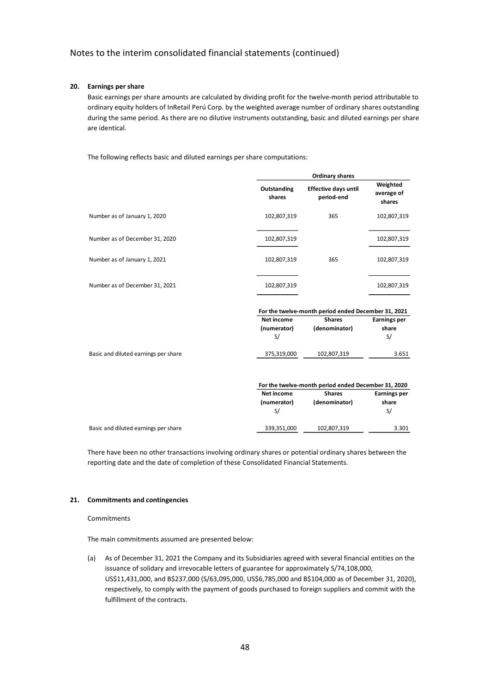## **20. Earnings per share**

Basic earnings per share amounts are calculated by dividing profit for the twelve-month period attributable to ordinary equity holders of InRetail Perú Corp. by the weighted average number of ordinary shares outstanding during the same period. As there are no dilutive instruments outstanding, basic and diluted earnings per share are identical.

The following reflects basic and diluted earnings per share computations:

|                                      |                       | <b>Ordinary shares</b>                              |                                  |  |  |
|--------------------------------------|-----------------------|-----------------------------------------------------|----------------------------------|--|--|
|                                      | Outstanding<br>shares | <b>Effective days until</b><br>period-end           | Weighted<br>average of<br>shares |  |  |
| Number as of January 1, 2020         | 102,807,319           | 365                                                 | 102,807,319                      |  |  |
| Number as of December 31, 2020       | 102,807,319           |                                                     | 102,807,319                      |  |  |
| Number as of January 1, 2021         | 102,807,319           | 365                                                 | 102,807,319                      |  |  |
| Number as of December 31, 2021       | 102,807,319           |                                                     | 102,807,319                      |  |  |
|                                      |                       | For the twelve-month period ended December 31, 2021 |                                  |  |  |
|                                      | Net income            | <b>Shares</b>                                       | <b>Earnings per</b>              |  |  |
|                                      | (numerator)           | (denominator)                                       | share                            |  |  |
|                                      | S/                    |                                                     | S/                               |  |  |
| Basic and diluted earnings per share | 375,319,000           | 102,807,319                                         | 3.651                            |  |  |
|                                      |                       | For the twelve-month period ended December 31, 2020 |                                  |  |  |
|                                      | Net income            | <b>Shares</b>                                       | <b>Earnings per</b>              |  |  |
|                                      | (numerator)<br>S/     | (denominator)                                       | share<br>S/                      |  |  |
| Basic and diluted earnings per share | 339,351,000           | 102,807,319                                         | 3.301                            |  |  |

There have been no other transactions involving ordinary shares or potential ordinary shares between the reporting date and the date of completion of these Consolidated Financial Statements.

#### **21. Commitments and contingencies**

#### **Commitments**

The main commitments assumed are presented below:

(a) As of December 31, 2021 the Company and its Subsidiaries agreed with several financial entities on the issuance of solidary and irrevocable letters of guarantee for approximately S/74,108,000, US\$11,431,000, and B\$237,000 (S/63,095,000, US\$6,785,000 and B\$104,000 as of December 31, 2020), respectively, to comply with the payment of goods purchased to foreign suppliers and commit with the fulfillment of the contracts.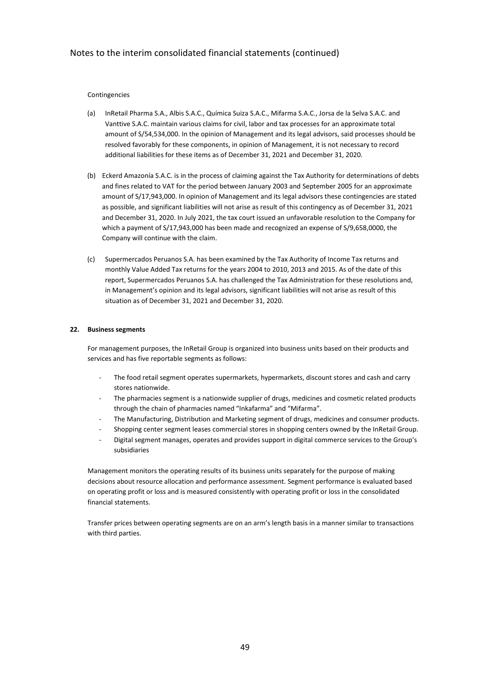#### Contingencies

- (a) InRetail Pharma S.A., Albis S.A.C., Química Suiza S.A.C., Mifarma S.A.C., Jorsa de la Selva S.A.C. and Vanttive S.A.C. maintain various claims for civil, labor and tax processes for an approximate total amount of S/54,534,000. In the opinion of Management and its legal advisors, said processes should be resolved favorably for these components, in opinion of Management, it is not necessary to record additional liabilities for these items as of December 31, 2021 and December 31, 2020.
- (b) Eckerd Amazonía S.A.C. is in the process of claiming against the Tax Authority for determinations of debts and fines related to VAT for the period between January 2003 and September 2005 for an approximate amount of S/17,943,000. In opinion of Management and its legal advisors these contingencies are stated as possible, and significant liabilities will not arise as result of this contingency as of December 31, 2021 and December 31, 2020. In July 2021, the tax court issued an unfavorable resolution to the Company for which a payment of S/17,943,000 has been made and recognized an expense of S/9,658,0000, the Company will continue with the claim.
- (c) Supermercados Peruanos S.A. has been examined by the Tax Authority of Income Tax returns and monthly Value Added Tax returns for the years 2004 to 2010, 2013 and 2015. As of the date of this report, Supermercados Peruanos S.A. has challenged the Tax Administration for these resolutions and, in Management's opinion and its legal advisors, significant liabilities will not arise as result of this situation as of December 31, 2021 and December 31, 2020.

#### **22. Business segments**

For management purposes, the InRetail Group is organized into business units based on their products and services and has five reportable segments as follows:

- The food retail segment operates supermarkets, hypermarkets, discount stores and cash and carry stores nationwide.
- The pharmacies segment is a nationwide supplier of drugs, medicines and cosmetic related products through the chain of pharmacies named "Inkafarma" and "Mifarma".
- The Manufacturing, Distribution and Marketing segment of drugs, medicines and consumer products.
- Shopping center segment leases commercial stores in shopping centers owned by the InRetail Group.
- Digital segment manages, operates and provides support in digital commerce services to the Group's subsidiaries

Management monitors the operating results of its business units separately for the purpose of making decisions about resource allocation and performance assessment. Segment performance is evaluated based on operating profit or loss and is measured consistently with operating profit or loss in the consolidated financial statements.

Transfer prices between operating segments are on an arm's length basis in a manner similar to transactions with third parties.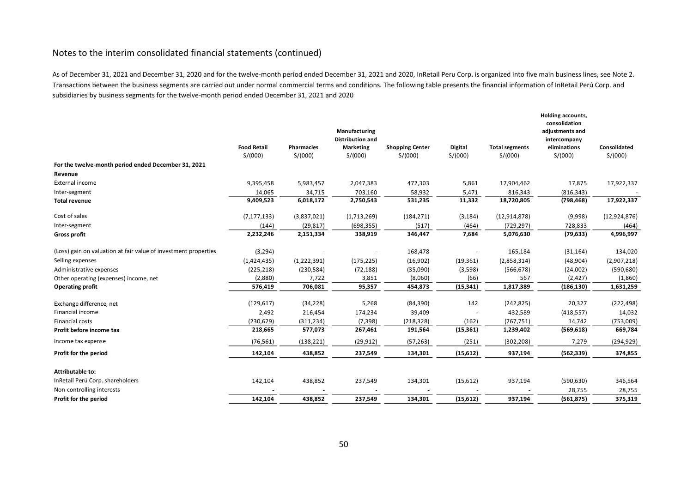As of December 31, 2021 and December 31, 2020 and for the twelve-month period ended December 31, 2021 and 2020, InRetail Peru Corp. is organized into five main business lines, see Note 2. Transactions between the business segments are carried out under normal commercial terms and conditions. The following table presents the financial information of InRetail Perú Corp. and subsidiaries by business segments for the twelve-month period ended December 31, 2021 and 2020

|                                                                 |                    |                   | Manufacturing<br><b>Distribution and</b> |                        |           |                       | Holding accounts,<br>consolidation<br>adjustments and<br>intercompany |                |
|-----------------------------------------------------------------|--------------------|-------------------|------------------------------------------|------------------------|-----------|-----------------------|-----------------------------------------------------------------------|----------------|
|                                                                 | <b>Food Retail</b> | <b>Pharmacies</b> | <b>Marketing</b>                         | <b>Shopping Center</b> | Digital   | <b>Total segments</b> | eliminations                                                          | Consolidated   |
|                                                                 | S/(000)            | S/(000)           | S/(000)                                  | S/(000)                | S/(000)   | S/(000)               | S/(000)                                                               | S/(000)        |
| For the twelve-month period ended December 31, 2021             |                    |                   |                                          |                        |           |                       |                                                                       |                |
| Revenue                                                         |                    |                   |                                          |                        |           |                       |                                                                       |                |
| External income                                                 | 9,395,458          | 5,983,457         | 2,047,383                                | 472,303                | 5,861     | 17,904,462            | 17,875                                                                | 17,922,337     |
| Inter-segment                                                   | 14,065             | 34,715            | 703,160                                  | 58,932                 | 5,471     | 816,343               | (816, 343)                                                            |                |
| <b>Total revenue</b>                                            | 9,409,523          | 6,018,172         | 2,750,543                                | 531,235                | 11,332    | 18,720,805            | (798, 468)                                                            | 17,922,337     |
| Cost of sales                                                   | (7, 177, 133)      | (3,837,021)       | (1,713,269)                              | (184, 271)             | (3, 184)  | (12, 914, 878)        | (9,998)                                                               | (12, 924, 876) |
| Inter-segment                                                   | (144)              | (29, 817)         | (698, 355)                               | (517)                  | (464)     | (729, 297)            | 728,833                                                               | (464)          |
| <b>Gross profit</b>                                             | 2,232,246          | 2,151,334         | 338,919                                  | 346,447                | 7,684     | 5,076,630             | (79, 633)                                                             | 4,996,997      |
| (Loss) gain on valuation at fair value of investment properties | (3, 294)           |                   |                                          | 168,478                |           | 165,184               | (31, 164)                                                             | 134,020        |
| Selling expenses                                                | (1,424,435)        | (1,222,391)       | (175, 225)                               | (16, 902)              | (19, 361) | (2,858,314)           | (48, 904)                                                             | (2,907,218)    |
| Administrative expenses                                         | (225, 218)         | (230, 584)        | (72, 188)                                | (35,090)               | (3,598)   | (566, 678)            | (24,002)                                                              | (590, 680)     |
| Other operating (expenses) income, net                          | (2,880)            | 7,722             | 3,851                                    | (8,060)                | (66)      | 567                   | (2, 427)                                                              | (1,860)        |
| <b>Operating profit</b>                                         | 576,419            | 706,081           | 95,357                                   | 454,873                | (15, 341) | 1,817,389             | (186, 130)                                                            | 1,631,259      |
| Exchange difference, net                                        | (129, 617)         | (34, 228)         | 5,268                                    | (84, 390)              | 142       | (242, 825)            | 20,327                                                                | (222, 498)     |
| Financial income                                                | 2,492              | 216,454           | 174,234                                  | 39,409                 |           | 432,589               | (418, 557)                                                            | 14,032         |
| <b>Financial costs</b>                                          | (230, 629)         | (311, 234)        | (7, 398)                                 | (218, 328)             | (162)     | (767, 751)            | 14,742                                                                | (753,009)      |
| Profit before income tax                                        | 218,665            | 577,073           | 267,461                                  | 191,564                | (15, 361) | 1,239,402             | (569, 618)                                                            | 669,784        |
| Income tax expense                                              | (76, 561)          | (138, 221)        | (29, 912)                                | (57, 263)              | (251)     | (302, 208)            | 7,279                                                                 | (294, 929)     |
| Profit for the period                                           | 142,104            | 438,852           | 237,549                                  | 134,301                | (15, 612) | 937,194               | (562, 339)                                                            | 374,855        |
| Attributable to:                                                |                    |                   |                                          |                        |           |                       |                                                                       |                |
| InRetail Perú Corp. shareholders                                | 142,104            | 438,852           | 237,549                                  | 134,301                | (15, 612) | 937,194               | (590, 630)                                                            | 346,564        |
| Non-controlling interests                                       |                    |                   |                                          |                        |           |                       | 28,755                                                                | 28,755         |
| Profit for the period                                           | 142,104            | 438,852           | 237,549                                  | 134,301                | (15, 612) | 937,194               | (561, 875)                                                            | 375,319        |
|                                                                 |                    |                   |                                          |                        |           |                       |                                                                       |                |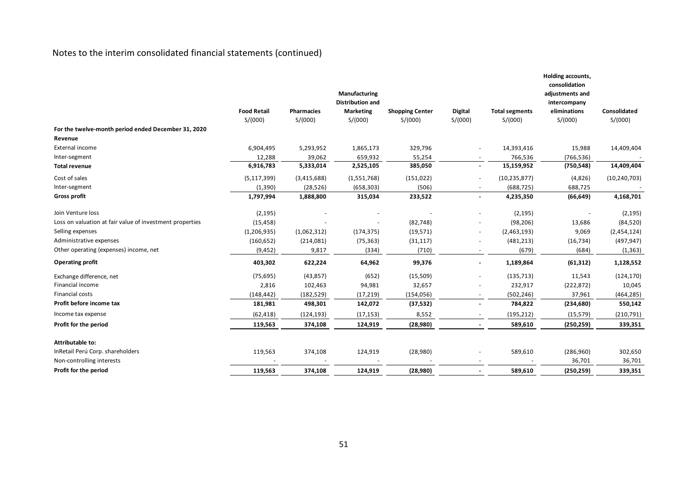|                                                          | <b>Food Retail</b> | <b>Pharmacies</b> | Manufacturing<br><b>Distribution and</b><br><b>Marketing</b> | <b>Shopping Center</b> | <b>Digital</b> | <b>Total segments</b> | Holding accounts,<br>consolidation<br>adjustments and<br>intercompany<br>eliminations | Consolidated   |
|----------------------------------------------------------|--------------------|-------------------|--------------------------------------------------------------|------------------------|----------------|-----------------------|---------------------------------------------------------------------------------------|----------------|
|                                                          | S/(000)            | S/(000)           | S/(000)                                                      | S/(000)                | S/(000)        | S/(000)               | S/(000)                                                                               | S/(000)        |
| For the twelve-month period ended December 31, 2020      |                    |                   |                                                              |                        |                |                       |                                                                                       |                |
| Revenue                                                  |                    |                   |                                                              |                        |                |                       |                                                                                       |                |
| External income                                          | 6,904,495          | 5,293,952         | 1,865,173                                                    | 329,796                |                | 14,393,416            | 15,988                                                                                | 14,409,404     |
| Inter-segment                                            | 12,288             | 39,062            | 659,932                                                      | 55,254                 |                | 766,536               | (766, 536)                                                                            |                |
| <b>Total revenue</b>                                     | 6,916,783          | 5,333,014         | 2,525,105                                                    | 385,050                | $\blacksquare$ | 15,159,952            | (750, 548)                                                                            | 14,409,404     |
| Cost of sales                                            | (5, 117, 399)      | (3,415,688)       | (1,551,768)                                                  | (151, 022)             |                | (10, 235, 877)        | (4,826)                                                                               | (10, 240, 703) |
| Inter-segment                                            | (1,390)            | (28, 526)         | (658, 303)                                                   | (506)                  |                | (688, 725)            | 688,725                                                                               |                |
| <b>Gross profit</b>                                      | 1,797,994          | 1,888,800         | 315,034                                                      | 233,522                |                | 4,235,350             | (66, 649)                                                                             | 4,168,701      |
| Join Venture loss                                        | (2, 195)           |                   |                                                              |                        |                | (2, 195)              |                                                                                       | (2, 195)       |
| Loss on valuation at fair value of investment properties | (15, 458)          |                   |                                                              | (82, 748)              |                | (98, 206)             | 13,686                                                                                | (84, 520)      |
| Selling expenses                                         | (1, 206, 935)      | (1,062,312)       | (174, 375)                                                   | (19, 571)              |                | (2,463,193)           | 9,069                                                                                 | (2,454,124)    |
| Administrative expenses                                  | (160, 652)         | (214,081)         | (75, 363)                                                    | (31, 117)              |                | (481, 213)            | (16, 734)                                                                             | (497, 947)     |
| Other operating (expenses) income, net                   | (9, 452)           | 9,817             | (334)                                                        | (710)                  |                | (679)                 | (684)                                                                                 | (1, 363)       |
| <b>Operating profit</b>                                  | 403,302            | 622,224           | 64,962                                                       | 99,376                 |                | 1,189,864             | (61, 312)                                                                             | 1,128,552      |
| Exchange difference, net                                 | (75, 695)          | (43, 857)         | (652)                                                        | (15,509)               |                | (135, 713)            | 11,543                                                                                | (124, 170)     |
| Financial income                                         | 2,816              | 102,463           | 94,981                                                       | 32,657                 |                | 232,917               | (222, 872)                                                                            | 10,045         |
| <b>Financial costs</b>                                   | (148, 442)         | (182, 529)        | (17, 219)                                                    | (154, 056)             |                | (502, 246)            | 37,961                                                                                | (464, 285)     |
| Profit before income tax                                 | 181,981            | 498,301           | 142,072                                                      | (37, 532)              |                | 784,822               | (234, 680)                                                                            | 550,142        |
| Income tax expense                                       | (62, 418)          | (124, 193)        | (17, 153)                                                    | 8,552                  |                | (195, 212)            | (15, 579)                                                                             | (210, 791)     |
| Profit for the period                                    | 119,563            | 374,108           | 124,919                                                      | (28,980)               |                | 589,610               | (250, 259)                                                                            | 339,351        |
| Attributable to:                                         |                    |                   |                                                              |                        |                |                       |                                                                                       |                |
| InRetail Perú Corp. shareholders                         | 119,563            | 374,108           | 124,919                                                      | (28,980)               |                | 589,610               | (286,960)                                                                             | 302,650        |
| Non-controlling interests                                |                    |                   |                                                              |                        |                |                       | 36,701                                                                                | 36,701         |
| Profit for the period                                    | 119,563            | 374,108           | 124,919                                                      | (28,980)               |                | 589,610               | (250, 259)                                                                            | 339,351        |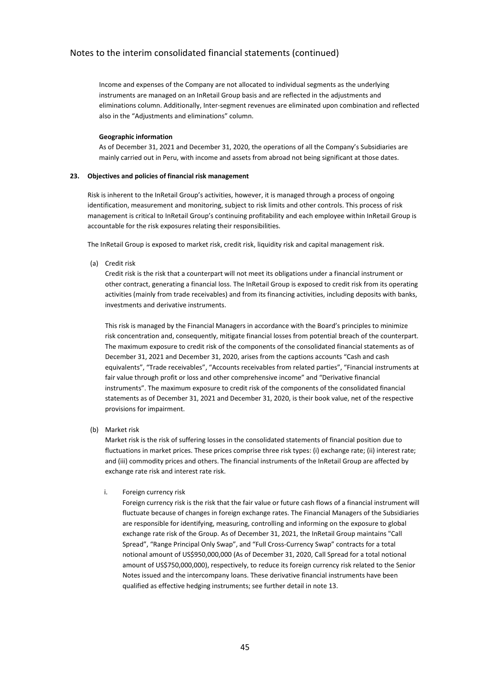Income and expenses of the Company are not allocated to individual segments as the underlying instruments are managed on an InRetail Group basis and are reflected in the adjustments and eliminations column. Additionally, Inter-segment revenues are eliminated upon combination and reflected also in the "Adjustments and eliminations" column.

#### **Geographic information**

As of December 31, 2021 and December 31, 2020, the operations of all the Company's Subsidiaries are mainly carried out in Peru, with income and assets from abroad not being significant at those dates.

#### **23. Objectives and policies of financial risk management**

Risk is inherent to the InRetail Group's activities, however, it is managed through a process of ongoing identification, measurement and monitoring, subject to risk limits and other controls. This process of risk management is critical to InRetail Group's continuing profitability and each employee within InRetail Group is accountable for the risk exposures relating their responsibilities.

The InRetail Group is exposed to market risk, credit risk, liquidity risk and capital management risk.

(a) Credit risk

Credit risk is the risk that a counterpart will not meet its obligations under a financial instrument or other contract, generating a financial loss. The InRetail Group is exposed to credit risk from its operating activities (mainly from trade receivables) and from its financing activities, including deposits with banks, investments and derivative instruments.

This risk is managed by the Financial Managers in accordance with the Board's principles to minimize risk concentration and, consequently, mitigate financial losses from potential breach of the counterpart. The maximum exposure to credit risk of the components of the consolidated financial statements as of December 31, 2021 and December 31, 2020, arises from the captions accounts "Cash and cash equivalents", "Trade receivables", "Accounts receivables from related parties", "Financial instruments at fair value through profit or loss and other comprehensive income" and "Derivative financial instruments". The maximum exposure to credit risk of the components of the consolidated financial statements as of December 31, 2021 and December 31, 2020, is their book value, net of the respective provisions for impairment.

(b) Market risk

Market risk is the risk of suffering losses in the consolidated statements of financial position due to fluctuations in market prices. These prices comprise three risk types: (i) exchange rate; (ii) interest rate; and (iii) commodity prices and others. The financial instruments of the InRetail Group are affected by exchange rate risk and interest rate risk.

## i. Foreign currency risk

Foreign currency risk is the risk that the fair value or future cash flows of a financial instrument will fluctuate because of changes in foreign exchange rates. The Financial Managers of the Subsidiaries are responsible for identifying, measuring, controlling and informing on the exposure to global exchange rate risk of the Group. As of December 31, 2021, the InRetail Group maintains "Call Spread", "Range Principal Only Swap", and "Full Cross-Currency Swap" contracts for a total notional amount of US\$950,000,000 (As of December 31, 2020, Call Spread for a total notional amount of US\$750,000,000), respectively, to reduce its foreign currency risk related to the Senior Notes issued and the intercompany loans. These derivative financial instruments have been qualified as effective hedging instruments; see further detail in note 13.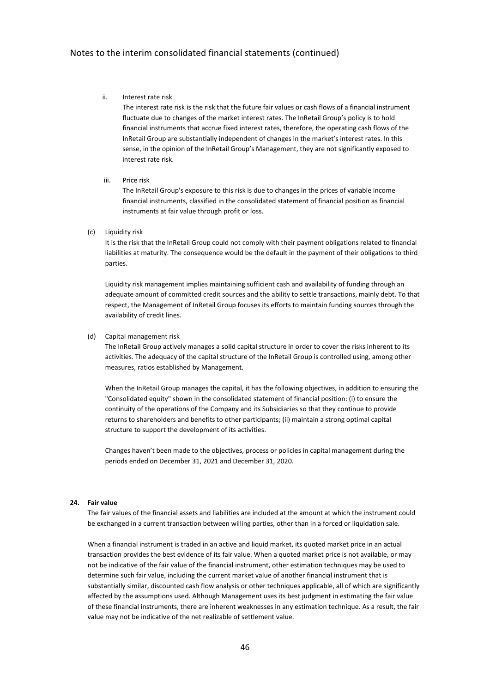#### ii. Interest rate risk

The interest rate risk is the risk that the future fair values or cash flows of a financial instrument fluctuate due to changes of the market interest rates. The InRetail Group's policy is to hold financial instruments that accrue fixed interest rates, therefore, the operating cash flows of the InRetail Group are substantially independent of changes in the market's interest rates. In this sense, in the opinion of the InRetail Group's Management, they are not significantly exposed to interest rate risk.

#### iii. Price risk

The InRetail Group's exposure to this risk is due to changes in the prices of variable income financial instruments, classified in the consolidated statement of financial position as financial instruments at fair value through profit or loss.

#### (c) Liquidity risk

It is the risk that the InRetail Group could not comply with their payment obligations related to financial liabilities at maturity. The consequence would be the default in the payment of their obligations to third parties.

Liquidity risk management implies maintaining sufficient cash and availability of funding through an adequate amount of committed credit sources and the ability to settle transactions, mainly debt. To that respect, the Management of InRetail Group focuses its efforts to maintain funding sources through the availability of credit lines.

#### (d) Capital management risk

The InRetail Group actively manages a solid capital structure in order to cover the risks inherent to its activities. The adequacy of the capital structure of the InRetail Group is controlled using, among other measures, ratios established by Management.

When the InRetail Group manages the capital, it has the following objectives, in addition to ensuring the "Consolidated equity" shown in the consolidated statement of financial position: (i) to ensure the continuity of the operations of the Company and its Subsidiaries so that they continue to provide returns to shareholders and benefits to other participants; (ii) maintain a strong optimal capital structure to support the development of its activities.

Changes haven't been made to the objectives, process or policies in capital management during the periods ended on December 31, 2021 and December 31, 2020.

#### **24. Fair value**

The fair values of the financial assets and liabilities are included at the amount at which the instrument could be exchanged in a current transaction between willing parties, other than in a forced or liquidation sale.

When a financial instrument is traded in an active and liquid market, its quoted market price in an actual transaction provides the best evidence of its fair value. When a quoted market price is not available, or may not be indicative of the fair value of the financial instrument, other estimation techniques may be used to determine such fair value, including the current market value of another financial instrument that is substantially similar, discounted cash flow analysis or other techniques applicable, all of which are significantly affected by the assumptions used. Although Management uses its best judgment in estimating the fair value of these financial instruments, there are inherent weaknesses in any estimation technique. As a result, the fair value may not be indicative of the net realizable of settlement value.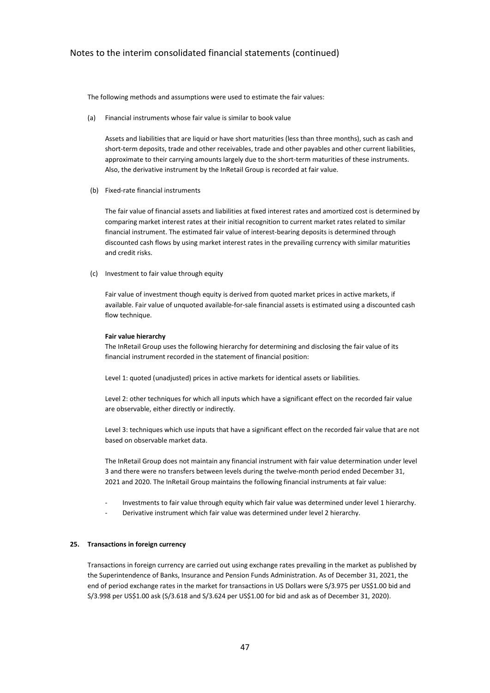The following methods and assumptions were used to estimate the fair values:

(a) Financial instruments whose fair value is similar to book value

Assets and liabilities that are liquid or have short maturities (less than three months), such as cash and short-term deposits, trade and other receivables, trade and other payables and other current liabilities, approximate to their carrying amounts largely due to the short-term maturities of these instruments. Also, the derivative instrument by the InRetail Group is recorded at fair value.

(b) Fixed-rate financial instruments

The fair value of financial assets and liabilities at fixed interest rates and amortized cost is determined by comparing market interest rates at their initial recognition to current market rates related to similar financial instrument. The estimated fair value of interest-bearing deposits is determined through discounted cash flows by using market interest rates in the prevailing currency with similar maturities and credit risks.

(c) Investment to fair value through equity

Fair value of investment though equity is derived from quoted market prices in active markets, if available. Fair value of unquoted available-for-sale financial assets is estimated using a discounted cash flow technique.

#### **Fair value hierarchy**

The InRetail Group uses the following hierarchy for determining and disclosing the fair value of its financial instrument recorded in the statement of financial position:

Level 1: quoted (unadjusted) prices in active markets for identical assets or liabilities.

Level 2: other techniques for which all inputs which have a significant effect on the recorded fair value are observable, either directly or indirectly.

Level 3: techniques which use inputs that have a significant effect on the recorded fair value that are not based on observable market data.

The InRetail Group does not maintain any financial instrument with fair value determination under level 3 and there were no transfers between levels during the twelve-month period ended December 31, 2021 and 2020. The InRetail Group maintains the following financial instruments at fair value:

- Investments to fair value through equity which fair value was determined under level 1 hierarchy.
- Derivative instrument which fair value was determined under level 2 hierarchy.

#### **25. Transactions in foreign currency**

Transactions in foreign currency are carried out using exchange rates prevailing in the market as published by the Superintendence of Banks, Insurance and Pension Funds Administration. As of December 31, 2021, the end of period exchange rates in the market for transactions in US Dollars were S/3.975 per US\$1.00 bid and S/3.998 per US\$1.00 ask (S/3.618 and S/3.624 per US\$1.00 for bid and ask as of December 31, 2020).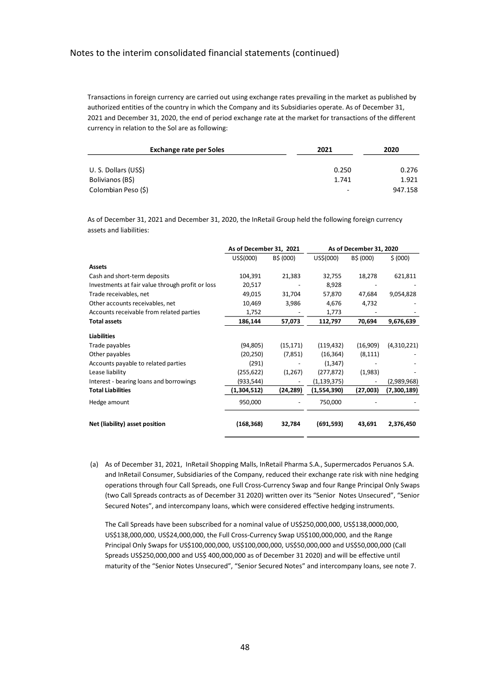Transactions in foreign currency are carried out using exchange rates prevailing in the market as published by authorized entities of the country in which the Company and its Subsidiaries operate. As of December 31, 2021 and December 31, 2020, the end of period exchange rate at the market for transactions of the different currency in relation to the Sol are as following:

| <b>Exchange rate per Soles</b> | 2021                     | 2020    |  |
|--------------------------------|--------------------------|---------|--|
|                                |                          |         |  |
| U.S. Dollars (US\$)            | 0.250                    | 0.276   |  |
| Bolivianos (B\$)               | 1.741                    | 1.921   |  |
| Colombian Peso (\$)            | $\overline{\phantom{a}}$ | 947.158 |  |

As of December 31, 2021 and December 31, 2020, the InRetail Group held the following foreign currency assets and liabilities:

|                                                  | As of December 31, 2021 |           | As of December 31, 2020 |           |             |  |
|--------------------------------------------------|-------------------------|-----------|-------------------------|-----------|-------------|--|
|                                                  | US\$(000)               | B\$ (000) | US\$(000)               | B\$ (000) | \$ (000)    |  |
| <b>Assets</b>                                    |                         |           |                         |           |             |  |
| Cash and short-term deposits                     | 104,391                 | 21,383    | 32,755                  | 18,278    | 621,811     |  |
| Investments at fair value through profit or loss | 20,517                  |           | 8,928                   |           |             |  |
| Trade receivables, net                           | 49,015                  | 31,704    | 57,870                  | 47,684    | 9,054,828   |  |
| Other accounts receivables, net                  | 10,469                  | 3,986     | 4,676                   | 4,732     |             |  |
| Accounts receivable from related parties         | 1,752                   |           | 1,773                   |           |             |  |
| <b>Total assets</b>                              | 186,144                 | 57,073    | 112,797                 | 70,694    | 9,676,639   |  |
| <b>Liabilities</b>                               |                         |           |                         |           |             |  |
| Trade payables                                   | (94, 805)               | (15, 171) | (119, 432)              | (16,909)  | (4,310,221) |  |
| Other payables                                   | (20, 250)               | (7, 851)  | (16, 364)               | (8, 111)  |             |  |
| Accounts payable to related parties              | (291)                   |           | (1, 347)                |           |             |  |
| Lease liability                                  | (255, 622)              | (1,267)   | (277, 872)              | (1,983)   |             |  |
| Interest - bearing loans and borrowings          | (933,544)               |           | (1, 139, 375)           |           | (2,989,968) |  |
| <b>Total Liabilities</b>                         | (1,304,512)             | (24, 289) | (1,554,390)             | (27,003)  | (7,300,189) |  |
| Hedge amount                                     | 950,000                 |           | 750,000                 |           |             |  |
| Net (liability) asset position                   | (168,368)               | 32,784    | (691, 593)              | 43,691    | 2,376,450   |  |

(a) As of December 31, 2021, InRetail Shopping Malls, InRetail Pharma S.A., Supermercados Peruanos S.A. and InRetail Consumer, Subsidiaries of the Company, reduced their exchange rate risk with nine hedging operations through four Call Spreads, one Full Cross-Currency Swap and four Range Principal Only Swaps (two Call Spreads contracts as of December 31 2020) written over its "Senior Notes Unsecured", "Senior Secured Notes", and intercompany loans, which were considered effective hedging instruments.

The Call Spreads have been subscribed for a nominal value of US\$250,000,000, US\$138,0000,000, US\$138,000,000, US\$24,000,000, the Full Cross-Currency Swap US\$100,000,000, and the Range Principal Only Swaps for US\$100,000,000, US\$100,000,000, US\$50,000,000 and US\$50,000,000 (Call Spreads US\$250,000,000 and US\$ 400,000,000 as of December 31 2020) and will be effective until maturity of the "Senior Notes Unsecured", "Senior Secured Notes" and intercompany loans, see note 7.